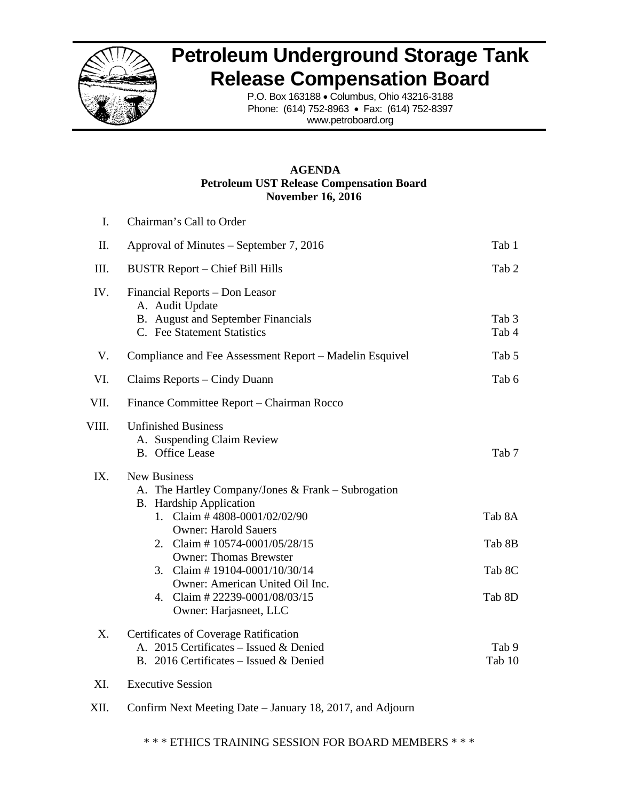

# **Petroleum Underground Storage Tank Release Compensation Board**

P.O. Box 163188 • Columbus, Ohio 43216-3188 Phone: (614) 752-8963 • Fax: (614) 752-8397 www.petroboard.org

# **AGENDA Petroleum UST Release Compensation Board November 16, 2016**

| $\mathbf{I}$ . | Chairman's Call to Order                                                                                                                                                                                     |                  |
|----------------|--------------------------------------------------------------------------------------------------------------------------------------------------------------------------------------------------------------|------------------|
| II.            | Approval of Minutes - September 7, 2016                                                                                                                                                                      | Tab 1            |
| III.           | <b>BUSTR Report - Chief Bill Hills</b>                                                                                                                                                                       | Tab 2            |
| IV.            | Financial Reports - Don Leasor<br>A. Audit Update<br>B. August and September Financials<br>C. Fee Statement Statistics                                                                                       | Tab 3<br>Tab 4   |
| V.             | Compliance and Fee Assessment Report – Madelin Esquivel                                                                                                                                                      | Tab 5            |
| VI.            | Claims Reports – Cindy Duann                                                                                                                                                                                 | Tab 6            |
| VII.           | Finance Committee Report – Chairman Rocco                                                                                                                                                                    |                  |
| VIII.          | <b>Unfinished Business</b><br>A. Suspending Claim Review<br><b>B.</b> Office Lease                                                                                                                           | Tab 7            |
| IX.            | <b>New Business</b><br>A. The Hartley Company/Jones & Frank – Subrogation<br><b>B.</b> Hardship Application<br>1. Claim # 4808-0001/02/02/90<br><b>Owner: Harold Sauers</b><br>2. Claim #10574-0001/05/28/15 | Tab 8A<br>Tab 8B |
|                | <b>Owner: Thomas Brewster</b><br>3. Claim #19104-0001/10/30/14<br>Owner: American United Oil Inc.                                                                                                            | Tab 8C           |
|                | 4. Claim # 22239-0001/08/03/15<br>Owner: Harjasneet, LLC                                                                                                                                                     | Tab 8D           |
| X.             | Certificates of Coverage Ratification<br>A. 2015 Certificates - Issued & Denied<br>B. 2016 Certificates – Issued & Denied                                                                                    | Tab 9<br>Tab 10  |

- XI. Executive Session
- XII. Confirm Next Meeting Date January 18, 2017, and Adjourn

\* \* \* ETHICS TRAINING SESSION FOR BOARD MEMBERS \* \* \*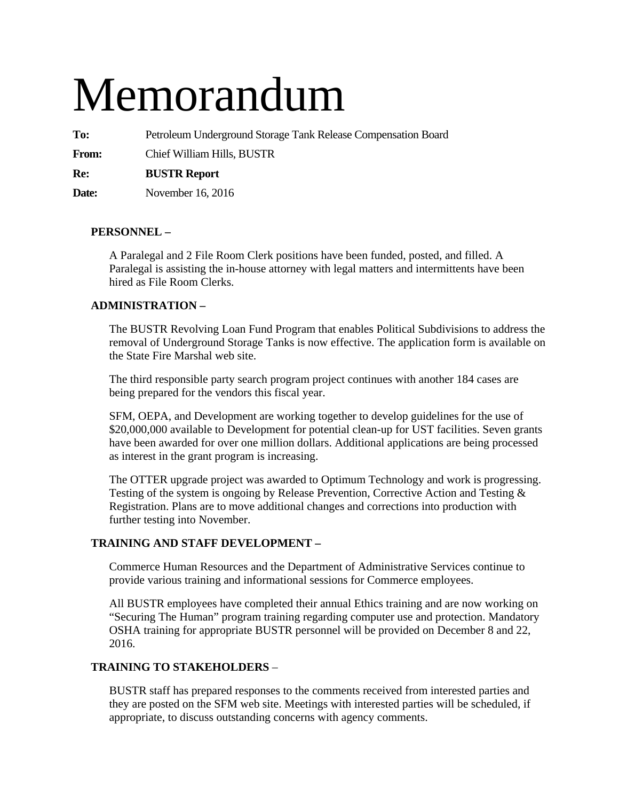# Memorandum

**To:** Petroleum Underground Storage Tank Release Compensation Board

**From:** Chief William Hills, BUSTR

**Re: BUSTR Report** 

**Date:** November 16, 2016

# **PERSONNEL –**

A Paralegal and 2 File Room Clerk positions have been funded, posted, and filled. A Paralegal is assisting the in-house attorney with legal matters and intermittents have been hired as File Room Clerks.

# **ADMINISTRATION –**

The BUSTR Revolving Loan Fund Program that enables Political Subdivisions to address the removal of Underground Storage Tanks is now effective. The application form is available on the State Fire Marshal web site.

The third responsible party search program project continues with another 184 cases are being prepared for the vendors this fiscal year.

SFM, OEPA, and Development are working together to develop guidelines for the use of \$20,000,000 available to Development for potential clean-up for UST facilities. Seven grants have been awarded for over one million dollars. Additional applications are being processed as interest in the grant program is increasing.

The OTTER upgrade project was awarded to Optimum Technology and work is progressing. Testing of the system is ongoing by Release Prevention, Corrective Action and Testing & Registration. Plans are to move additional changes and corrections into production with further testing into November.

# **TRAINING AND STAFF DEVELOPMENT –**

Commerce Human Resources and the Department of Administrative Services continue to provide various training and informational sessions for Commerce employees.

All BUSTR employees have completed their annual Ethics training and are now working on "Securing The Human" program training regarding computer use and protection. Mandatory OSHA training for appropriate BUSTR personnel will be provided on December 8 and 22, 2016.

# **TRAINING TO STAKEHOLDERS** –

BUSTR staff has prepared responses to the comments received from interested parties and they are posted on the SFM web site. Meetings with interested parties will be scheduled, if appropriate, to discuss outstanding concerns with agency comments.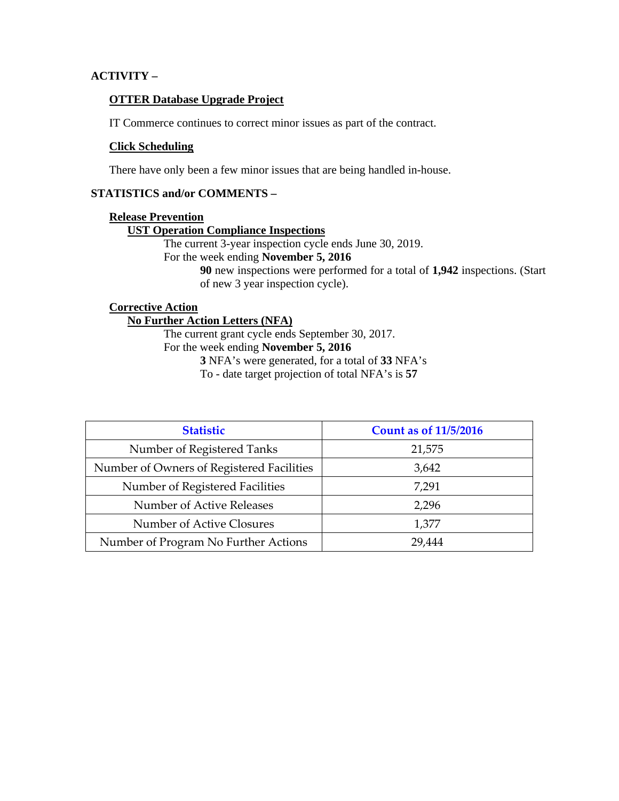# **ACTIVITY –**

# **OTTER Database Upgrade Project**

IT Commerce continues to correct minor issues as part of the contract.

## **Click Scheduling**

There have only been a few minor issues that are being handled in-house.

## **STATISTICS and/or COMMENTS –**

## **Release Prevention**

## **UST Operation Compliance Inspections**

The current 3-year inspection cycle ends June 30, 2019.

For the week ending **November 5, 2016** 

**90** new inspections were performed for a total of **1,942** inspections. (Start of new 3 year inspection cycle).

# **Corrective Action**

# **No Further Action Letters (NFA)**

The current grant cycle ends September 30, 2017.

# For the week ending **November 5, 2016**

**3** NFA's were generated, for a total of **33** NFA's

To - date target projection of total NFA's is **57** 

| <b>Statistic</b>                          | <b>Count as of 11/5/2016</b> |
|-------------------------------------------|------------------------------|
| Number of Registered Tanks                | 21,575                       |
| Number of Owners of Registered Facilities | 3,642                        |
| Number of Registered Facilities           | 7,291                        |
| Number of Active Releases                 | 2,296                        |
| Number of Active Closures                 | 1,377                        |
| Number of Program No Further Actions      | 29.444                       |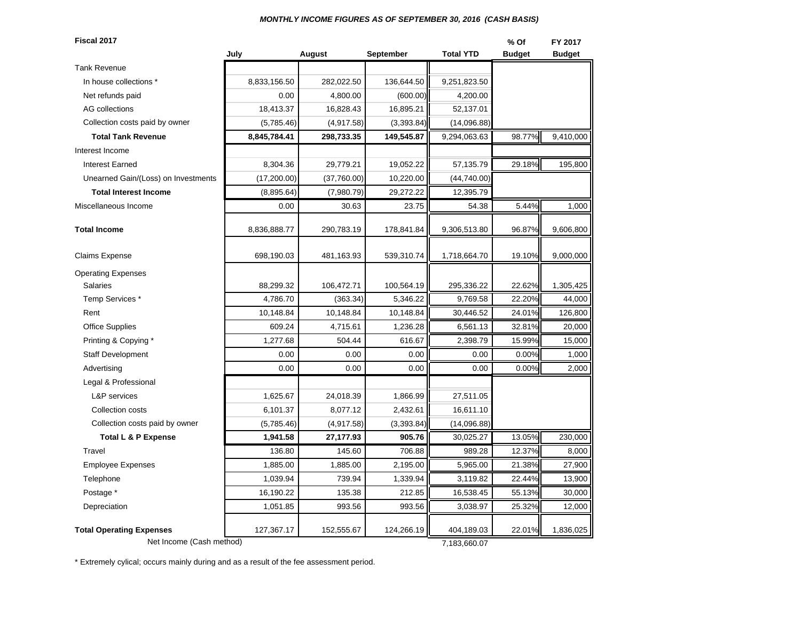#### *MONTHLY INCOME FIGURES AS OF SEPTEMBER 30, 2016 (CASH BASIS)*

**Fiscal 2017 % Of FY 2017July August September Total YTD Budget Budget** Tank RevenueIn house collections \* 8,833,156.50 282,022.50 136,644.50 9,251,823.50 Net refunds paid **1.200.00 1.4,800.00 1.800.00 1.800.00 1.800.00 1.800.00 1.800.00 1.800.00 1.800.00 1.800.00 1.800.00 1.800.00 1.800.00 1.800.00 1.800.00 1.800.00 1.800.00 1.800.00 1.80** AG collections 18,413.37 | 18,413.37 | 16,828.43 | 16,895.21 | 52,137.01 (5,785.46) (4,917.58) (3,393.84) (14,096.88) **Total Tank Revenue 8,845,784.41 298,733.35 149,545.87** 9,294,063.63 98.77% 9,410,000 Interest IncomeInterest Earned 8,304.36 | 29,779.21 | 19,052.22 || 57,135.79 | 29.18%|| 195,800 Unearned Gain/(Loss) on Investments (17,200.00) (37,760.00) 10,220.00 (44,740.00) **Total Interest Income 12,395.64** (8,895.64) (7,980.79) 29,272.22 (12,395.79 Miscellaneous Income 0.00 30.63 23.75 54.38 5.44% 1,000 **Total Income**8,836,888.77 290,783.19 178,841.84 9,306,513.80 96.87% 9,606,800 Claims Expense | 698,190.03 | 481,163.93 | 539,310.74 || 1,718,664.70 | 19.10%|| 9,000,000 Operating Expenses Salaries 88,299.32 106,472.71 100,564.19 295,336.22 22.62% 1,305,425 Temp Services \* | 4,786.70 | (363.34)| 5,346.22 || 9,769.58 | 22.20%|| 44,000 Rent 10,148.84 | 10,148.84 | 10,148.84 || 30,446.52 | 24.01%|| 126,800 Office Supplies | 609.24 | 4,715.61 | 1,236.28 || 6,561.13 | 32.81%|| 20,000 Printing & Copying \* The set of the set of the set of the set of the set of the set of the set of the set of the set of the set of the set of the set of the set of the set of the set of the set of the set of the set of the Staff Development  $\begin{array}{ccc} 0.00 & 0.00 & 0.00 & 0.00 & 0.00 & 0.00 & 0.00 \end{array}$ Advertising | 0.00 | 0.00 | 0.00 || 0.00 | 0.00%|| 2,000 Legal & Professional L&P services 1,625.67 | 24,018.39 | 1,866.99 || 27,511.05 Collection costs **6,101.37** 8,077.12 2,432.61 16,611.10 (5,785.46) (4,917.58) (3,393.84) (14,096.88) **Total L & P Expense 1,941.58 27,177.93 905.76** 30,025.27 13.05% 230,000 Travel 136.80 145.60 706.88 989.28 12.37% 8,000 Employee Expenses 1,885.00 1,885.00 2,195.00 5,965.00 21.38% 27,900 Telephone 1,039.94 | 739.94 | 1,339.94 | 3,119.82 | 22.44%|| 13,900 Postage \* | 16,190.22 | 135.38 | 212.85 || 16,538.45 | 55.13%|| 30,000 Depreciation 1,051.85 993.56 993.56 3,038.97 25.32% 12,000 **Total Operating Expenses** 127,367.17 | 152,555.67 | 124,266.19 | 404,189.03 | 22.01% | 1,836,025 Net Income (Cash method) 7,183,660.07 Collection costs paid by owner Collection costs paid by owner

\* Extremely cylical; occurs mainly during and as a result of the fee assessment period.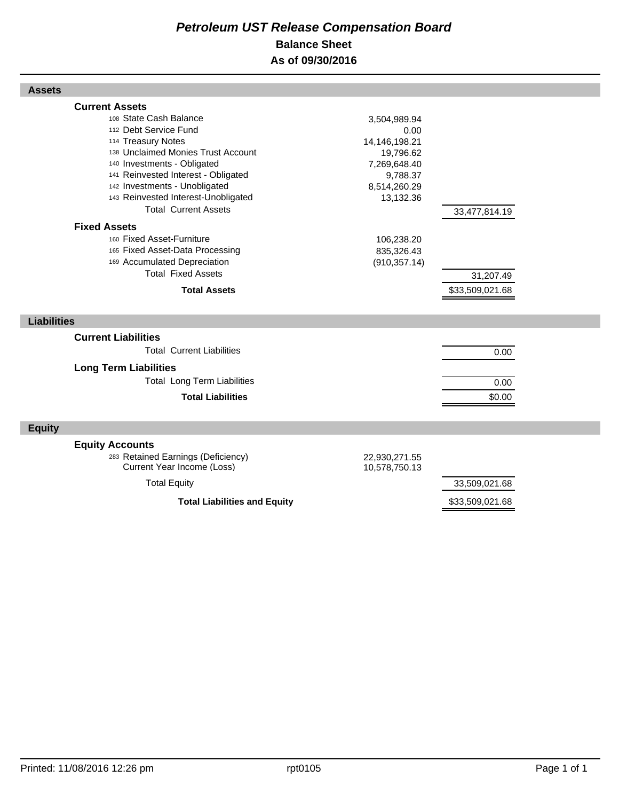# *Petroleum UST Release Compensation Board*  **Balance Sheet As of 09/30/2016**

| <b>Assets</b>                                                                                                                                                                                                                                                                                                                            |                                                                                                             |                              |  |
|------------------------------------------------------------------------------------------------------------------------------------------------------------------------------------------------------------------------------------------------------------------------------------------------------------------------------------------|-------------------------------------------------------------------------------------------------------------|------------------------------|--|
| <b>Current Assets</b><br>108 State Cash Balance<br>112 Debt Service Fund<br>114 Treasury Notes<br>138 Unclaimed Monies Trust Account<br>140 Investments - Obligated<br>141 Reinvested Interest - Obligated<br>142 Investments - Unobligated<br>143 Reinvested Interest-Unobligated<br><b>Total Current Assets</b><br><b>Fixed Assets</b> | 3,504,989.94<br>0.00<br>14,146,198.21<br>19,796.62<br>7,269,648.40<br>9,788.37<br>8,514,260.29<br>13,132.36 | 33,477,814.19                |  |
| 160 Fixed Asset-Furniture<br>165 Fixed Asset-Data Processing<br>169 Accumulated Depreciation<br><b>Total Fixed Assets</b><br><b>Total Assets</b>                                                                                                                                                                                         | 106,238.20<br>835,326.43<br>(910, 357.14)                                                                   | 31,207.49<br>\$33,509,021.68 |  |
| <b>Liabilities</b>                                                                                                                                                                                                                                                                                                                       |                                                                                                             |                              |  |
| <b>Current Liabilities</b><br><b>Total Current Liabilities</b><br><b>Long Term Liabilities</b><br><b>Total Long Term Liabilities</b><br><b>Total Liabilities</b>                                                                                                                                                                         |                                                                                                             | 0.00<br>0.00<br>\$0.00       |  |
| <b>Equity</b>                                                                                                                                                                                                                                                                                                                            |                                                                                                             |                              |  |
| <b>Equity Accounts</b><br>283 Retained Earnings (Deficiency)<br>Current Year Income (Loss)<br><b>Total Equity</b>                                                                                                                                                                                                                        | 22,930,271.55<br>10,578,750.13                                                                              | 33,509,021.68                |  |
| <b>Total Liabilities and Equity</b>                                                                                                                                                                                                                                                                                                      |                                                                                                             | \$33,509,021.68              |  |

Г

Г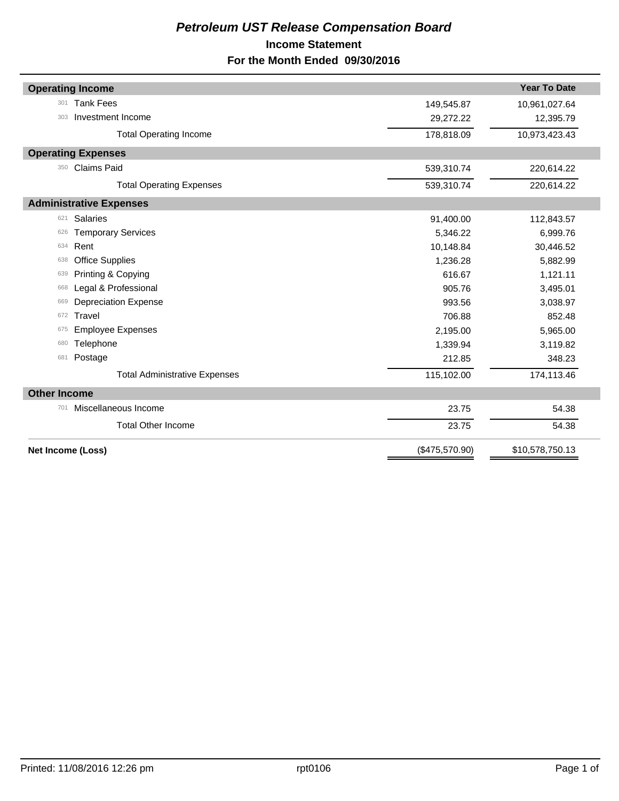# *Petroleum UST Release Compensation Board*  **Income Statement For the Month Ended 09/30/2016**

|                     | <b>Operating Income</b>              |                | <b>Year To Date</b> |
|---------------------|--------------------------------------|----------------|---------------------|
| 301                 | <b>Tank Fees</b>                     | 149,545.87     | 10,961,027.64       |
| 303                 | Investment Income                    | 29,272.22      | 12,395.79           |
|                     | <b>Total Operating Income</b>        | 178,818.09     | 10,973,423.43       |
|                     | <b>Operating Expenses</b>            |                |                     |
| 350                 | <b>Claims Paid</b>                   | 539,310.74     | 220,614.22          |
|                     | <b>Total Operating Expenses</b>      | 539,310.74     | 220,614.22          |
|                     | <b>Administrative Expenses</b>       |                |                     |
| 621                 | <b>Salaries</b>                      | 91,400.00      | 112,843.57          |
| 626                 | <b>Temporary Services</b>            | 5,346.22       | 6,999.76            |
| 634                 | Rent                                 | 10,148.84      | 30,446.52           |
| 638                 | <b>Office Supplies</b>               | 1,236.28       | 5,882.99            |
| 639                 | Printing & Copying                   | 616.67         | 1,121.11            |
| 668                 | Legal & Professional                 | 905.76         | 3,495.01            |
| 669                 | <b>Depreciation Expense</b>          | 993.56         | 3,038.97            |
| 672                 | Travel                               | 706.88         | 852.48              |
| 675                 | <b>Employee Expenses</b>             | 2,195.00       | 5,965.00            |
| 680                 | Telephone                            | 1,339.94       | 3,119.82            |
| 681                 | Postage                              | 212.85         | 348.23              |
|                     | <b>Total Administrative Expenses</b> | 115,102.00     | 174,113.46          |
| <b>Other Income</b> |                                      |                |                     |
| 701                 | Miscellaneous Income                 | 23.75          | 54.38               |
|                     | <b>Total Other Income</b>            | 23.75          | 54.38               |
|                     | Net Income (Loss)                    | (\$475,570.90) | \$10,578,750.13     |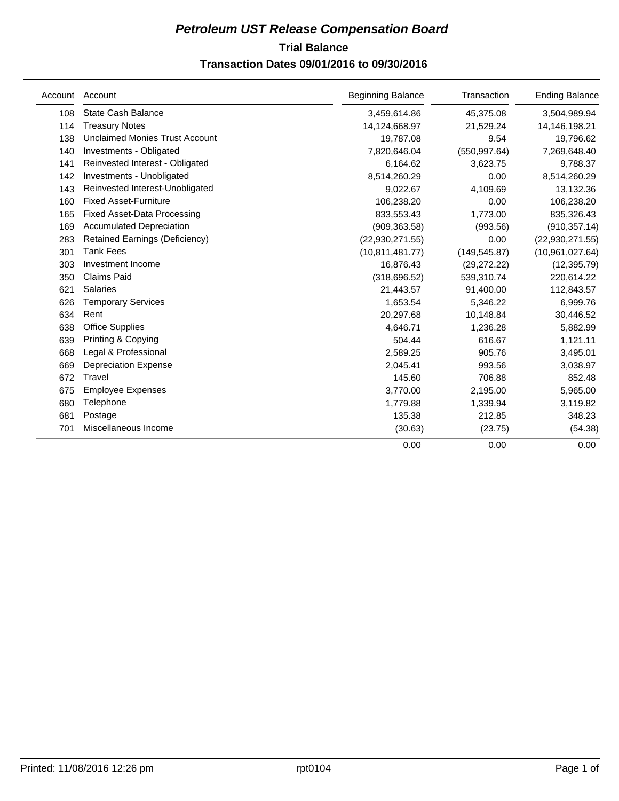# **Trial Balance** *Petroleum UST Release Compensation Board*

# **Transaction Dates 09/01/2016 to 09/30/2016**

| Account | Account                               | <b>Beginning Balance</b> | Transaction   | <b>Ending Balance</b> |
|---------|---------------------------------------|--------------------------|---------------|-----------------------|
| 108     | <b>State Cash Balance</b>             | 3,459,614.86             | 45,375.08     | 3,504,989.94          |
| 114     | <b>Treasury Notes</b>                 | 14,124,668.97            | 21,529.24     | 14,146,198.21         |
| 138     | <b>Unclaimed Monies Trust Account</b> | 19,787.08                | 9.54          | 19,796.62             |
| 140     | Investments - Obligated               | 7,820,646.04             | (550, 997.64) | 7,269,648.40          |
| 141     | Reinvested Interest - Obligated       | 6,164.62                 | 3,623.75      | 9,788.37              |
| 142     | Investments - Unobligated             | 8,514,260.29             | 0.00          | 8,514,260.29          |
| 143     | Reinvested Interest-Unobligated       | 9,022.67                 | 4,109.69      | 13,132.36             |
| 160     | <b>Fixed Asset-Furniture</b>          | 106,238.20               | 0.00          | 106,238.20            |
| 165     | <b>Fixed Asset-Data Processing</b>    | 833,553.43               | 1,773.00      | 835,326.43            |
| 169     | <b>Accumulated Depreciation</b>       | (909, 363.58)            | (993.56)      | (910, 357.14)         |
| 283     | <b>Retained Earnings (Deficiency)</b> | (22,930,271.55)          | 0.00          | (22, 930, 271.55)     |
| 301     | <b>Tank Fees</b>                      | (10, 811, 481.77)        | (149, 545.87) | (10, 961, 027.64)     |
| 303     | Investment Income                     | 16,876.43                | (29, 272.22)  | (12, 395.79)          |
| 350     | <b>Claims Paid</b>                    | (318, 696.52)            | 539,310.74    | 220,614.22            |
| 621     | <b>Salaries</b>                       | 21,443.57                | 91,400.00     | 112,843.57            |
| 626     | <b>Temporary Services</b>             | 1,653.54                 | 5,346.22      | 6,999.76              |
| 634     | Rent                                  | 20,297.68                | 10,148.84     | 30,446.52             |
| 638     | <b>Office Supplies</b>                | 4,646.71                 | 1,236.28      | 5,882.99              |
| 639     | Printing & Copying                    | 504.44                   | 616.67        | 1,121.11              |
| 668     | Legal & Professional                  | 2,589.25                 | 905.76        | 3,495.01              |
| 669     | <b>Depreciation Expense</b>           | 2,045.41                 | 993.56        | 3,038.97              |
| 672     | Travel                                | 145.60                   | 706.88        | 852.48                |
| 675     | <b>Employee Expenses</b>              | 3,770.00                 | 2,195.00      | 5,965.00              |
| 680     | Telephone                             | 1,779.88                 | 1,339.94      | 3,119.82              |
| 681     | Postage                               | 135.38                   | 212.85        | 348.23                |
| 701     | Miscellaneous Income                  | (30.63)                  | (23.75)       | (54.38)               |
|         |                                       | 0.00                     | 0.00          | 0.00                  |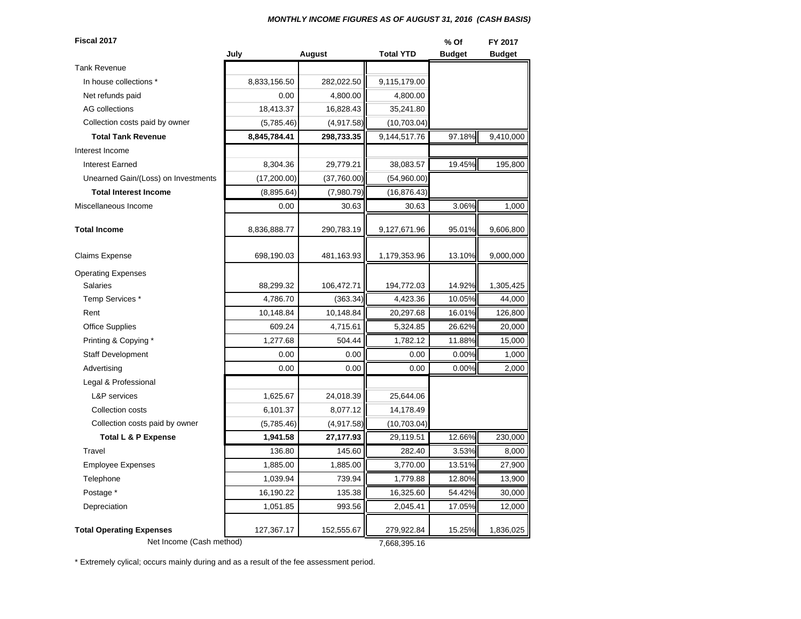#### *MONTHLY INCOME FIGURES AS OF AUGUST 31, 2016 (CASH BASIS)*

| Fiscal 2017                                                 |              |             |                            | % Of          | FY 2017       |
|-------------------------------------------------------------|--------------|-------------|----------------------------|---------------|---------------|
|                                                             | July         | August      | <b>Total YTD</b>           | <b>Budget</b> | <b>Budget</b> |
| <b>Tank Revenue</b>                                         |              |             |                            |               |               |
| In house collections *                                      | 8,833,156.50 | 282,022.50  | 9,115,179.00               |               |               |
| Net refunds paid                                            | 0.00         | 4,800.00    | 4,800.00                   |               |               |
| <b>AG</b> collections                                       | 18,413.37    | 16,828.43   | 35,241.80                  |               |               |
| Collection costs paid by owner                              | (5,785.46)   | (4,917.58)  | (10, 703.04)               |               |               |
| <b>Total Tank Revenue</b>                                   | 8,845,784.41 | 298,733.35  | 9,144,517.76               | 97.18%        | 9,410,000     |
| Interest Income                                             |              |             |                            |               |               |
| <b>Interest Earned</b>                                      | 8,304.36     | 29,779.21   | 38,083.57                  | 19.45%        | 195,800       |
| Unearned Gain/(Loss) on Investments                         | (17, 200.00) | (37,760.00) | (54,960.00)                |               |               |
| <b>Total Interest Income</b>                                | (8,895.64)   | (7,980.79)  | (16, 876.43)               |               |               |
| Miscellaneous Income                                        | 0.00         | 30.63       | 30.63                      | 3.06%         | 1,000         |
| <b>Total Income</b>                                         | 8,836,888.77 | 290,783.19  | 9,127,671.96               | 95.01%        | 9,606,800     |
| Claims Expense                                              | 698,190.03   | 481,163.93  | 1,179,353.96               | 13.10%        | 9,000,000     |
| <b>Operating Expenses</b>                                   |              |             |                            |               |               |
| <b>Salaries</b>                                             | 88,299.32    | 106,472.71  | 194,772.03                 | 14.92%        | 1,305,425     |
| Temp Services *                                             | 4,786.70     | (363.34)    | 4,423.36                   | 10.05%        | 44,000        |
| Rent                                                        | 10,148.84    | 10,148.84   | 20,297.68                  | 16.01%        | 126,800       |
| <b>Office Supplies</b>                                      | 609.24       | 4,715.61    | 5,324.85                   | 26.62%        | 20,000        |
| Printing & Copying *                                        | 1,277.68     | 504.44      | 1,782.12                   | 11.88%        | 15,000        |
| <b>Staff Development</b>                                    | 0.00         | 0.00        | 0.00                       | 0.00%         | 1,000         |
| Advertising                                                 | 0.00         | 0.00        | 0.00                       | 0.00%         | 2,000         |
| Legal & Professional                                        |              |             |                            |               |               |
| L&P services                                                | 1,625.67     | 24,018.39   | 25,644.06                  |               |               |
| Collection costs                                            | 6,101.37     | 8,077.12    | 14,178.49                  |               |               |
| Collection costs paid by owner                              | (5,785.46)   | (4,917.58)  | (10,703.04)                |               |               |
| <b>Total L &amp; P Expense</b>                              | 1,941.58     | 27,177.93   | 29,119.51                  | 12.66%        | 230,000       |
| Travel                                                      | 136.80       | 145.60      | 282.40                     | 3.53%         | 8,000         |
| <b>Employee Expenses</b>                                    | 1,885.00     | 1,885.00    | 3,770.00                   | 13.51%        | 27,900        |
| Telephone                                                   | 1,039.94     | 739.94      | 1,779.88                   | 12.80%        | 13,900        |
| Postage *                                                   | 16,190.22    | 135.38      | 16,325.60                  | 54.42%        | 30,000        |
| Depreciation                                                | 1,051.85     | 993.56      | 2,045.41                   | 17.05%        | 12,000        |
| <b>Total Operating Expenses</b><br>Net Income (Cash method) | 127,367.17   | 152,555.67  | 279,922.84<br>7,668,395.16 | 15.25%        | 1,836,025     |

\* Extremely cylical; occurs mainly during and as a result of the fee assessment period.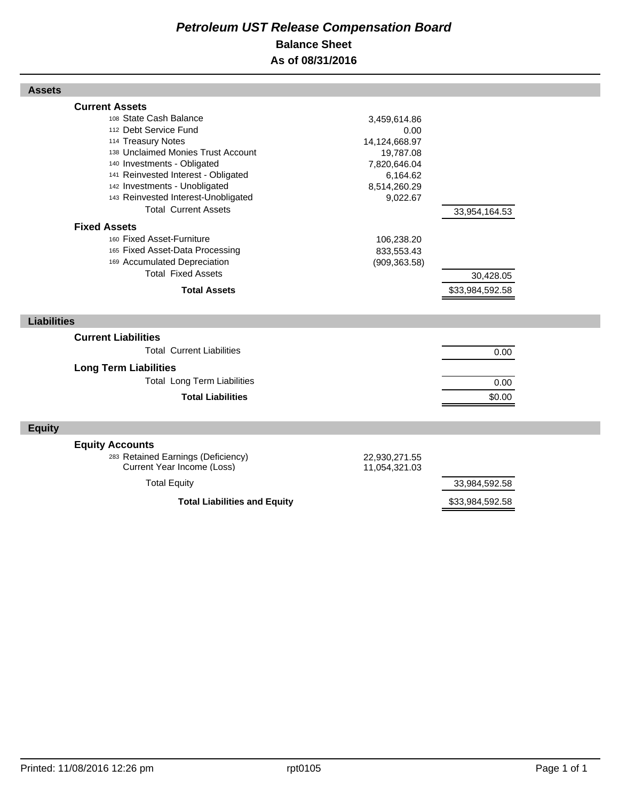# *Petroleum UST Release Compensation Board*  **Balance Sheet As of 08/31/2016**

| <b>Assets</b>                                                                                                                                                                                                                                                                                                                                                                                                                                                                                |                                                                                                                                                         |                                               |  |
|----------------------------------------------------------------------------------------------------------------------------------------------------------------------------------------------------------------------------------------------------------------------------------------------------------------------------------------------------------------------------------------------------------------------------------------------------------------------------------------------|---------------------------------------------------------------------------------------------------------------------------------------------------------|-----------------------------------------------|--|
| <b>Current Assets</b><br>108 State Cash Balance<br>112 Debt Service Fund<br>114 Treasury Notes<br>138 Unclaimed Monies Trust Account<br>140 Investments - Obligated<br>141 Reinvested Interest - Obligated<br>142 Investments - Unobligated<br>143 Reinvested Interest-Unobligated<br><b>Total Current Assets</b><br><b>Fixed Assets</b><br>160 Fixed Asset-Furniture<br>165 Fixed Asset-Data Processing<br>169 Accumulated Depreciation<br><b>Total Fixed Assets</b><br><b>Total Assets</b> | 3,459,614.86<br>0.00<br>14,124,668.97<br>19,787.08<br>7,820,646.04<br>6,164.62<br>8,514,260.29<br>9,022.67<br>106,238.20<br>833,553.43<br>(909, 363.58) | 33,954,164.53<br>30,428.05<br>\$33,984,592.58 |  |
|                                                                                                                                                                                                                                                                                                                                                                                                                                                                                              |                                                                                                                                                         |                                               |  |
| <b>Liabilities</b>                                                                                                                                                                                                                                                                                                                                                                                                                                                                           |                                                                                                                                                         |                                               |  |
| <b>Current Liabilities</b>                                                                                                                                                                                                                                                                                                                                                                                                                                                                   |                                                                                                                                                         |                                               |  |
| <b>Total Current Liabilities</b>                                                                                                                                                                                                                                                                                                                                                                                                                                                             |                                                                                                                                                         | 0.00                                          |  |
| <b>Long Term Liabilities</b>                                                                                                                                                                                                                                                                                                                                                                                                                                                                 |                                                                                                                                                         |                                               |  |
| <b>Total Long Term Liabilities</b>                                                                                                                                                                                                                                                                                                                                                                                                                                                           |                                                                                                                                                         | 0.00                                          |  |
| <b>Total Liabilities</b>                                                                                                                                                                                                                                                                                                                                                                                                                                                                     |                                                                                                                                                         | \$0.00                                        |  |
| <b>Equity</b>                                                                                                                                                                                                                                                                                                                                                                                                                                                                                |                                                                                                                                                         |                                               |  |
| <b>Equity Accounts</b>                                                                                                                                                                                                                                                                                                                                                                                                                                                                       |                                                                                                                                                         |                                               |  |
| 283 Retained Earnings (Deficiency)<br>Current Year Income (Loss)                                                                                                                                                                                                                                                                                                                                                                                                                             | 22,930,271.55<br>11,054,321.03                                                                                                                          |                                               |  |
| <b>Total Equity</b>                                                                                                                                                                                                                                                                                                                                                                                                                                                                          |                                                                                                                                                         | 33,984,592.58                                 |  |
| <b>Total Liabilities and Equity</b>                                                                                                                                                                                                                                                                                                                                                                                                                                                          |                                                                                                                                                         | \$33,984,592.58                               |  |

Г

Г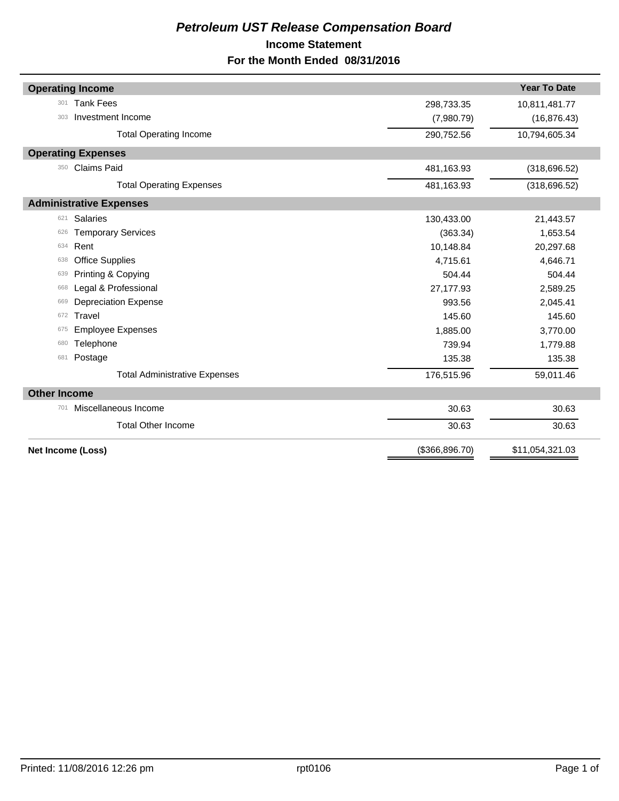# *Petroleum UST Release Compensation Board*  **Income Statement For the Month Ended 08/31/2016**

|                     | <b>Operating Income</b>              |                 | <b>Year To Date</b> |
|---------------------|--------------------------------------|-----------------|---------------------|
| 301                 | <b>Tank Fees</b>                     | 298,733.35      | 10,811,481.77       |
| 303                 | Investment Income                    | (7,980.79)      | (16, 876.43)        |
|                     | <b>Total Operating Income</b>        | 290,752.56      | 10,794,605.34       |
|                     | <b>Operating Expenses</b>            |                 |                     |
| 350                 | <b>Claims Paid</b>                   | 481,163.93      | (318, 696.52)       |
|                     | <b>Total Operating Expenses</b>      | 481,163.93      | (318, 696.52)       |
|                     | <b>Administrative Expenses</b>       |                 |                     |
| 621                 | <b>Salaries</b>                      | 130,433.00      | 21,443.57           |
| 626                 | <b>Temporary Services</b>            | (363.34)        | 1,653.54            |
| 634                 | Rent                                 | 10,148.84       | 20,297.68           |
| 638                 | <b>Office Supplies</b>               | 4,715.61        | 4,646.71            |
| 639                 | Printing & Copying                   | 504.44          | 504.44              |
| 668                 | Legal & Professional                 | 27,177.93       | 2,589.25            |
| 669                 | <b>Depreciation Expense</b>          | 993.56          | 2,045.41            |
| 672                 | Travel                               | 145.60          | 145.60              |
| 675                 | <b>Employee Expenses</b>             | 1,885.00        | 3,770.00            |
| 680                 | Telephone                            | 739.94          | 1,779.88            |
| 681                 | Postage                              | 135.38          | 135.38              |
|                     | <b>Total Administrative Expenses</b> | 176,515.96      | 59,011.46           |
| <b>Other Income</b> |                                      |                 |                     |
| 701                 | Miscellaneous Income                 | 30.63           | 30.63               |
|                     | <b>Total Other Income</b>            | 30.63           | 30.63               |
|                     | Net Income (Loss)                    | (\$366, 896.70) | \$11,054,321.03     |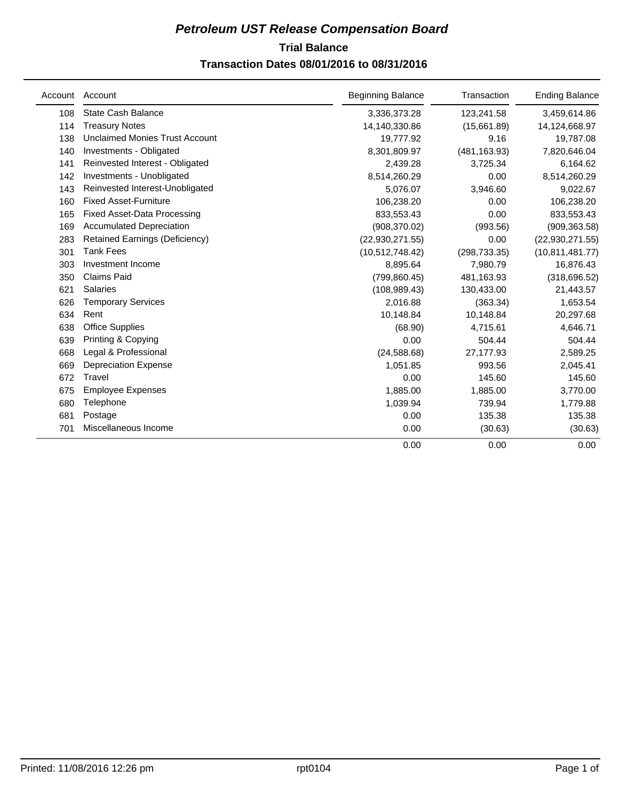# **Trial Balance** *Petroleum UST Release Compensation Board*

# **Transaction Dates 08/01/2016 to 08/31/2016**

|     | Account Account                       | <b>Beginning Balance</b> | Transaction   | <b>Ending Balance</b> |
|-----|---------------------------------------|--------------------------|---------------|-----------------------|
| 108 | State Cash Balance                    | 3,336,373.28             | 123,241.58    | 3,459,614.86          |
| 114 | <b>Treasury Notes</b>                 | 14,140,330.86            | (15,661.89)   | 14,124,668.97         |
| 138 | <b>Unclaimed Monies Trust Account</b> | 19,777.92                | 9.16          | 19,787.08             |
| 140 | Investments - Obligated               | 8,301,809.97             | (481, 163.93) | 7,820,646.04          |
| 141 | Reinvested Interest - Obligated       | 2,439.28                 | 3,725.34      | 6,164.62              |
| 142 | Investments - Unobligated             | 8,514,260.29             | 0.00          | 8,514,260.29          |
| 143 | Reinvested Interest-Unobligated       | 5,076.07                 | 3,946.60      | 9,022.67              |
| 160 | <b>Fixed Asset-Furniture</b>          | 106,238.20               | 0.00          | 106,238.20            |
| 165 | Fixed Asset-Data Processing           | 833,553.43               | 0.00          | 833,553.43            |
| 169 | <b>Accumulated Depreciation</b>       | (908, 370.02)            | (993.56)      | (909, 363.58)         |
| 283 | <b>Retained Earnings (Deficiency)</b> | (22,930,271.55)          | 0.00          | (22, 930, 271.55)     |
| 301 | <b>Tank Fees</b>                      | (10,512,748.42)          | (298, 733.35) | (10, 811, 481.77)     |
| 303 | Investment Income                     | 8,895.64                 | 7,980.79      | 16,876.43             |
| 350 | <b>Claims Paid</b>                    | (799, 860.45)            | 481,163.93    | (318, 696.52)         |
| 621 | Salaries                              | (108, 989.43)            | 130,433.00    | 21,443.57             |
| 626 | <b>Temporary Services</b>             | 2,016.88                 | (363.34)      | 1,653.54              |
| 634 | Rent                                  | 10,148.84                | 10,148.84     | 20,297.68             |
| 638 | <b>Office Supplies</b>                | (68.90)                  | 4,715.61      | 4,646.71              |
| 639 | Printing & Copying                    | 0.00                     | 504.44        | 504.44                |
| 668 | Legal & Professional                  | (24, 588.68)             | 27,177.93     | 2,589.25              |
| 669 | <b>Depreciation Expense</b>           | 1,051.85                 | 993.56        | 2,045.41              |
| 672 | Travel                                | 0.00                     | 145.60        | 145.60                |
| 675 | <b>Employee Expenses</b>              | 1,885.00                 | 1,885.00      | 3,770.00              |
| 680 | Telephone                             | 1,039.94                 | 739.94        | 1,779.88              |
| 681 | Postage                               | 0.00                     | 135.38        | 135.38                |
| 701 | Miscellaneous Income                  | 0.00                     | (30.63)       | (30.63)               |
|     |                                       | 0.00                     | 0.00          | 0.00                  |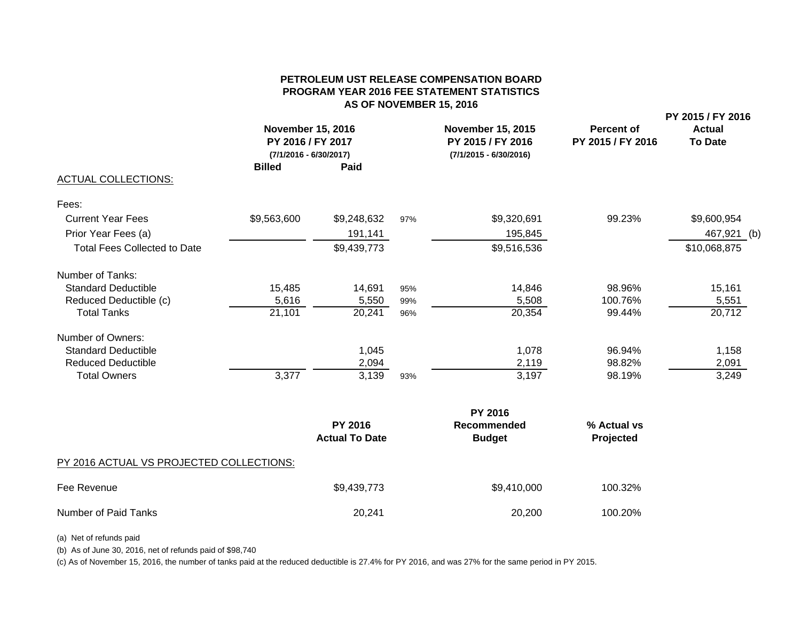## **PETROLEUM UST RELEASE COMPENSATION BOARDPROGRAM YEAR 2016 FEE STATEMENT STATISTICS AS OF NOVEMBER 15, 2016**

| <b>ACTUAL COLLECTIONS:</b><br><b>Total Fees Collected to Date</b><br><b>Total Tanks</b><br><b>Total Owners</b> | <b>November 15, 2016</b><br>PY 2016 / FY 2017<br>(7/1/2016 - 6/30/2017)<br><b>Billed</b><br>Paid |             |     | <b>November 15, 2015</b><br>PY 2015 / FY 2016<br>$(7/1/2015 - 6/30/2016)$ | <b>Percent of</b><br>PY 2015 / FY 2016 | PY 2015 / FY 2016<br><b>Actual</b><br><b>To Date</b> |  |
|----------------------------------------------------------------------------------------------------------------|--------------------------------------------------------------------------------------------------|-------------|-----|---------------------------------------------------------------------------|----------------------------------------|------------------------------------------------------|--|
| Fees:                                                                                                          |                                                                                                  |             |     |                                                                           |                                        |                                                      |  |
| <b>Current Year Fees</b>                                                                                       | \$9,563,600                                                                                      | \$9,248,632 | 97% | \$9,320,691                                                               | 99.23%                                 | \$9,600,954                                          |  |
| Prior Year Fees (a)                                                                                            |                                                                                                  | 191,141     |     | 195,845                                                                   |                                        | 467,921 (b)                                          |  |
|                                                                                                                |                                                                                                  | \$9,439,773 |     | \$9,516,536                                                               |                                        | \$10,068,875                                         |  |
| Number of Tanks:                                                                                               |                                                                                                  |             |     |                                                                           |                                        |                                                      |  |
| <b>Standard Deductible</b>                                                                                     | 15,485                                                                                           | 14,691      | 95% | 14,846                                                                    | 98.96%                                 | 15,161                                               |  |
| Reduced Deductible (c)                                                                                         | 5,616                                                                                            | 5,550       | 99% | 5,508                                                                     | 100.76%                                | 5,551                                                |  |
|                                                                                                                | 21,101                                                                                           | 20,241      | 96% | 20,354                                                                    | 99.44%                                 | 20,712                                               |  |
| Number of Owners:                                                                                              |                                                                                                  |             |     |                                                                           |                                        |                                                      |  |
| <b>Standard Deductible</b>                                                                                     |                                                                                                  | 1,045       |     | 1,078                                                                     | 96.94%                                 | 1,158                                                |  |
| <b>Reduced Deductible</b>                                                                                      |                                                                                                  | 2,094       |     | 2,119                                                                     | 98.82%                                 | 2,091                                                |  |
|                                                                                                                | 3,377                                                                                            | 3,139       | 93% | 3,197                                                                     | 98.19%                                 | 3,249                                                |  |
|                                                                                                                |                                                                                                  |             |     | <b>PY 2016</b>                                                            |                                        |                                                      |  |

|                                          | .                                       |                              |                          |  |  |  |  |
|------------------------------------------|-----------------------------------------|------------------------------|--------------------------|--|--|--|--|
|                                          | <b>PY 2016</b><br><b>Actual To Date</b> | Recommended<br><b>Budget</b> | % Actual vs<br>Projected |  |  |  |  |
| PY 2016 ACTUAL VS PROJECTED COLLECTIONS: |                                         |                              |                          |  |  |  |  |
| Fee Revenue                              | \$9,439,773                             | \$9,410,000                  | 100.32%                  |  |  |  |  |
| Number of Paid Tanks                     | 20.241                                  | 20,200                       | 100.20%                  |  |  |  |  |

(a) Net of refunds paid

(b) As of June 30, 2016, net of refunds paid of \$98,740

(c) As of November 15, 2016, the number of tanks paid at the reduced deductible is 27.4% for PY 2016, and was 27% for the same period in PY 2015.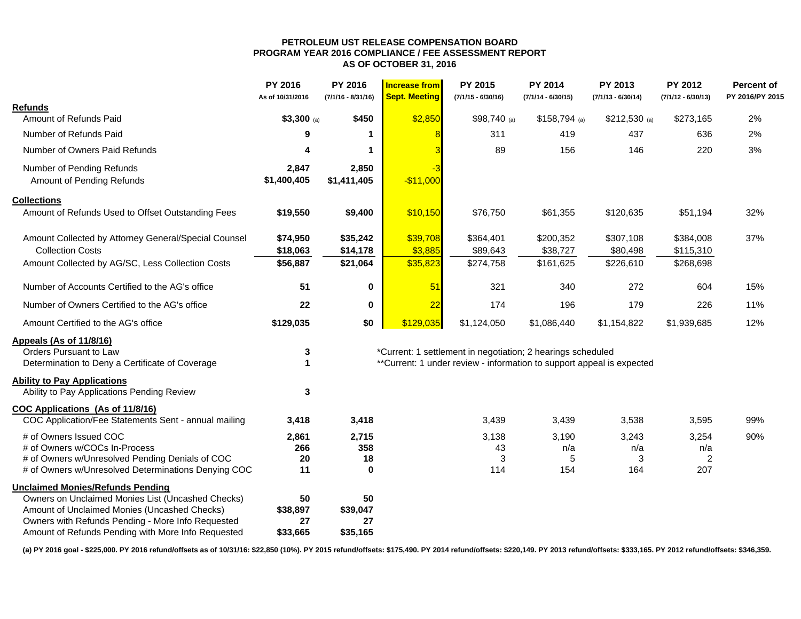#### **PETROLEUM UST RELEASE COMPENSATION BOARD PROGRAM YEAR 2016 COMPLIANCE / FEE ASSESSMENT REPORT AS OF OCTOBER 31, 2016**

|                                                      | <b>PY 2016</b><br>As of 10/31/2016 | <b>PY 2016</b><br>$(7/1/16 - 8/31/16)$ | <b>Increase from</b><br><b>Sept. Meeting</b> | <b>PY 2015</b><br>$(7/1/15 - 6/30/16)$                                | <b>PY 2014</b><br>$(7/1/14 - 6/30/15)$ | PY 2013<br>$(7/1/13 - 6/30/14)$ | <b>PY 2012</b><br>$(7/1/12 - 6/30/13)$ | <b>Percent of</b><br>PY 2016/PY 2015 |
|------------------------------------------------------|------------------------------------|----------------------------------------|----------------------------------------------|-----------------------------------------------------------------------|----------------------------------------|---------------------------------|----------------------------------------|--------------------------------------|
| <b>Refunds</b>                                       |                                    |                                        |                                              |                                                                       |                                        |                                 |                                        |                                      |
| Amount of Refunds Paid                               | $$3,300$ (a)                       | \$450                                  | \$2,850                                      | $$98,740$ (a)                                                         | $$158,794$ (a)                         | $$212,530$ (a)                  | \$273,165                              | 2%                                   |
| Number of Refunds Paid                               | 9                                  |                                        |                                              | 311                                                                   | 419                                    | 437                             | 636                                    | 2%                                   |
| Number of Owners Paid Refunds                        | 4                                  |                                        |                                              | 89                                                                    | 156                                    | 146                             | 220                                    | 3%                                   |
| Number of Pending Refunds                            | 2,847                              | 2,850                                  | -3                                           |                                                                       |                                        |                                 |                                        |                                      |
| Amount of Pending Refunds                            | \$1,400,405                        | \$1,411,405                            | $-$11,000$                                   |                                                                       |                                        |                                 |                                        |                                      |
| <b>Collections</b>                                   |                                    |                                        |                                              |                                                                       |                                        |                                 |                                        |                                      |
| Amount of Refunds Used to Offset Outstanding Fees    | \$19,550                           | \$9,400                                | \$10,150                                     | \$76,750                                                              | \$61,355                               | \$120,635                       | \$51,194                               | 32%                                  |
| Amount Collected by Attorney General/Special Counsel | \$74,950                           | \$35,242                               | \$39,708                                     | \$364,401                                                             | \$200,352                              | \$307,108                       | \$384,008                              | 37%                                  |
| <b>Collection Costs</b>                              | \$18,063                           | \$14,178                               | \$3,885                                      | \$89,643                                                              | \$38,727                               | \$80,498                        | \$115,310                              |                                      |
| Amount Collected by AG/SC, Less Collection Costs     | \$56,887                           | \$21,064                               | \$35,823                                     | \$274,758                                                             | \$161,625                              | \$226,610                       | \$268,698                              |                                      |
| Number of Accounts Certified to the AG's office      | 51                                 | 0                                      | 51                                           | 321                                                                   | 340                                    | 272                             | 604                                    | 15%                                  |
| Number of Owners Certified to the AG's office        | 22                                 | 0                                      | 22                                           | 174                                                                   | 196                                    | 179                             | 226                                    | 11%                                  |
| Amount Certified to the AG's office                  | \$129,035                          | \$0                                    | \$129,035                                    | \$1,124,050                                                           | \$1,086,440                            | \$1,154,822                     | \$1,939,685                            | 12%                                  |
| Appeals (As of 11/8/16)                              |                                    |                                        |                                              |                                                                       |                                        |                                 |                                        |                                      |
| Orders Pursuant to Law                               | 3                                  |                                        |                                              | *Current: 1 settlement in negotiation; 2 hearings scheduled           |                                        |                                 |                                        |                                      |
| Determination to Deny a Certificate of Coverage      | 1                                  |                                        |                                              | **Current: 1 under review - information to support appeal is expected |                                        |                                 |                                        |                                      |
| <b>Ability to Pay Applications</b>                   |                                    |                                        |                                              |                                                                       |                                        |                                 |                                        |                                      |
| Ability to Pay Applications Pending Review           | 3                                  |                                        |                                              |                                                                       |                                        |                                 |                                        |                                      |
| <b>COC Applications (As of 11/8/16)</b>              |                                    |                                        |                                              |                                                                       |                                        |                                 |                                        |                                      |
| COC Application/Fee Statements Sent - annual mailing | 3,418                              | 3,418                                  |                                              | 3,439                                                                 | 3,439                                  | 3,538                           | 3,595                                  | 99%                                  |
| # of Owners Issued COC                               | 2,861                              | 2,715                                  |                                              | 3,138                                                                 | 3,190                                  | 3,243                           | 3,254                                  | 90%                                  |
| # of Owners w/COCs In-Process                        | 266                                | 358                                    |                                              | 43                                                                    | n/a                                    | n/a                             | n/a                                    |                                      |
| # of Owners w/Unresolved Pending Denials of COC      | 20                                 | 18                                     |                                              | 3                                                                     | 5                                      | 3                               | $\overline{2}$                         |                                      |
| # of Owners w/Unresolved Determinations Denying COC  | 11                                 | $\bf{0}$                               |                                              | 114                                                                   | 154                                    | 164                             | 207                                    |                                      |
| <b>Unclaimed Monies/Refunds Pending</b>              |                                    |                                        |                                              |                                                                       |                                        |                                 |                                        |                                      |
| Owners on Unclaimed Monies List (Uncashed Checks)    | 50                                 | 50                                     |                                              |                                                                       |                                        |                                 |                                        |                                      |
| Amount of Unclaimed Monies (Uncashed Checks)         | \$38,897                           | \$39,047                               |                                              |                                                                       |                                        |                                 |                                        |                                      |
| Owners with Refunds Pending - More Info Requested    | 27                                 | 27                                     |                                              |                                                                       |                                        |                                 |                                        |                                      |
| Amount of Refunds Pending with More Info Requested   | \$33,665                           | \$35,165                               |                                              |                                                                       |                                        |                                 |                                        |                                      |

(a) PY 2016 goal - \$225,000. PY 2016 refund/offsets as of 10/31/16: \$22,850 (10%). PY 2015 refund/offsets: \$175,490. PY 2014 refund/offsets: \$220,149. PY 2013 refund/offsets: \$33,165. PY 2012 refund/offsets: \$346,359.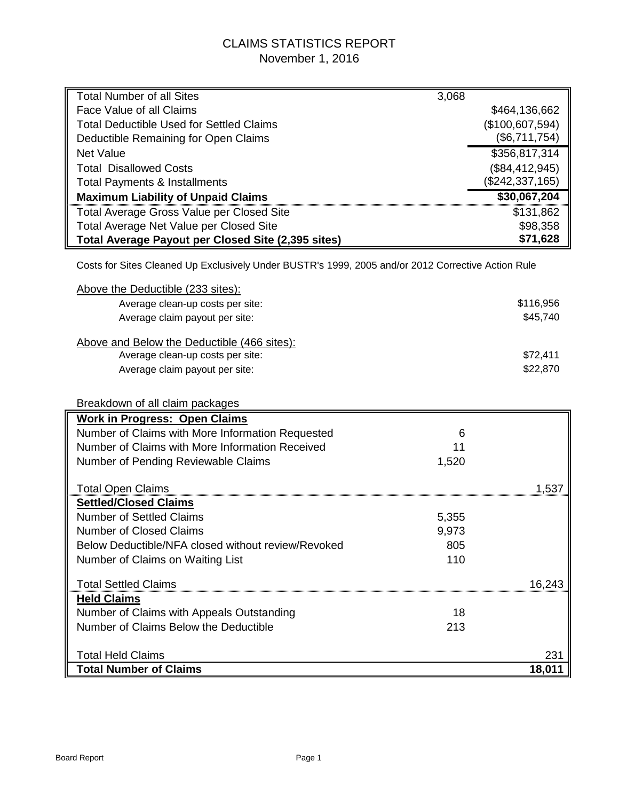# CLAIMS STATISTICS REPORT November 1, 2016

| <b>Total Number of all Sites</b>                                                                   | 3,068 |                 |
|----------------------------------------------------------------------------------------------------|-------|-----------------|
| Face Value of all Claims                                                                           |       | \$464,136,662   |
| <b>Total Deductible Used for Settled Claims</b>                                                    |       | (\$100,607,594) |
| Deductible Remaining for Open Claims                                                               |       | (\$6,711,754)   |
| <b>Net Value</b>                                                                                   |       | \$356,817,314   |
| <b>Total Disallowed Costs</b>                                                                      |       | (\$84,412,945)  |
| <b>Total Payments &amp; Installments</b>                                                           |       | (\$242,337,165) |
| <b>Maximum Liability of Unpaid Claims</b>                                                          |       | \$30,067,204    |
| <b>Total Average Gross Value per Closed Site</b>                                                   |       | \$131,862       |
| Total Average Net Value per Closed Site                                                            |       | \$98,358        |
| Total Average Payout per Closed Site (2,395 sites)                                                 |       | \$71,628        |
| Costs for Sites Cleaned Up Exclusively Under BUSTR's 1999, 2005 and/or 2012 Corrective Action Rule |       |                 |
| Above the Deductible (233 sites):                                                                  |       |                 |
| Average clean-up costs per site:                                                                   |       | \$116,956       |
| Average claim payout per site:                                                                     |       | \$45,740        |
|                                                                                                    |       |                 |
| Above and Below the Deductible (466 sites):                                                        |       |                 |
| Average clean-up costs per site:                                                                   |       | \$72,411        |
| Average claim payout per site:                                                                     |       | \$22,870        |
|                                                                                                    |       |                 |
| Breakdown of all claim packages                                                                    |       |                 |
| <b>Work in Progress: Open Claims</b>                                                               |       |                 |
| Number of Claims with More Information Requested                                                   | 6     |                 |
| Number of Claims with More Information Received                                                    | 11    |                 |
| Number of Pending Reviewable Claims                                                                | 1,520 |                 |
|                                                                                                    |       |                 |
| <b>Total Open Claims</b>                                                                           |       | 1,537           |
| <b>Settled/Closed Claims</b>                                                                       |       |                 |
| <b>Number of Settled Claims</b>                                                                    | 5,355 |                 |
| <b>Number of Closed Claims</b>                                                                     | 9,973 |                 |
| Below Deductible/NFA closed without review/Revoked                                                 | 805   |                 |
| Number of Claims on Waiting List                                                                   | 110   |                 |
| <b>Total Settled Claims</b>                                                                        |       | 16,243          |
| <b>Held Claims</b>                                                                                 |       |                 |
| Number of Claims with Appeals Outstanding                                                          | 18    |                 |
| Number of Claims Below the Deductible                                                              | 213   |                 |
|                                                                                                    |       |                 |
| <b>Total Held Claims</b>                                                                           |       | 231             |
| <b>Total Number of Claims</b>                                                                      |       | 18,011          |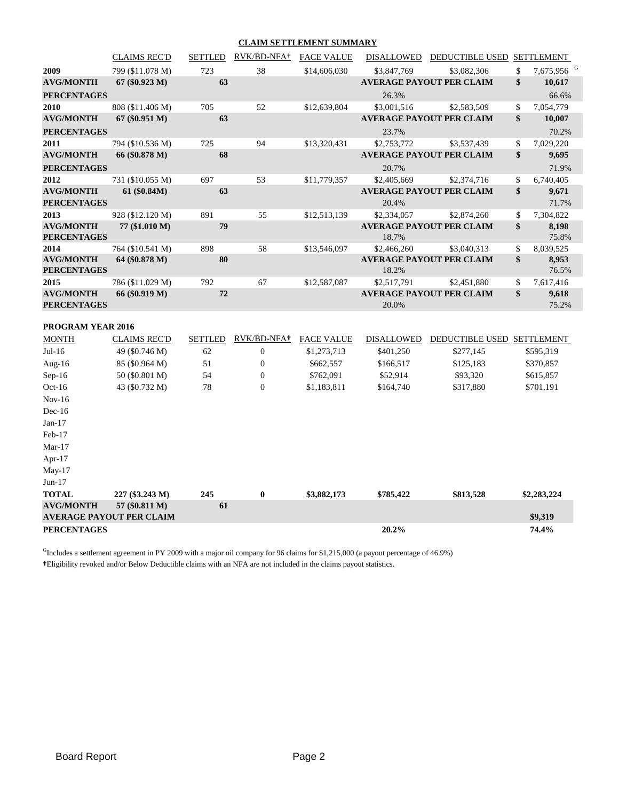#### **CLAIM SETTLEMENT SUMMARY**

|                                        | <b>CLAIMS REC'D</b>             | <b>SETTLED</b> | RVK/BD-NFA <sup>+</sup> FACE VALUE |                   | DISALLOWED        | DEDUCTIBLE USED SETTLEMENT      |                              |
|----------------------------------------|---------------------------------|----------------|------------------------------------|-------------------|-------------------|---------------------------------|------------------------------|
| 2009                                   | 799 (\$11.078 M)                | 723            | 38                                 | \$14,606,030      | \$3,847,769       | \$3,082,306                     | \$<br>7,675,956 <sup>G</sup> |
| <b>AVG/MONTH</b>                       | $67 (\$0.923 M)$                | 63             |                                    |                   |                   | <b>AVERAGE PAYOUT PER CLAIM</b> | \$<br>10,617                 |
| <b>PERCENTAGES</b>                     |                                 |                |                                    |                   | 26.3%             |                                 | 66.6%                        |
| 2010                                   | 808 (\$11.406 M)                | 705            | 52                                 | \$12,639,804      | \$3,001,516       | \$2,583,509                     | \$<br>7,054,779              |
| <b>AVG/MONTH</b>                       | 67 (\$0.951 M)                  | 63             |                                    |                   |                   | <b>AVERAGE PAYOUT PER CLAIM</b> | \$<br>10,007                 |
| <b>PERCENTAGES</b>                     |                                 |                |                                    |                   | 23.7%             |                                 | 70.2%                        |
| 2011                                   | 794 (\$10.536 M)                | 725            | 94                                 | \$13,320,431      | \$2,753,772       | \$3,537,439                     | \$<br>7,029,220              |
| <b>AVG/MONTH</b>                       | 66 (\$0.878 M)                  | 68             |                                    |                   |                   | <b>AVERAGE PAYOUT PER CLAIM</b> | \$<br>9,695                  |
| <b>PERCENTAGES</b>                     |                                 |                |                                    |                   | 20.7%             |                                 | 71.9%                        |
| 2012                                   | 731 (\$10.055 M)                | 697            | 53                                 | \$11,779,357      | \$2,405,669       | \$2,374,716                     | \$<br>6,740,405              |
| <b>AVG/MONTH</b>                       | 61 (\$0.84M)                    | 63             |                                    |                   |                   | <b>AVERAGE PAYOUT PER CLAIM</b> | \$<br>9,671                  |
| <b>PERCENTAGES</b>                     |                                 |                |                                    |                   | 20.4%             |                                 | 71.7%                        |
| 2013                                   | 928 (\$12.120 M)                | 891            | 55                                 | \$12,513,139      | \$2,334,057       | \$2,874,260                     | \$<br>7,304,822              |
| <b>AVG/MONTH</b><br><b>PERCENTAGES</b> | 77 (\$1.010 M)                  | 79             |                                    |                   | 18.7%             | <b>AVERAGE PAYOUT PER CLAIM</b> | \$<br>8,198<br>75.8%         |
| 2014                                   | 764 (\$10.541 M)                | 898            | 58                                 | \$13,546,097      | \$2,466,260       | \$3,040,313                     | \$<br>8,039,525              |
| <b>AVG/MONTH</b><br><b>PERCENTAGES</b> | 64 (\$0.878 M)                  | 80             |                                    |                   | 18.2%             | <b>AVERAGE PAYOUT PER CLAIM</b> | \$<br>8,953<br>76.5%         |
| 2015                                   | 786 (\$11.029 M)                | 792            | 67                                 | \$12,587,087      | \$2,517,791       | \$2,451,880                     | \$<br>7,617,416              |
| <b>AVG/MONTH</b>                       | 66 (\$0.919 M)                  | 72             |                                    |                   |                   | <b>AVERAGE PAYOUT PER CLAIM</b> | \$<br>9,618                  |
| <b>PERCENTAGES</b>                     |                                 |                |                                    |                   | 20.0%             |                                 | 75.2%                        |
| <b>PROGRAM YEAR 2016</b>               |                                 |                |                                    |                   |                   |                                 |                              |
| <b>MONTH</b>                           | <b>CLAIMS REC'D</b>             | <b>SETTLED</b> | RVK/BD-NFA <sup>+</sup>            | <b>FACE VALUE</b> | <b>DISALLOWED</b> | DEDUCTIBLE USED SETTLEMENT      |                              |
| $Jul-16$                               | 49 (\$0.746 M)                  | 62             | $\boldsymbol{0}$                   | \$1,273,713       | \$401,250         | \$277,145                       | \$595,319                    |
| Aug-16                                 | 85 (\$0.964 M)                  | 51             | $\boldsymbol{0}$                   | \$662,557         | \$166,517         | \$125,183                       | \$370,857                    |
| $Sep-16$                               | 50 (\$0.801 M)                  | 54             | $\boldsymbol{0}$                   | \$762,091         | \$52,914          | \$93,320                        | \$615,857                    |
| $Oct-16$                               | 43 (\$0.732 M)                  | 78             | $\boldsymbol{0}$                   | \$1,183,811       | \$164,740         | \$317,880                       | \$701,191                    |
| $Nov-16$                               |                                 |                |                                    |                   |                   |                                 |                              |
| $Dec-16$                               |                                 |                |                                    |                   |                   |                                 |                              |
| $Jan-17$                               |                                 |                |                                    |                   |                   |                                 |                              |
| Feb-17                                 |                                 |                |                                    |                   |                   |                                 |                              |
| $Mar-17$                               |                                 |                |                                    |                   |                   |                                 |                              |
| Apr-17                                 |                                 |                |                                    |                   |                   |                                 |                              |
| May-17                                 |                                 |                |                                    |                   |                   |                                 |                              |
| $Jun-17$                               |                                 |                |                                    |                   |                   |                                 |                              |
| <b>TOTAL</b>                           | 227 (\$3.243 M)                 | 245            | $\bf{0}$                           | \$3,882,173       | \$785,422         | \$813,528                       | \$2,283,224                  |
| <b>AVG/MONTH</b>                       | 57 (\$0.811 M)                  | 61             |                                    |                   |                   |                                 |                              |
|                                        | <b>AVERAGE PAYOUT PER CLAIM</b> |                |                                    |                   |                   |                                 | \$9,319                      |
| <b>PERCENTAGES</b>                     |                                 |                |                                    |                   | 20.2%             |                                 | 74.4%                        |

 $<sup>G</sup>$ Includes a settlement agreement in PY 2009 with a major oil company for 96 claims for \$1,215,000 (a payout percentage of 46.9%)</sup> **†**Eligibility revoked and/or Below Deductible claims with an NFA are not included in the claims payout statistics.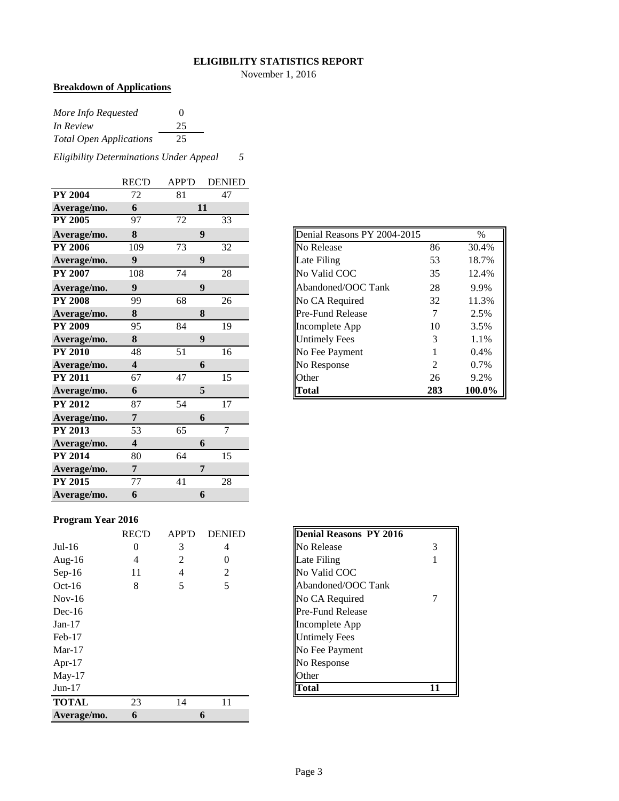#### **ELIGIBILITY STATISTICS REPORT**

November 1, 2016

# **Breakdown of Applications**

| More Info Requested            | $\Omega$ |
|--------------------------------|----------|
| In Review                      | 25       |
| <b>Total Open Applications</b> | 25       |

*Eligibility Determinations Under Appeal 5*

|                | <b>REC'D</b>            | <b>APP'D</b> | <b>DENIED</b>    |
|----------------|-------------------------|--------------|------------------|
| <b>PY 2004</b> | 72                      | 81           | 47               |
| Average/mo.    | 6                       |              | 11               |
| <b>PY 2005</b> | 97                      | 72           | 33               |
| Average/mo.    | 8                       |              | 9                |
| <b>PY 2006</b> | 109                     | 73           | 32               |
| Average/mo.    | 9                       |              | 9                |
| <b>PY 2007</b> | 108                     | 74           | 28               |
| Average/mo.    | $\boldsymbol{9}$        |              | $\boldsymbol{9}$ |
| <b>PY 2008</b> | 99                      | 68           | 26               |
| Average/mo.    | 8                       |              | 8                |
| <b>PY 2009</b> | 95                      | 84           | 19               |
| Average/mo.    | 8                       |              | $\boldsymbol{9}$ |
| <b>PY 2010</b> | 48                      | 51           | 16               |
| Average/mo.    | 4                       |              | 6                |
| <b>PY 2011</b> | 67                      | 47           | 15               |
| Average/mo.    | 6                       |              | 5                |
| <b>PY 2012</b> | 87                      | 54           | 17               |
| Average/mo.    | 7                       |              | 6                |
| <b>PY 2013</b> | 53                      | 65           | $\tau$           |
| Average/mo.    | $\overline{\mathbf{4}}$ |              | 6                |
| <b>PY 2014</b> | 80                      | 64           | 15               |
| Average/mo.    | 7                       |              | 7                |
| <b>PY 2015</b> | 77                      | 41           | 28               |
| Average/mo.    | 6                       |              | 6                |

| Average/mo.    | 8   | 9  |    |
|----------------|-----|----|----|
| <b>PY 2006</b> | 109 | 73 | 32 |
| Average/mo.    | 9   | 9  |    |
| <b>PY 2007</b> | 108 | 74 | 28 |
| Average/mo.    | 9   | 9  |    |
| <b>PY 2008</b> | 99  | 68 | 26 |
| Average/mo.    | 8   | 8  |    |
| <b>PY 2009</b> | 95  | 84 | 19 |
| Average/mo.    | 8   | 9  |    |
| <b>PY 2010</b> | 48  | 51 | 16 |
| Average/mo.    | 4   | 6  |    |
| <b>PY 2011</b> | 67  | 47 | 15 |
| Average/mo.    | 6   | 5  |    |

# **Program Year 2016**

|              | <b>REC'D</b>   | <b>APP'D</b> | <b>DENIED</b> | <b>Denial Reasons PY 2016</b> |
|--------------|----------------|--------------|---------------|-------------------------------|
| $Jul-16$     | $\theta$       | 3            | 4             | No Release                    |
| Aug- $16$    | $\overline{4}$ | 2            | $\theta$      | Late Filing                   |
| $Sep-16$     | 11             | 4            | 2             | No Valid COC                  |
| $Oct-16$     | 8              | 5            | 5             | Abandoned/OOC Tank            |
| $Nov-16$     |                |              |               | No CA Required                |
| $Dec-16$     |                |              |               | <b>Pre-Fund Release</b>       |
| $Jan-17$     |                |              |               | Incomplete App                |
| $Feb-17$     |                |              |               | <b>Untimely Fees</b>          |
| $Mar-17$     |                |              |               | No Fee Payment                |
| Apr- $17$    |                |              |               | No Response                   |
| $May-17$     |                |              |               | Other                         |
| $Jun-17$     |                |              |               | <b>Total</b><br>11            |
| <b>TOTAL</b> | 23             | 14           | 11            |                               |
| Average/mo.  | 6              |              | 6             |                               |

| Denial Reasons PY 2016  |   |
|-------------------------|---|
| No Release              | 3 |
| Late Filing             |   |
| No Valid COC            |   |
| Abandoned/OOC Tank      |   |
| No CA Required          |   |
| <b>Pre-Fund Release</b> |   |
| Incomplete App          |   |
| <b>Untimely Fees</b>    |   |
| No Fee Payment          |   |
| No Response             |   |
| <b>Other</b>            |   |
| `otal                   |   |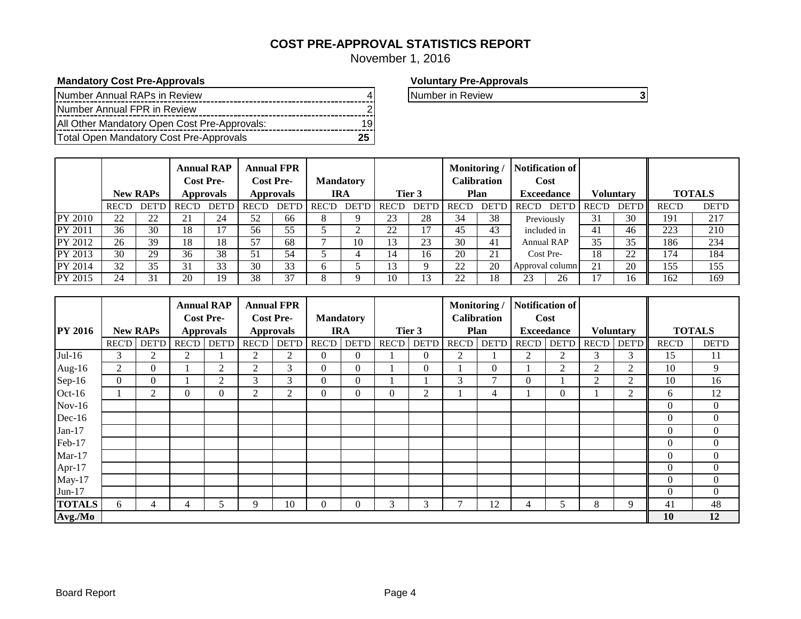# **COST PRE-APPROVAL STATISTICS REPORT**

November 1, 2016

# **Mandatory Cost Pre-Approvals Voluntary Pre-Approvals**

| Total Open Mandatory Cost Pre-Approvals      |  |
|----------------------------------------------|--|
| All Other Mandatory Open Cost Pre-Approvals: |  |
| Number Annual FPR in Review                  |  |
| Number Annual RAPs in Review                 |  |

Number in Review **3** 

|                |       | <b>New RAPs</b>     |              | <b>Annual RAP</b><br><b>Cost Pre-</b><br><b>Approvals</b> |       | <b>Annual FPR</b><br><b>Cost Pre-</b><br><b>Approvals</b> |              | <b>Mandatory</b><br>IRA |               | Tier 3       | <b>Monitoring</b> / | Calibration<br><b>Plan</b> |              | Notification of<br>Cost<br><b>Exceedance</b> |              | <b>Voluntary</b> |              | <b>TOTALS</b> |
|----------------|-------|---------------------|--------------|-----------------------------------------------------------|-------|-----------------------------------------------------------|--------------|-------------------------|---------------|--------------|---------------------|----------------------------|--------------|----------------------------------------------|--------------|------------------|--------------|---------------|
|                | REC'D | <b>DET'I</b>        | <b>REC'D</b> | <b>DET'D</b>                                              | REC'D | <b>DET'D</b>                                              | <b>REC'D</b> | <b>DET'D</b>            | <b>REC'D</b>  | <b>DET'D</b> | <b>REC'D</b>        | <b>DET'D</b>               | <b>REC'D</b> | <b>DET'D</b>                                 | <b>REC'D</b> | <b>DET'D</b>     | <b>REC'D</b> | <b>DET'D</b>  |
| <b>PY 2010</b> | 22    | $\mathcal{D}$<br>∠∠ | 21           | 24                                                        | 52    | 66                                                        | Ω            |                         | 23            | 28           | 34                  | 38                         |              | Previously                                   | 31           | 30               | 191          | 217           |
| PY 2011        | 36    | 30                  | 18           |                                                           | 56    | 55                                                        |              |                         | າາ            |              | 45                  | 43                         |              | included in                                  | 41           | 46               | 223          | 210           |
| PY 2012        | 26    | 39                  | 18           | 18                                                        | 57    | 68                                                        |              | 10                      | 13            | 23           | 30                  | 41                         |              | Annual RAP                                   | 35           | 35               | 186          | 234           |
| PY 2013        | 30    | 29                  | 36           | 38                                                        | 51    | 54                                                        |              |                         | $\mathbf{14}$ | 16           | 20                  | 21                         |              | Cost Pre-                                    | 18           | 22               | 174          | 184           |
| <b>PY 2014</b> | 32    | 35                  | 31           | 33                                                        | 30    | 33                                                        | o            |                         | 13            |              | 22                  | 20                         |              | Approval column                              | 21           | 20               | 155          | 155           |
| PY 2015        | 24    | 31                  | 20           | 19                                                        | 38    | 37                                                        | Ω            |                         | 10            | 13           | 22                  | 18                         | $2^{\circ}$  | 26                                           |              | 16               | 162          | 169           |

|                |              |                 |                  | <b>Annual RAP</b> |                  | <b>Annual FPR</b> |              |                  |              |                | Monitoring/  |                    | Notification of |                   |              |                  |                |                  |
|----------------|--------------|-----------------|------------------|-------------------|------------------|-------------------|--------------|------------------|--------------|----------------|--------------|--------------------|-----------------|-------------------|--------------|------------------|----------------|------------------|
|                |              |                 | <b>Cost Pre-</b> |                   | <b>Cost Pre-</b> |                   |              | <b>Mandatory</b> |              |                |              | <b>Calibration</b> |                 | Cost              |              |                  |                |                  |
| <b>PY 2016</b> |              | <b>New RAPs</b> |                  | <b>Approvals</b>  |                  | <b>Approvals</b>  |              | <b>IRA</b>       |              | Tier 3         |              | Plan               |                 | <b>Exceedance</b> |              | <b>Voluntary</b> |                | <b>TOTALS</b>    |
|                | <b>REC'D</b> | <b>DET'D</b>    | <b>REC'D</b>     | <b>DET'D</b>      | <b>REC'D</b>     | <b>DET'D</b>      | <b>REC'D</b> | <b>DET'D</b>     | <b>REC'D</b> | <b>DET'D</b>   | <b>REC'D</b> | <b>DET'D</b>       | <b>REC'D</b>    | <b>DET'D</b>      | <b>REC'D</b> | <b>DET'D</b>     | <b>REC'D</b>   | <b>DET'D</b>     |
| $Jul-16$       | 3            | 2               | 2                |                   | 2                | 2                 | $\Omega$     | $\Omega$         |              | $\overline{0}$ | 2            |                    | 2               | $\overline{2}$    | 3            | 3                | 15             | 11               |
| Aug- $16$      | 2            | $\overline{0}$  |                  | 2                 | $\overline{2}$   | 3                 | $\Omega$     | $\Omega$         |              | $\theta$       |              | $\overline{0}$     |                 | $\overline{2}$    | 2            | 2                | 10             | 9                |
| $Sep-16$       | $\Omega$     | $\Omega$        |                  | $\overline{2}$    | 3                | 3                 | $\Omega$     | $\Omega$         |              |                | 3            | ⇁                  | $\Omega$        |                   | 2            | 2                | 10             | 16               |
| Oct-16         |              | 2               | $\mathbf{0}$     | $\boldsymbol{0}$  | 2                | $\overline{2}$    | $\Omega$     | $\Omega$         | $\Omega$     | $\overline{2}$ |              | 4                  |                 | $\theta$          |              | 2                | 6              | 12               |
| $Nov-16$       |              |                 |                  |                   |                  |                   |              |                  |              |                |              |                    |                 |                   |              |                  | $\theta$       | $\boldsymbol{0}$ |
| Dec-16         |              |                 |                  |                   |                  |                   |              |                  |              |                |              |                    |                 |                   |              |                  | $\theta$       | $\overline{0}$   |
| $Jan-17$       |              |                 |                  |                   |                  |                   |              |                  |              |                |              |                    |                 |                   |              |                  | $\theta$       | $\overline{0}$   |
| Feb-17         |              |                 |                  |                   |                  |                   |              |                  |              |                |              |                    |                 |                   |              |                  | $\overline{0}$ | $\overline{0}$   |
| $Mar-17$       |              |                 |                  |                   |                  |                   |              |                  |              |                |              |                    |                 |                   |              |                  | $\overline{0}$ | $\boldsymbol{0}$ |
| Apr-17         |              |                 |                  |                   |                  |                   |              |                  |              |                |              |                    |                 |                   |              |                  | $\theta$       | $\overline{0}$   |
| $May-17$       |              |                 |                  |                   |                  |                   |              |                  |              |                |              |                    |                 |                   |              |                  | $\theta$       | $\overline{0}$   |
| Jun-17         |              |                 |                  |                   |                  |                   |              |                  |              |                |              |                    |                 |                   |              |                  | $\theta$       | $\mathbf{0}$     |
| <b>TOTALS</b>  | 6            | 4               | 4                | C.                | 9                | 10                | $\Omega$     | 0                | 3            | 3              |              | 12                 | 4               | $\mathcal{D}$     | 8            | 9                | 41             | 48               |
| Avg./Mo        |              |                 |                  |                   |                  |                   |              |                  |              |                |              |                    |                 |                   |              |                  | 10             | 12               |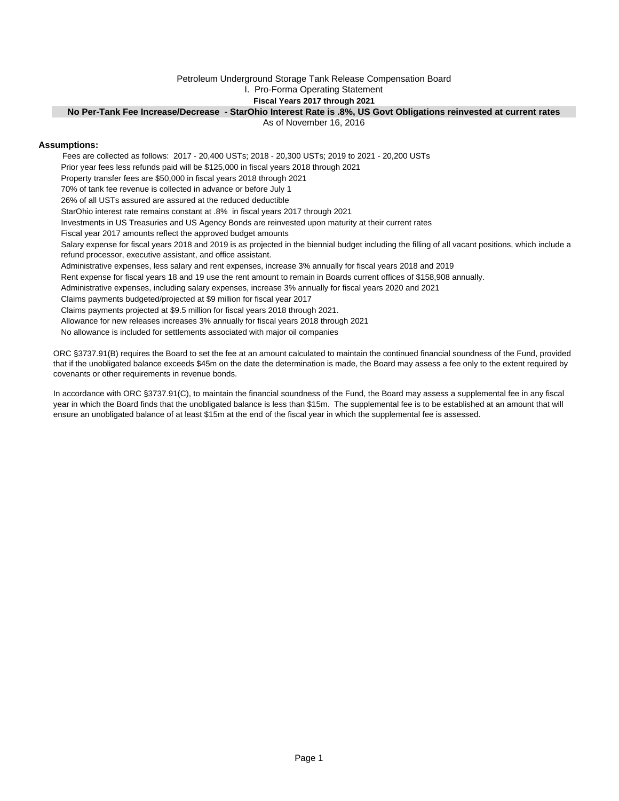#### Petroleum Underground Storage Tank Release Compensation Board

I. Pro-Forma Operating Statement

## **Fiscal Years 2017 through 2021**

#### **No Per-Tank Fee Increase/Decrease - StarOhio Interest Rate is .8%, US Govt Obligations reinvested at current rates**

As of November 16, 2016

#### **Assumptions:**

 Fees are collected as follows: 2017 - 20,400 USTs; 2018 - 20,300 USTs; 2019 to 2021 - 20,200 USTs Prior year fees less refunds paid will be \$125,000 in fiscal years 2018 through 2021 Property transfer fees are \$50,000 in fiscal years 2018 through 2021 70% of tank fee revenue is collected in advance or before July 1 26% of all USTs assured are assured at the reduced deductible StarOhio interest rate remains constant at .8% in fiscal years 2017 through 2021 Investments in US Treasuries and US Agency Bonds are reinvested upon maturity at their current rates Fiscal year 2017 amounts reflect the approved budget amounts Administrative expenses, less salary and rent expenses, increase 3% annually for fiscal years 2018 and 2019 Rent expense for fiscal years 18 and 19 use the rent amount to remain in Boards current offices of \$158,908 annually. Administrative expenses, including salary expenses, increase 3% annually for fiscal years 2020 and 2021 Claims payments budgeted/projected at \$9 million for fiscal year 2017 Claims payments projected at \$9.5 million for fiscal years 2018 through 2021. Allowance for new releases increases 3% annually for fiscal years 2018 through 2021 No allowance is included for settlements associated with major oil companies Salary expense for fiscal years 2018 and 2019 is as projected in the biennial budget including the filling of all vacant positions, which include a refund processor, executive assistant, and office assistant.

ORC §3737.91(B) requires the Board to set the fee at an amount calculated to maintain the continued financial soundness of the Fund, provided that if the unobligated balance exceeds \$45m on the date the determination is made, the Board may assess a fee only to the extent required by covenants or other requirements in revenue bonds.

In accordance with ORC §3737.91(C), to maintain the financial soundness of the Fund, the Board may assess a supplemental fee in any fiscal year in which the Board finds that the unobligated balance is less than \$15m. The supplemental fee is to be established at an amount that will ensure an unobligated balance of at least \$15m at the end of the fiscal year in which the supplemental fee is assessed.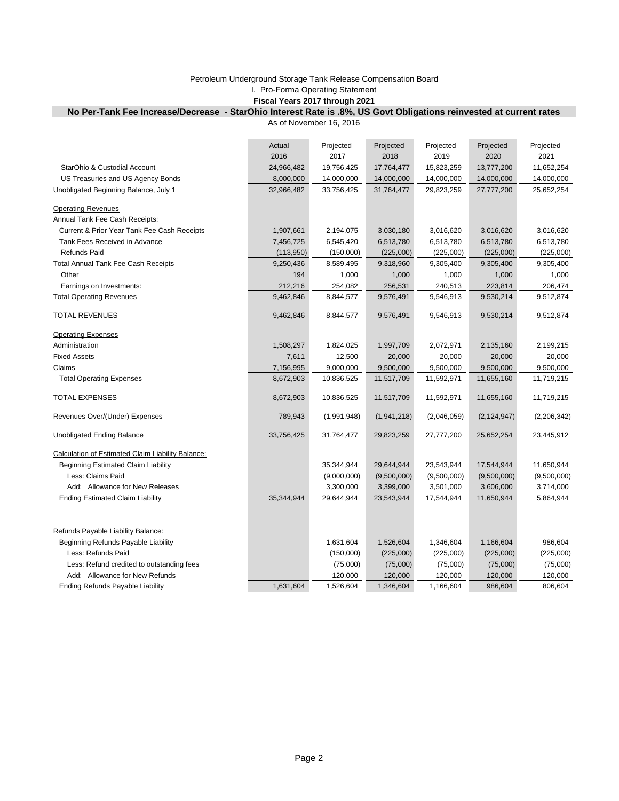# Petroleum Underground Storage Tank Release Compensation Board

I. Pro-Forma Operating Statement

## **Fiscal Years 2017 through 2021**

# **No Per-Tank Fee Increase/Decrease - StarOhio Interest Rate is .8%, US Govt Obligations reinvested at current rates**

As of November 16, 2016

|                                                   | Actual     | Projected   | Projected   | Projected   | Projected     | Projected   |
|---------------------------------------------------|------------|-------------|-------------|-------------|---------------|-------------|
|                                                   | 2016       | 2017        | 2018        | 2019        | 2020          | 2021        |
| StarOhio & Custodial Account                      | 24,966,482 | 19,756,425  | 17,764,477  | 15,823,259  | 13,777,200    | 11,652,254  |
| US Treasuries and US Agency Bonds                 | 8,000,000  | 14,000,000  | 14,000,000  | 14,000,000  | 14,000,000    | 14,000,000  |
| Unobligated Beginning Balance, July 1             | 32,966,482 | 33,756,425  | 31,764,477  | 29,823,259  | 27,777,200    | 25,652,254  |
| <b>Operating Revenues</b>                         |            |             |             |             |               |             |
| Annual Tank Fee Cash Receipts:                    |            |             |             |             |               |             |
| Current & Prior Year Tank Fee Cash Receipts       | 1,907,661  | 2,194,075   | 3,030,180   | 3,016,620   | 3,016,620     | 3,016,620   |
| Tank Fees Received in Advance                     | 7,456,725  | 6,545,420   | 6,513,780   | 6,513,780   | 6,513,780     | 6,513,780   |
| Refunds Paid                                      | (113,950)  | (150,000)   | (225,000)   | (225,000)   | (225,000)     | (225,000)   |
| <b>Total Annual Tank Fee Cash Receipts</b>        | 9,250,436  | 8,589,495   | 9,318,960   | 9,305,400   | 9,305,400     | 9,305,400   |
| Other                                             | 194        | 1,000       | 1,000       | 1,000       | 1,000         | 1,000       |
| Earnings on Investments:                          | 212,216    | 254,082     | 256,531     | 240,513     | 223,814       | 206,474     |
| <b>Total Operating Revenues</b>                   | 9,462,846  | 8,844,577   | 9,576,491   | 9,546,913   | 9,530,214     | 9,512,874   |
| TOTAL REVENUES                                    | 9,462,846  | 8,844,577   | 9,576,491   | 9,546,913   | 9,530,214     | 9,512,874   |
| <b>Operating Expenses</b>                         |            |             |             |             |               |             |
| Administration                                    | 1,508,297  | 1,824,025   | 1,997,709   | 2,072,971   | 2,135,160     | 2,199,215   |
| <b>Fixed Assets</b>                               | 7,611      | 12,500      | 20,000      | 20,000      | 20,000        | 20,000      |
| Claims                                            | 7,156,995  | 9,000,000   | 9,500,000   | 9,500,000   | 9,500,000     | 9,500,000   |
| <b>Total Operating Expenses</b>                   | 8,672,903  | 10,836,525  | 11,517,709  | 11,592,971  | 11,655,160    | 11,719,215  |
| <b>TOTAL EXPENSES</b>                             | 8,672,903  | 10,836,525  | 11,517,709  | 11,592,971  | 11,655,160    | 11,719,215  |
| Revenues Over/(Under) Expenses                    | 789,943    | (1,991,948) | (1,941,218) | (2,046,059) | (2, 124, 947) | (2,206,342) |
| Unobligated Ending Balance                        | 33,756,425 | 31,764,477  | 29,823,259  | 27,777,200  | 25,652,254    | 23,445,912  |
| Calculation of Estimated Claim Liability Balance: |            |             |             |             |               |             |
| Beginning Estimated Claim Liability               |            | 35,344,944  | 29,644,944  | 23,543,944  | 17,544,944    | 11,650,944  |
| Less: Claims Paid                                 |            | (9,000,000) | (9,500,000) | (9,500,000) | (9,500,000)   | (9,500,000) |
| Add: Allowance for New Releases                   |            | 3,300,000   | 3,399,000   | 3,501,000   | 3,606,000     | 3,714,000   |
| <b>Ending Estimated Claim Liability</b>           | 35,344,944 | 29,644,944  | 23,543,944  | 17,544,944  | 11,650,944    | 5,864,944   |
|                                                   |            |             |             |             |               |             |
| Refunds Payable Liability Balance:                |            |             |             |             |               |             |
| Beginning Refunds Payable Liability               |            | 1,631,604   | 1,526,604   | 1,346,604   | 1,166,604     | 986,604     |
| Less: Refunds Paid                                |            | (150,000)   | (225,000)   | (225,000)   | (225,000)     | (225,000)   |
| Less: Refund credited to outstanding fees         |            | (75,000)    | (75,000)    | (75,000)    | (75,000)      | (75,000)    |
| Add: Allowance for New Refunds                    |            | 120,000     | 120,000     | 120,000     | 120,000       | 120,000     |
| <b>Ending Refunds Payable Liability</b>           | 1,631,604  | 1,526,604   | 1,346,604   | 1,166,604   | 986,604       | 806,604     |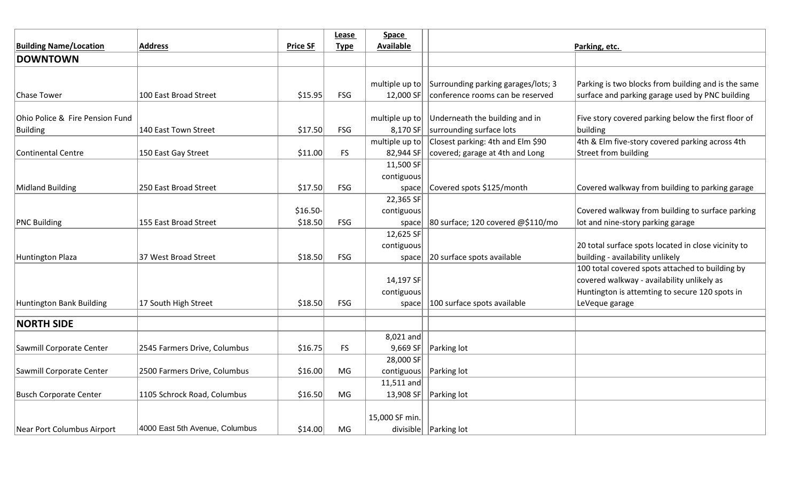|                                 |                                |                 | Lease       | <b>Space</b>     |                                     |                                                     |
|---------------------------------|--------------------------------|-----------------|-------------|------------------|-------------------------------------|-----------------------------------------------------|
| <b>Building Name/Location</b>   | <b>Address</b>                 | <b>Price SF</b> | <b>Type</b> | <b>Available</b> |                                     | Parking, etc.                                       |
| <b>DOWNTOWN</b>                 |                                |                 |             |                  |                                     |                                                     |
|                                 |                                |                 |             |                  |                                     |                                                     |
|                                 |                                |                 |             | multiple up to   | Surrounding parking garages/lots; 3 | Parking is two blocks from building and is the same |
| <b>Chase Tower</b>              | 100 East Broad Street          | \$15.95         | <b>FSG</b>  | 12,000 SF        | conference rooms can be reserved    | surface and parking garage used by PNC building     |
|                                 |                                |                 |             |                  |                                     |                                                     |
| Ohio Police & Fire Pension Fund |                                |                 |             | multiple up to   | Underneath the building and in      | Five story covered parking below the first floor of |
| <b>Building</b>                 | 140 East Town Street           | \$17.50         | <b>FSG</b>  | 8,170 SF         | surrounding surface lots            | building                                            |
|                                 |                                |                 |             | multiple up to   | Closest parking: 4th and Elm \$90   | 4th & Elm five-story covered parking across 4th     |
| <b>Continental Centre</b>       | 150 East Gay Street            | \$11.00         | <b>FS</b>   | 82,944 SF        | covered; garage at 4th and Long     | Street from building                                |
|                                 |                                |                 |             | 11,500 SF        |                                     |                                                     |
|                                 |                                |                 |             | contiguous       |                                     |                                                     |
| <b>Midland Building</b>         | 250 East Broad Street          | \$17.50         | <b>FSG</b>  | space            | Covered spots \$125/month           | Covered walkway from building to parking garage     |
|                                 |                                |                 |             | 22,365 SF        |                                     |                                                     |
|                                 |                                | \$16.50-        |             | contiguous       |                                     | Covered walkway from building to surface parking    |
| <b>PNC Building</b>             | 155 East Broad Street          | \$18.50         | <b>FSG</b>  | space            | 80 surface; 120 covered @\$110/mo   | lot and nine-story parking garage                   |
|                                 |                                |                 |             | 12,625 SF        |                                     |                                                     |
|                                 |                                |                 |             | contiguous       |                                     | 20 total surface spots located in close vicinity to |
| <b>Huntington Plaza</b>         | 37 West Broad Street           | \$18.50         | FSG         | space            | 20 surface spots available          | building - availability unlikely                    |
|                                 |                                |                 |             |                  |                                     | 100 total covered spots attached to building by     |
|                                 |                                |                 |             | 14,197 $SF$      |                                     | covered walkway - availability unlikely as          |
|                                 |                                |                 |             | contiguous       |                                     | Huntington is attemting to secure 120 spots in      |
| <b>Huntington Bank Building</b> | 17 South High Street           | \$18.50         | <b>FSG</b>  | space            | 100 surface spots available         | LeVeque garage                                      |
|                                 |                                |                 |             |                  |                                     |                                                     |
| <b>NORTH SIDE</b>               |                                |                 |             |                  |                                     |                                                     |
|                                 |                                |                 |             | $8,021$ and      |                                     |                                                     |
| Sawmill Corporate Center        | 2545 Farmers Drive, Columbus   | \$16.75         | FS.         |                  | 9,669 SF     Parking lot            |                                                     |
|                                 |                                |                 |             | 28,000 SF        |                                     |                                                     |
| Sawmill Corporate Center        | 2500 Farmers Drive, Columbus   | \$16.00         | MG          | contiguous       | <b>Parking lot</b>                  |                                                     |
|                                 |                                |                 |             | 11,511 and       |                                     |                                                     |
| <b>Busch Corporate Center</b>   | 1105 Schrock Road, Columbus    | \$16.50         | MG          |                  | 13,908 SF   Parking lot             |                                                     |
|                                 |                                |                 |             |                  |                                     |                                                     |
|                                 |                                |                 |             | 15,000 SF min.   |                                     |                                                     |
| Near Port Columbus Airport      | 4000 East 5th Avenue, Columbus | \$14.00         | ΜG          |                  | divisible   Parking lot             |                                                     |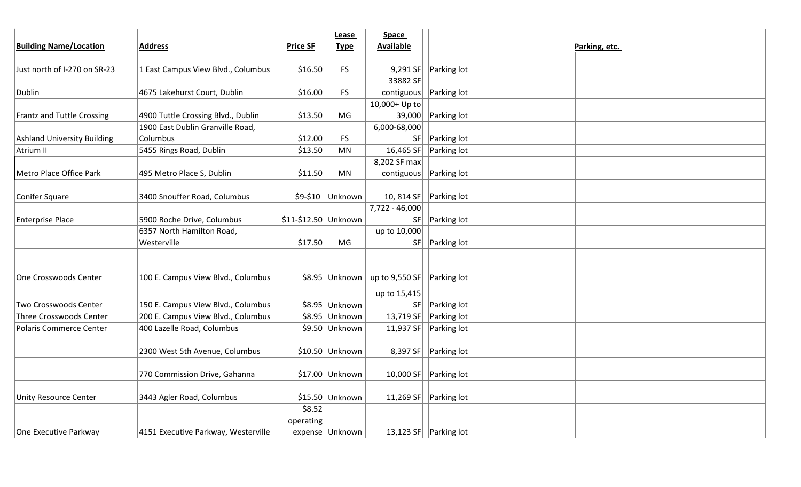|                                    |                                     |                      | Lease            | <b>Space</b>                                                |                                 |               |
|------------------------------------|-------------------------------------|----------------------|------------------|-------------------------------------------------------------|---------------------------------|---------------|
| <b>Building Name/Location</b>      | <b>Address</b>                      | <b>Price SF</b>      | <b>Type</b>      | <b>Available</b>                                            |                                 | Parking, etc. |
|                                    |                                     |                      |                  |                                                             |                                 |               |
| Just north of I-270 on SR-23       | 1 East Campus View Blvd., Columbus  | \$16.50              | <b>FS</b>        |                                                             | 9,291 SF   $\vert$ Parking lot  |               |
|                                    |                                     |                      |                  | 33882 SF                                                    |                                 |               |
| Dublin                             | 4675 Lakehurst Court, Dublin        | \$16.00              | <b>FS</b>        | contiguous   Parking lot                                    |                                 |               |
|                                    |                                     |                      |                  | 10,000+ Up to                                               |                                 |               |
| <b>Frantz and Tuttle Crossing</b>  | 4900 Tuttle Crossing Blvd., Dublin  | \$13.50              | MG               |                                                             | 39,000 Parking lot              |               |
|                                    | 1900 East Dublin Granville Road,    |                      |                  | $6,000 - 68,000$                                            |                                 |               |
| <b>Ashland University Building</b> | Columbus                            | \$12.00              | <b>FS</b>        | SF                                                          | Parking lot                     |               |
| Atrium II                          | 5455 Rings Road, Dublin             | \$13.50              | MN               | 16,465 $SF$                                                 | <b>Parking lot</b>              |               |
|                                    |                                     |                      |                  | 8,202 SF max                                                |                                 |               |
| Metro Place Office Park            | 495 Metro Place S, Dublin           | \$11.50              | MN               | contiguous   Parking lot                                    |                                 |               |
|                                    |                                     |                      |                  |                                                             |                                 |               |
| Conifer Square                     | 3400 Snouffer Road, Columbus        |                      | $$9-$10$ Unknown |                                                             | 10, 814 SF   $ $ Parking lot    |               |
|                                    |                                     |                      |                  | 7,722 - 46,000                                              |                                 |               |
| <b>Enterprise Place</b>            | 5900 Roche Drive, Columbus          | \$11-\$12.50 Unknown |                  |                                                             | SF   Parking lot                |               |
|                                    | 6357 North Hamilton Road,           |                      |                  | up to 10,000                                                |                                 |               |
|                                    | Westerville                         | \$17.50              | MG               |                                                             | $SF$ Parking lot                |               |
|                                    |                                     |                      |                  |                                                             |                                 |               |
|                                    |                                     |                      |                  |                                                             |                                 |               |
| One Crosswoods Center              | 100 E. Campus View Blvd., Columbus  |                      |                  | $\frac{1}{2}$ \$8.95 Unknown   up to 9,550 SF   Parking lot |                                 |               |
|                                    |                                     |                      |                  | up to 15,415                                                |                                 |               |
| Two Crosswoods Center              | 150 E. Campus View Blvd., Columbus  |                      | \$8.95 Unknown   |                                                             | $SF$ Parking lot                |               |
| <b>Three Crosswoods Center</b>     | 200 E. Campus View Blvd., Columbus  |                      | \$8.95 Unknown   |                                                             | 13,719 SF   Parking lot         |               |
| <b>Polaris Commerce Center</b>     | 400 Lazelle Road, Columbus          |                      | \$9.50 Unknown   |                                                             | 11,937 SF     Parking lot       |               |
|                                    |                                     |                      |                  |                                                             |                                 |               |
|                                    | 2300 West 5th Avenue, Columbus      |                      | $$10.50$ Unknown |                                                             | 8,397 SF     Parking lot        |               |
|                                    |                                     |                      |                  |                                                             |                                 |               |
|                                    | 770 Commission Drive, Gahanna       |                      | $$17.00$ Unknown |                                                             | 10,000 SF     Parking lot       |               |
|                                    |                                     |                      |                  |                                                             |                                 |               |
| <b>Unity Resource Center</b>       | 3443 Agler Road, Columbus           |                      | $$15.50$ Unknown |                                                             | 11,269 SF   $\vert$ Parking lot |               |
|                                    |                                     | \$8.52               |                  |                                                             |                                 |               |
|                                    |                                     | operating            |                  |                                                             |                                 |               |
| One Executive Parkway              | 4151 Executive Parkway, Westerville |                      | expense Unknown  |                                                             | 13,123 SF Parking lot           |               |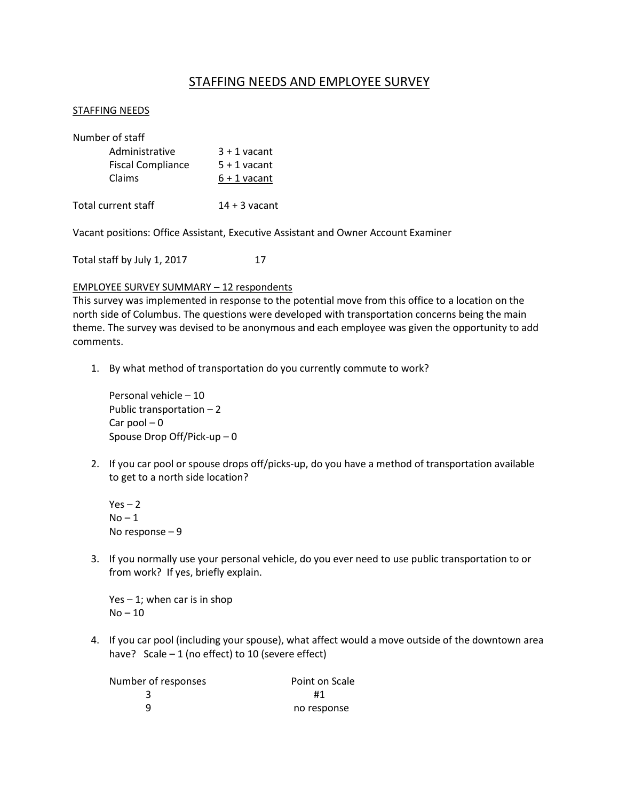# STAFFING NEEDS AND EMPLOYEE SURVEY

## STAFFING NEEDS

| Number of staff          |                 |  |
|--------------------------|-----------------|--|
| Administrative           | $3 + 1$ vacant  |  |
| <b>Fiscal Compliance</b> | $5 + 1$ vacant  |  |
| Claims                   | $6 + 1$ vacant  |  |
| Total current staff      | $14 + 3$ vacant |  |

Vacant positions: Office Assistant, Executive Assistant and Owner Account Examiner

Total staff by July 1, 2017 17

## EMPLOYEE SURVEY SUMMARY – 12 respondents

This survey was implemented in response to the potential move from this office to a location on the north side of Columbus. The questions were developed with transportation concerns being the main theme. The survey was devised to be anonymous and each employee was given the opportunity to add comments.

1. By what method of transportation do you currently commute to work?

Personal vehicle – 10 Public transportation – 2 Car pool  $-0$ Spouse Drop Off/Pick-up – 0

2. If you car pool or spouse drops off/picks-up, do you have a method of transportation available to get to a north side location?

 $Yes - 2$  $No-1$ No response – 9

3. If you normally use your personal vehicle, do you ever need to use public transportation to or from work? If yes, briefly explain.

 $Yes - 1;$  when car is in shop No – 10

4. If you car pool (including your spouse), what affect would a move outside of the downtown area have? Scale  $-1$  (no effect) to 10 (severe effect)

| Number of responses | Point on Scale |
|---------------------|----------------|
|                     | #1             |
| q                   | no response    |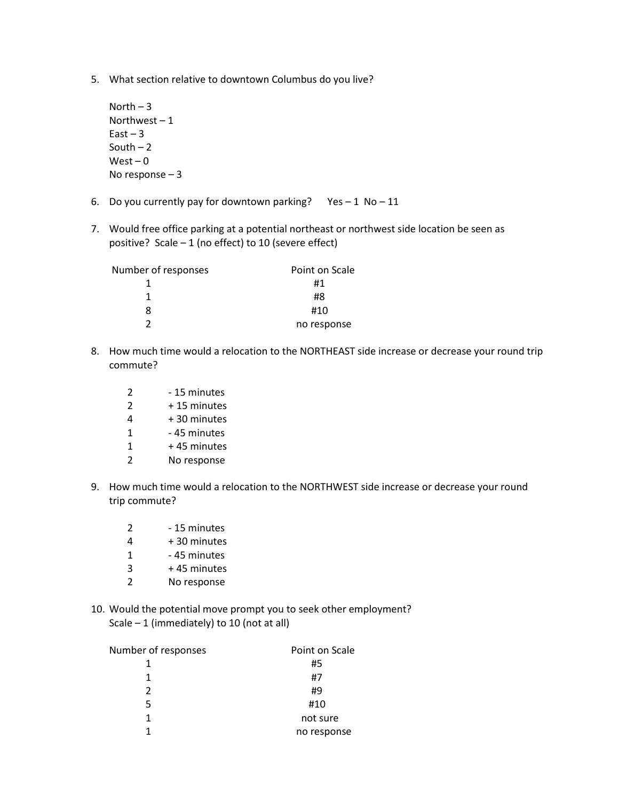5. What section relative to downtown Columbus do you live?

```
North -3Northwest -1East - 3South -2West - 0No response – 3
```
- 6. Do you currently pay for downtown parking? Yes  $-1$  No  $-11$
- 7. Would free office parking at a potential northeast or northwest side location be seen as positive? Scale  $-1$  (no effect) to 10 (severe effect)

| Number of responses | Point on Scale |
|---------------------|----------------|
|                     | #1             |
| 1                   | #8             |
| 8                   | #10            |
|                     | no response    |

- 8. How much time would a relocation to the NORTHEAST side increase or decrease your round trip commute?
	- 2 15 minutes
	- $2 + 15$  minutes
	- $4 + 30$  minutes
	- 1 45 minutes
	- $1 + 45$  minutes
	- 2 No response
- 9. How much time would a relocation to the NORTHWEST side increase or decrease your round trip commute?
	- 2 15 minutes
	- $4 + 30$  minutes
	- 1 45 minutes
	- $3 + 45$  minutes
	- 2 No response
- 10. Would the potential move prompt you to seek other employment? Scale  $-1$  (immediately) to 10 (not at all)

| Number of responses | Point on Scale |
|---------------------|----------------|
|                     | #5             |
|                     | #7             |
| 2                   | #9             |
| 5                   | #10            |
| 1                   | not sure       |
|                     | no response    |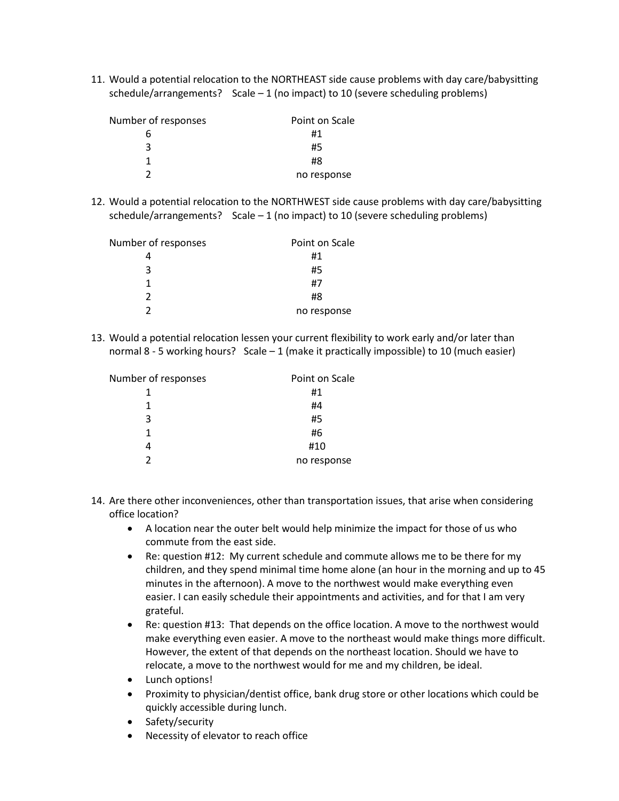11. Would a potential relocation to the NORTHEAST side cause problems with day care/babysitting schedule/arrangements? Scale  $-1$  (no impact) to 10 (severe scheduling problems)

| Number of responses | Point on Scale |
|---------------------|----------------|
|                     | #1             |
| ર                   | #5             |
|                     | #8             |
|                     | no response    |

12. Would a potential relocation to the NORTHWEST side cause problems with day care/babysitting schedule/arrangements? Scale  $-1$  (no impact) to 10 (severe scheduling problems)

| Number of responses | Point on Scale |  |  |  |
|---------------------|----------------|--|--|--|
|                     | #1             |  |  |  |
| ર                   | #5             |  |  |  |
|                     | #7             |  |  |  |
| 2                   | #8             |  |  |  |
|                     | no response    |  |  |  |

13. Would a potential relocation lessen your current flexibility to work early and/or later than normal 8 - 5 working hours? Scale – 1 (make it practically impossible) to 10 (much easier)

| Number of responses | Point on Scale |
|---------------------|----------------|
|                     | #1             |
| 1                   | #4             |
| 3                   | #5             |
|                     | #6             |
|                     | #10            |
| כי                  | no response    |

- 14. Are there other inconveniences, other than transportation issues, that arise when considering office location?
	- A location near the outer belt would help minimize the impact for those of us who commute from the east side.
	- Re: question #12: My current schedule and commute allows me to be there for my children, and they spend minimal time home alone (an hour in the morning and up to 45 minutes in the afternoon). A move to the northwest would make everything even easier. I can easily schedule their appointments and activities, and for that I am very grateful.
	- Re: question #13: That depends on the office location. A move to the northwest would make everything even easier. A move to the northeast would make things more difficult. However, the extent of that depends on the northeast location. Should we have to relocate, a move to the northwest would for me and my children, be ideal.
	- Lunch options!
	- Proximity to physician/dentist office, bank drug store or other locations which could be quickly accessible during lunch.
	- Safety/security
	- Necessity of elevator to reach office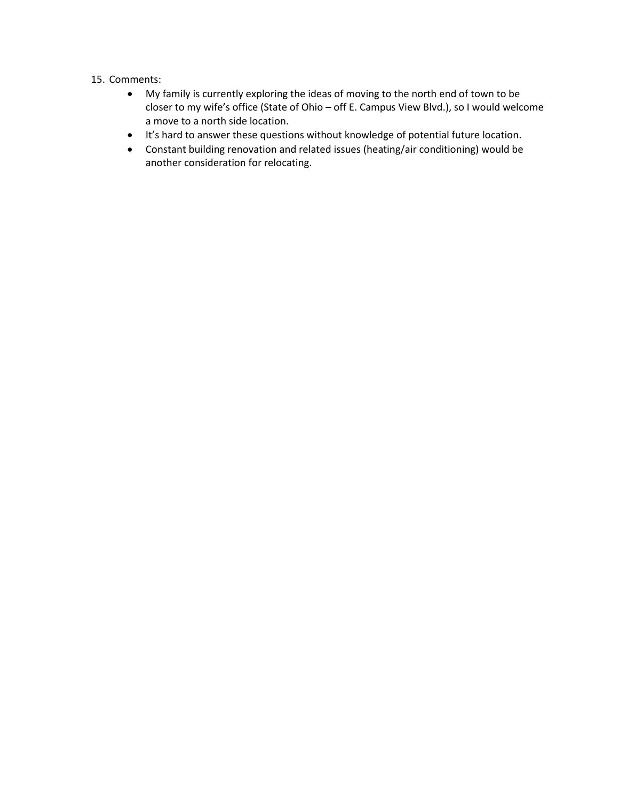## 15. Comments:

- My family is currently exploring the ideas of moving to the north end of town to be closer to my wife's office (State of Ohio – off E. Campus View Blvd.), so I would welcome a move to a north side location.
- It's hard to answer these questions without knowledge of potential future location.
- Constant building renovation and related issues (heating/air conditioning) would be another consideration for relocating.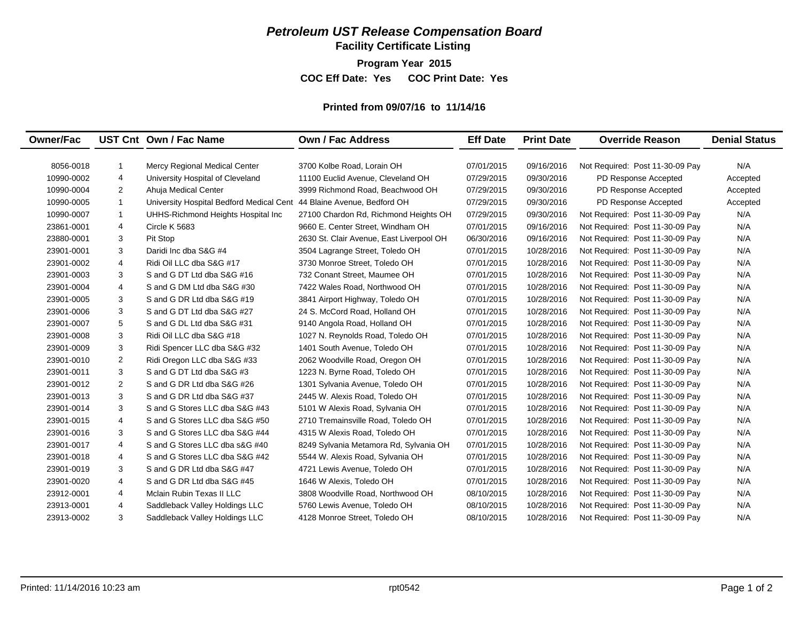**Facility Certificate Listing**

**Program Year 2015**

**COC Eff Date: Yes COC Print Date: Yes** 

#### **Printed from 09/07/16 to 11/14/16**

| <b>Owner/Fac</b> |                | UST Cnt Own / Fac Name                   | Own / Fac Address                        | <b>Eff Date</b> | <b>Print Date</b> | <b>Override Reason</b>          | <b>Denial Status</b> |
|------------------|----------------|------------------------------------------|------------------------------------------|-----------------|-------------------|---------------------------------|----------------------|
| 8056-0018        | $\mathbf{1}$   | Mercy Regional Medical Center            | 3700 Kolbe Road, Lorain OH               | 07/01/2015      | 09/16/2016        | Not Required: Post 11-30-09 Pay | N/A                  |
| 10990-0002       | 4              | University Hospital of Cleveland         | 11100 Euclid Avenue, Cleveland OH        | 07/29/2015      | 09/30/2016        | PD Response Accepted            | Accepted             |
| 10990-0004       | $\overline{2}$ | Ahuja Medical Center                     | 3999 Richmond Road, Beachwood OH         | 07/29/2015      | 09/30/2016        | PD Response Accepted            | Accepted             |
| 10990-0005       | $\mathbf{1}$   | University Hospital Bedford Medical Cent | 44 Blaine Avenue. Bedford OH             | 07/29/2015      | 09/30/2016        | PD Response Accepted            | Accepted             |
| 10990-0007       | $\mathbf{1}$   | UHHS-Richmond Heights Hospital Inc       | 27100 Chardon Rd, Richmond Heights OH    | 07/29/2015      | 09/30/2016        | Not Required: Post 11-30-09 Pay | N/A                  |
| 23861-0001       | 4              | Circle K 5683                            | 9660 E. Center Street, Windham OH        | 07/01/2015      | 09/16/2016        | Not Required: Post 11-30-09 Pay | N/A                  |
| 23880-0001       | 3              | Pit Stop                                 | 2630 St. Clair Avenue, East Liverpool OH | 06/30/2016      | 09/16/2016        | Not Required: Post 11-30-09 Pay | N/A                  |
| 23901-0001       | 3              | Daridi Inc dba S&G #4                    | 3504 Lagrange Street, Toledo OH          | 07/01/2015      | 10/28/2016        | Not Required: Post 11-30-09 Pay | N/A                  |
| 23901-0002       | 4              | Ridi Oil LLC dba S&G #17                 | 3730 Monroe Street, Toledo OH            | 07/01/2015      | 10/28/2016        | Not Required: Post 11-30-09 Pay | N/A                  |
| 23901-0003       | 3              | S and G DT Ltd dba S&G #16               | 732 Conant Street. Maumee OH             | 07/01/2015      | 10/28/2016        | Not Required: Post 11-30-09 Pay | N/A                  |
| 23901-0004       | $\overline{4}$ | S and G DM Ltd dba S&G #30               | 7422 Wales Road, Northwood OH            | 07/01/2015      | 10/28/2016        | Not Required: Post 11-30-09 Pay | N/A                  |
| 23901-0005       | 3              | S and G DR Ltd dba S&G #19               | 3841 Airport Highway, Toledo OH          | 07/01/2015      | 10/28/2016        | Not Required: Post 11-30-09 Pay | N/A                  |
| 23901-0006       | 3              | S and G DT Ltd dba S&G #27               | 24 S. McCord Road, Holland OH            | 07/01/2015      | 10/28/2016        | Not Required: Post 11-30-09 Pay | N/A                  |
| 23901-0007       | 5              | S and G DL Ltd dba S&G #31               | 9140 Angola Road, Holland OH             | 07/01/2015      | 10/28/2016        | Not Required: Post 11-30-09 Pay | N/A                  |
| 23901-0008       | 3              | Ridi Oil LLC dba S&G #18                 | 1027 N. Reynolds Road, Toledo OH         | 07/01/2015      | 10/28/2016        | Not Required: Post 11-30-09 Pay | N/A                  |
| 23901-0009       | 3              | Ridi Spencer LLC dba S&G #32             | 1401 South Avenue, Toledo OH             | 07/01/2015      | 10/28/2016        | Not Required: Post 11-30-09 Pay | N/A                  |
| 23901-0010       | $\overline{2}$ | Ridi Oregon LLC dba S&G #33              | 2062 Woodville Road, Oregon OH           | 07/01/2015      | 10/28/2016        | Not Required: Post 11-30-09 Pay | N/A                  |
| 23901-0011       | 3              | S and G DT Ltd dba S&G #3                | 1223 N. Byrne Road, Toledo OH            | 07/01/2015      | 10/28/2016        | Not Required: Post 11-30-09 Pay | N/A                  |
| 23901-0012       | $\overline{2}$ | S and G DR Ltd dba S&G #26               | 1301 Sylvania Avenue, Toledo OH          | 07/01/2015      | 10/28/2016        | Not Required: Post 11-30-09 Pay | N/A                  |
| 23901-0013       | 3              | S and G DR Ltd dba S&G #37               | 2445 W. Alexis Road, Toledo OH           | 07/01/2015      | 10/28/2016        | Not Required: Post 11-30-09 Pay | N/A                  |
| 23901-0014       | 3              | S and G Stores LLC dba S&G #43           | 5101 W Alexis Road, Sylvania OH          | 07/01/2015      | 10/28/2016        | Not Required: Post 11-30-09 Pay | N/A                  |
| 23901-0015       | $\overline{4}$ | S and G Stores LLC dba S&G #50           | 2710 Tremainsville Road. Toledo OH       | 07/01/2015      | 10/28/2016        | Not Required: Post 11-30-09 Pay | N/A                  |
| 23901-0016       | 3              | S and G Stores LLC dba S&G #44           | 4315 W Alexis Road, Toledo OH            | 07/01/2015      | 10/28/2016        | Not Required: Post 11-30-09 Pay | N/A                  |
| 23901-0017       | $\overline{4}$ | S and G Stores LLC dba s&G #40           | 8249 Sylvania Metamora Rd, Sylvania OH   | 07/01/2015      | 10/28/2016        | Not Required: Post 11-30-09 Pay | N/A                  |
| 23901-0018       | $\overline{4}$ | S and G Stores LLC dba S&G #42           | 5544 W. Alexis Road, Sylvania OH         | 07/01/2015      | 10/28/2016        | Not Required: Post 11-30-09 Pay | N/A                  |
| 23901-0019       | 3              | S and G DR Ltd dba S&G #47               | 4721 Lewis Avenue, Toledo OH             | 07/01/2015      | 10/28/2016        | Not Required: Post 11-30-09 Pay | N/A                  |
| 23901-0020       | $\overline{4}$ | S and G DR Ltd dba S&G #45               | 1646 W Alexis, Toledo OH                 | 07/01/2015      | 10/28/2016        | Not Required: Post 11-30-09 Pay | N/A                  |
| 23912-0001       | 4              | Mclain Rubin Texas II LLC                | 3808 Woodville Road, Northwood OH        | 08/10/2015      | 10/28/2016        | Not Required: Post 11-30-09 Pay | N/A                  |
| 23913-0001       | 4              | Saddleback Valley Holdings LLC           | 5760 Lewis Avenue, Toledo OH             | 08/10/2015      | 10/28/2016        | Not Required: Post 11-30-09 Pay | N/A                  |
|                  |                |                                          |                                          |                 |                   |                                 |                      |
| 23913-0002       | 3              | Saddleback Valley Holdings LLC           | 4128 Monroe Street, Toledo OH            | 08/10/2015      | 10/28/2016        | Not Required: Post 11-30-09 Pay | N/A                  |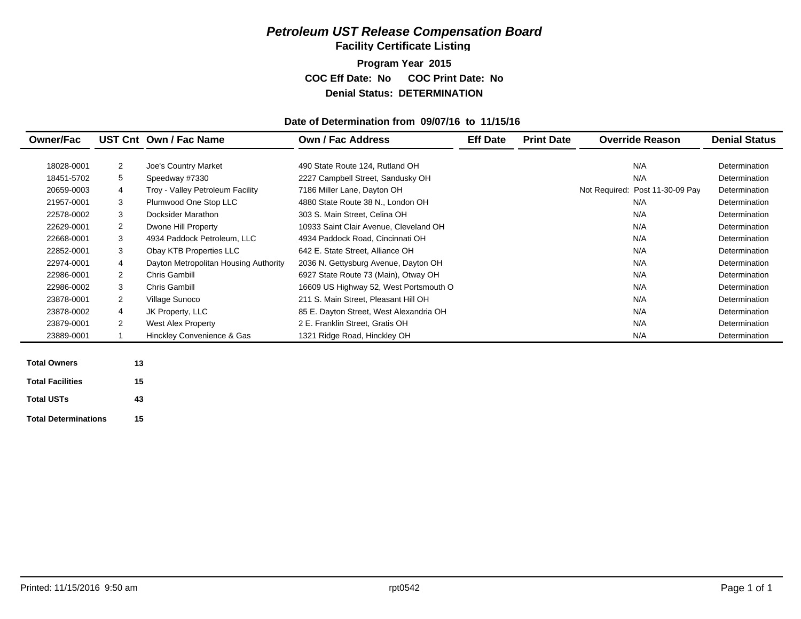**Facility Certificate Listing**

**Program Year 2015 COC Eff Date: No COC Print Date: No Denial Status: DETERMINATION**

#### **Date of Determination from 09/07/16 to 11/15/16**

| <b>Owner/Fac</b> |                | UST Cnt Own / Fac Name                | Own / Fac Address                       | <b>Eff Date</b> | <b>Print Date</b> | <b>Override Reason</b>          | <b>Denial Status</b> |
|------------------|----------------|---------------------------------------|-----------------------------------------|-----------------|-------------------|---------------------------------|----------------------|
|                  |                |                                       |                                         |                 |                   |                                 |                      |
| 18028-0001       | $\overline{2}$ | Joe's Country Market                  | 490 State Route 124, Rutland OH         |                 |                   | N/A                             | Determination        |
| 18451-5702       | 5              | Speedway #7330                        | 2227 Campbell Street, Sandusky OH       |                 |                   | N/A                             | Determination        |
| 20659-0003       | 4              | Troy - Valley Petroleum Facility      | 7186 Miller Lane, Dayton OH             |                 |                   | Not Required: Post 11-30-09 Pay | Determination        |
| 21957-0001       | 3              | Plumwood One Stop LLC                 | 4880 State Route 38 N., London OH       |                 |                   | N/A                             | Determination        |
| 22578-0002       | 3              | Docksider Marathon                    | 303 S. Main Street, Celina OH           |                 |                   | N/A                             | Determination        |
| 22629-0001       | $\overline{2}$ | Dwone Hill Property                   | 10933 Saint Clair Avenue, Cleveland OH  |                 |                   | N/A                             | Determination        |
| 22668-0001       | 3              | 4934 Paddock Petroleum, LLC           | 4934 Paddock Road, Cincinnati OH        |                 |                   | N/A                             | Determination        |
| 22852-0001       | 3              | Obay KTB Properties LLC               | 642 E. State Street, Alliance OH        |                 |                   | N/A                             | Determination        |
| 22974-0001       | 4              | Dayton Metropolitan Housing Authority | 2036 N. Gettysburg Avenue, Dayton OH    |                 |                   | N/A                             | Determination        |
| 22986-0001       | 2              | <b>Chris Gambill</b>                  | 6927 State Route 73 (Main), Otway OH    |                 |                   | N/A                             | Determination        |
| 22986-0002       | 3              | <b>Chris Gambill</b>                  | 16609 US Highway 52, West Portsmouth O  |                 |                   | N/A                             | Determination        |
| 23878-0001       | $\overline{2}$ | Village Sunoco                        | 211 S. Main Street, Pleasant Hill OH    |                 |                   | N/A                             | Determination        |
| 23878-0002       | 4              | JK Property, LLC                      | 85 E. Dayton Street, West Alexandria OH |                 |                   | N/A                             | Determination        |
| 23879-0001       | $\overline{2}$ | <b>West Alex Property</b>             | 2 E. Franklin Street, Gratis OH         |                 |                   | N/A                             | Determination        |
| 23889-0001       |                | Hinckley Convenience & Gas            | 1321 Ridge Road, Hinckley OH            |                 |                   | N/A                             | Determination        |
|                  |                |                                       |                                         |                 |                   |                                 |                      |
|                  |                |                                       |                                         |                 |                   |                                 |                      |

| <b>Total Owners</b>         | 13 |
|-----------------------------|----|
| <b>Total Facilities</b>     | 15 |
| <b>Total USTs</b>           | 43 |
| <b>Total Determinations</b> | 15 |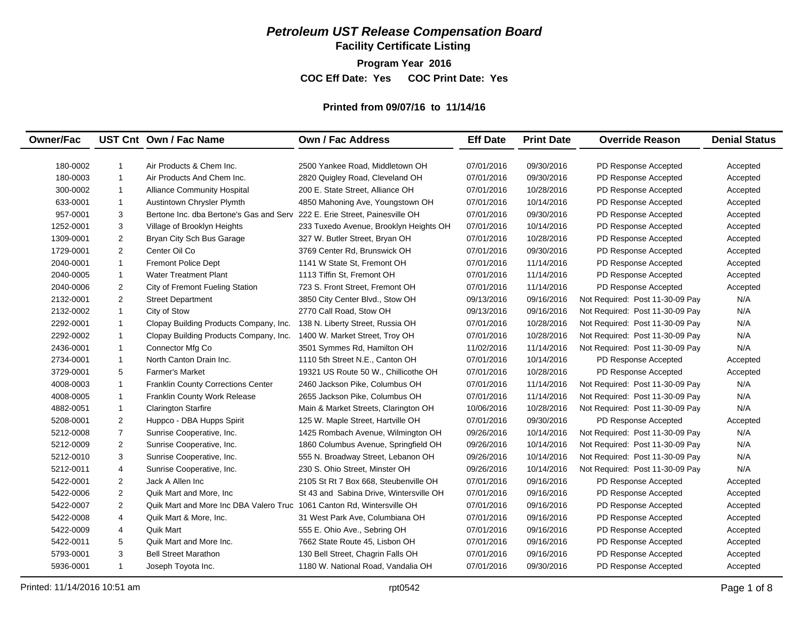**Facility Certificate Listing**

**Program Year 2016 COC Eff Date: Yes COC Print Date: Yes** 

# **Printed from 09/07/16 to 11/14/16**

| <b>Owner/Fac</b> |                | UST Cnt Own / Fac Name                                                     | <b>Own / Fac Address</b>                | <b>Eff Date</b> | <b>Print Date</b> | <b>Override Reason</b>          | <b>Denial Status</b> |
|------------------|----------------|----------------------------------------------------------------------------|-----------------------------------------|-----------------|-------------------|---------------------------------|----------------------|
|                  |                |                                                                            |                                         |                 |                   |                                 |                      |
| 180-0002         | $\mathbf{1}$   | Air Products & Chem Inc.                                                   | 2500 Yankee Road, Middletown OH         | 07/01/2016      | 09/30/2016        | PD Response Accepted            | Accepted             |
| 180-0003         | $\overline{1}$ | Air Products And Chem Inc.                                                 | 2820 Quigley Road, Cleveland OH         | 07/01/2016      | 09/30/2016        | PD Response Accepted            | Accepted             |
| 300-0002         | $\overline{1}$ | <b>Alliance Community Hospital</b>                                         | 200 E. State Street, Alliance OH        | 07/01/2016      | 10/28/2016        | PD Response Accepted            | Accepted             |
| 633-0001         | $\mathbf{1}$   | Austintown Chrysler Plymth                                                 | 4850 Mahoning Ave, Youngstown OH        | 07/01/2016      | 10/14/2016        | PD Response Accepted            | Accepted             |
| 957-0001         | 3              | Bertone Inc. dba Bertone's Gas and Serv 222 E. Erie Street, Painesville OH |                                         | 07/01/2016      | 09/30/2016        | PD Response Accepted            | Accepted             |
| 1252-0001        | 3              | Village of Brooklyn Heights                                                | 233 Tuxedo Avenue, Brooklyn Heights OH  | 07/01/2016      | 10/14/2016        | PD Response Accepted            | Accepted             |
| 1309-0001        | 2              | Bryan City Sch Bus Garage                                                  | 327 W. Butler Street, Bryan OH          | 07/01/2016      | 10/28/2016        | PD Response Accepted            | Accepted             |
| 1729-0001        | 2              | Center Oil Co                                                              | 3769 Center Rd, Brunswick OH            | 07/01/2016      | 09/30/2016        | PD Response Accepted            | Accepted             |
| 2040-0001        | $\mathbf{1}$   | <b>Fremont Police Dept</b>                                                 | 1141 W State St, Fremont OH             | 07/01/2016      | 11/14/2016        | PD Response Accepted            | Accepted             |
| 2040-0005        | $\overline{1}$ | <b>Water Treatment Plant</b>                                               | 1113 Tiffin St, Fremont OH              | 07/01/2016      | 11/14/2016        | PD Response Accepted            | Accepted             |
| 2040-0006        | 2              | City of Fremont Fueling Station                                            | 723 S. Front Street, Fremont OH         | 07/01/2016      | 11/14/2016        | PD Response Accepted            | Accepted             |
| 2132-0001        | 2              | <b>Street Department</b>                                                   | 3850 City Center Blvd., Stow OH         | 09/13/2016      | 09/16/2016        | Not Required: Post 11-30-09 Pay | N/A                  |
| 2132-0002        | $\mathbf{1}$   | City of Stow                                                               | 2770 Call Road, Stow OH                 | 09/13/2016      | 09/16/2016        | Not Required: Post 11-30-09 Pay | N/A                  |
| 2292-0001        | $\mathbf{1}$   | Clopay Building Products Company, Inc.                                     | 138 N. Liberty Street, Russia OH        | 07/01/2016      | 10/28/2016        | Not Required: Post 11-30-09 Pay | N/A                  |
| 2292-0002        | $\mathbf{1}$   | Clopay Building Products Company, Inc.                                     | 1400 W. Market Street, Troy OH          | 07/01/2016      | 10/28/2016        | Not Required: Post 11-30-09 Pay | N/A                  |
| 2436-0001        | $\mathbf{1}$   | Connector Mfg Co                                                           | 3501 Symmes Rd, Hamilton OH             | 11/02/2016      | 11/14/2016        | Not Required: Post 11-30-09 Pay | N/A                  |
| 2734-0001        | $\mathbf{1}$   | North Canton Drain Inc.                                                    | 1110 5th Street N.E., Canton OH         | 07/01/2016      | 10/14/2016        | PD Response Accepted            | Accepted             |
| 3729-0001        | 5              | <b>Farmer's Market</b>                                                     | 19321 US Route 50 W., Chillicothe OH    | 07/01/2016      | 10/28/2016        | PD Response Accepted            | Accepted             |
| 4008-0003        | $\mathbf{1}$   | <b>Franklin County Corrections Center</b>                                  | 2460 Jackson Pike, Columbus OH          | 07/01/2016      | 11/14/2016        | Not Required: Post 11-30-09 Pay | N/A                  |
| 4008-0005        | $\mathbf{1}$   | Franklin County Work Release                                               | 2655 Jackson Pike, Columbus OH          | 07/01/2016      | 11/14/2016        | Not Required: Post 11-30-09 Pay | N/A                  |
| 4882-0051        | $\mathbf{1}$   | <b>Clarington Starfire</b>                                                 | Main & Market Streets, Clarington OH    | 10/06/2016      | 10/28/2016        | Not Required: Post 11-30-09 Pay | N/A                  |
| 5208-0001        | 2              | Huppco - DBA Hupps Spirit                                                  | 125 W. Maple Street, Hartville OH       | 07/01/2016      | 09/30/2016        | PD Response Accepted            | Accepted             |
| 5212-0008        | $\overline{7}$ | Sunrise Cooperative, Inc.                                                  | 1425 Rombach Avenue, Wilmington OH      | 09/26/2016      | 10/14/2016        | Not Required: Post 11-30-09 Pay | N/A                  |
| 5212-0009        | $\overline{2}$ | Sunrise Cooperative, Inc.                                                  | 1860 Columbus Avenue, Springfield OH    | 09/26/2016      | 10/14/2016        | Not Required: Post 11-30-09 Pay | N/A                  |
| 5212-0010        | 3              | Sunrise Cooperative, Inc.                                                  | 555 N. Broadway Street, Lebanon OH      | 09/26/2016      | 10/14/2016        | Not Required: Post 11-30-09 Pay | N/A                  |
| 5212-0011        | 4              | Sunrise Cooperative, Inc.                                                  | 230 S. Ohio Street, Minster OH          | 09/26/2016      | 10/14/2016        | Not Required: Post 11-30-09 Pay | N/A                  |
| 5422-0001        | $\overline{2}$ | Jack A Allen Inc                                                           | 2105 St Rt 7 Box 668, Steubenville OH   | 07/01/2016      | 09/16/2016        | PD Response Accepted            | Accepted             |
| 5422-0006        | $\overline{2}$ | Quik Mart and More, Inc.                                                   | St 43 and Sabina Drive, Wintersville OH | 07/01/2016      | 09/16/2016        | PD Response Accepted            | Accepted             |
| 5422-0007        | 2              | Quik Mart and More Inc DBA Valero Truc 1061 Canton Rd, Wintersville OH     |                                         | 07/01/2016      | 09/16/2016        | PD Response Accepted            | Accepted             |
| 5422-0008        | 4              | Quik Mart & More, Inc.                                                     | 31 West Park Ave, Columbiana OH         | 07/01/2016      | 09/16/2016        | PD Response Accepted            | Accepted             |
| 5422-0009        | 4              | <b>Quik Mart</b>                                                           | 555 E. Ohio Ave., Sebring OH            | 07/01/2016      | 09/16/2016        | PD Response Accepted            | Accepted             |
| 5422-0011        | 5              | Quik Mart and More Inc.                                                    | 7662 State Route 45, Lisbon OH          | 07/01/2016      | 09/16/2016        | PD Response Accepted            | Accepted             |
| 5793-0001        | 3              | <b>Bell Street Marathon</b>                                                | 130 Bell Street, Chagrin Falls OH       | 07/01/2016      | 09/16/2016        | PD Response Accepted            | Accepted             |
| 5936-0001        | $\mathbf{1}$   | Joseph Toyota Inc.                                                         | 1180 W. National Road, Vandalia OH      | 07/01/2016      | 09/30/2016        | PD Response Accepted            | Accepted             |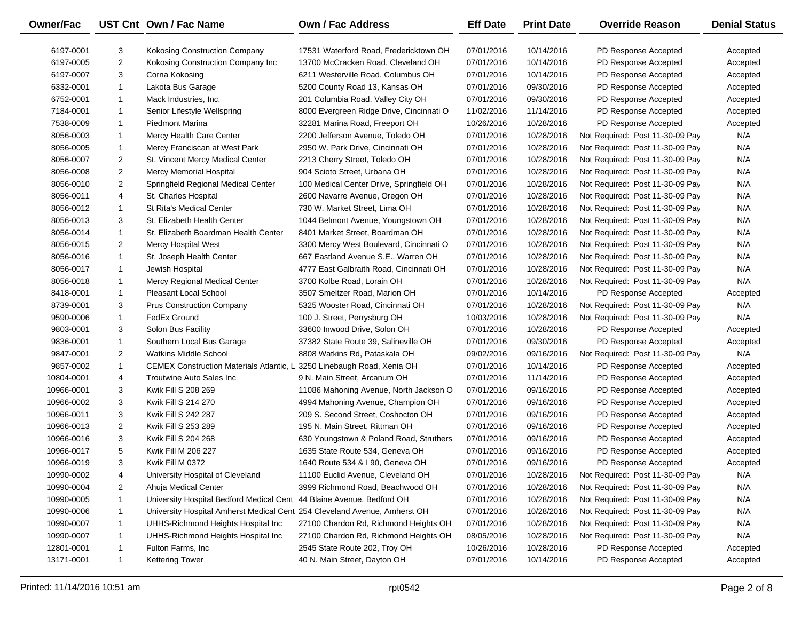| Owner/Fac  |                | UST Cnt Own / Fac Name                                                    | <b>Own / Fac Address</b>                                        | <b>Eff Date</b>          | <b>Print Date</b> | <b>Override Reason</b>                                             | <b>Denial Status</b> |
|------------|----------------|---------------------------------------------------------------------------|-----------------------------------------------------------------|--------------------------|-------------------|--------------------------------------------------------------------|----------------------|
| 6197-0001  | 3              | Kokosing Construction Company                                             | 17531 Waterford Road, Fredericktown OH                          | 07/01/2016               | 10/14/2016        | PD Response Accepted                                               | Accepted             |
| 6197-0005  | $\overline{2}$ | Kokosing Construction Company Inc                                         | 13700 McCracken Road, Cleveland OH                              | 07/01/2016               | 10/14/2016        | PD Response Accepted                                               | Accepted             |
| 6197-0007  | 3              | Corna Kokosing                                                            | 6211 Westerville Road, Columbus OH                              | 07/01/2016               | 10/14/2016        | PD Response Accepted                                               | Accepted             |
| 6332-0001  | $\mathbf{1}$   | Lakota Bus Garage                                                         | 5200 County Road 13, Kansas OH                                  | 07/01/2016               | 09/30/2016        | PD Response Accepted                                               | Accepted             |
| 6752-0001  | $\mathbf{1}$   | Mack Industries, Inc.                                                     | 201 Columbia Road, Valley City OH                               | 07/01/2016               | 09/30/2016        | PD Response Accepted                                               | Accepted             |
| 7184-0001  | $\mathbf{1}$   | Senior Lifestyle Wellspring                                               | 8000 Evergreen Ridge Drive, Cincinnati O                        | 11/02/2016               | 11/14/2016        | PD Response Accepted                                               | Accepted             |
| 7538-0009  | $\mathbf{1}$   | <b>Piedmont Marina</b>                                                    | 32281 Marina Road, Freeport OH                                  | 10/26/2016               | 10/28/2016        | PD Response Accepted                                               | Accepted             |
| 8056-0003  | $\mathbf{1}$   | Mercy Health Care Center                                                  | 2200 Jefferson Avenue, Toledo OH                                | 07/01/2016               | 10/28/2016        | Not Required: Post 11-30-09 Pay                                    | N/A                  |
| 8056-0005  | $\mathbf{1}$   | Mercy Franciscan at West Park                                             | 2950 W. Park Drive, Cincinnati OH                               | 07/01/2016               | 10/28/2016        | Not Required: Post 11-30-09 Pay                                    | N/A                  |
| 8056-0007  | $\overline{2}$ | St. Vincent Mercy Medical Center                                          | 2213 Cherry Street, Toledo OH                                   | 07/01/2016               | 10/28/2016        | Not Required: Post 11-30-09 Pay                                    | N/A                  |
| 8056-0008  | $\overline{2}$ | Mercy Memorial Hospital                                                   | 904 Scioto Street, Urbana OH                                    | 07/01/2016               | 10/28/2016        | Not Required: Post 11-30-09 Pay                                    | N/A                  |
| 8056-0010  | $\overline{2}$ |                                                                           | 100 Medical Center Drive, Springfield OH                        | 07/01/2016               | 10/28/2016        |                                                                    | N/A                  |
| 8056-0011  | 4              | Springfield Regional Medical Center                                       |                                                                 | 07/01/2016               | 10/28/2016        | Not Required: Post 11-30-09 Pay<br>Not Required: Post 11-30-09 Pay | N/A                  |
| 8056-0012  | $\mathbf{1}$   | St. Charles Hospital<br><b>St Rita's Medical Center</b>                   | 2600 Navarre Avenue, Oregon OH<br>730 W. Market Street, Lima OH | 07/01/2016               | 10/28/2016        | Not Required: Post 11-30-09 Pay                                    | N/A                  |
| 8056-0013  | 3              | St. Elizabeth Health Center                                               | 1044 Belmont Avenue, Youngstown OH                              | 07/01/2016               | 10/28/2016        | Not Required: Post 11-30-09 Pay                                    | N/A                  |
| 8056-0014  | $\mathbf{1}$   | St. Elizabeth Boardman Health Center                                      | 8401 Market Street, Boardman OH                                 | 07/01/2016               | 10/28/2016        |                                                                    | N/A                  |
|            |                |                                                                           |                                                                 |                          |                   | Not Required: Post 11-30-09 Pay                                    | N/A                  |
| 8056-0015  | 2              | Mercy Hospital West                                                       | 3300 Mercy West Boulevard, Cincinnati O                         | 07/01/2016<br>07/01/2016 | 10/28/2016        | Not Required: Post 11-30-09 Pay                                    |                      |
| 8056-0016  | $\mathbf{1}$   | St. Joseph Health Center                                                  | 667 Eastland Avenue S.E., Warren OH                             |                          | 10/28/2016        | Not Required: Post 11-30-09 Pay                                    | N/A                  |
| 8056-0017  | $\mathbf{1}$   | Jewish Hospital                                                           | 4777 East Galbraith Road, Cincinnati OH                         | 07/01/2016               | 10/28/2016        | Not Required: Post 11-30-09 Pay                                    | N/A                  |
| 8056-0018  | $\mathbf{1}$   | Mercy Regional Medical Center                                             | 3700 Kolbe Road, Lorain OH                                      | 07/01/2016               | 10/28/2016        | Not Required: Post 11-30-09 Pay                                    | N/A                  |
| 8418-0001  | $\mathbf{1}$   | <b>Pleasant Local School</b>                                              | 3507 Smeltzer Road, Marion OH                                   | 07/01/2016               | 10/14/2016        | PD Response Accepted                                               | Accepted             |
| 8739-0001  | 3              | <b>Prus Construction Company</b>                                          | 5325 Wooster Road, Cincinnati OH                                | 07/01/2016               | 10/28/2016        | Not Required: Post 11-30-09 Pay                                    | N/A                  |
| 9590-0006  | $\mathbf{1}$   | FedEx Ground                                                              | 100 J. Street, Perrysburg OH                                    | 10/03/2016               | 10/28/2016        | Not Required: Post 11-30-09 Pay                                    | N/A                  |
| 9803-0001  | 3              | Solon Bus Facility                                                        | 33600 Inwood Drive, Solon OH                                    | 07/01/2016               | 10/28/2016        | PD Response Accepted                                               | Accepted             |
| 9836-0001  | $\mathbf{1}$   | Southern Local Bus Garage                                                 | 37382 State Route 39, Salineville OH                            | 07/01/2016               | 09/30/2016        | PD Response Accepted                                               | Accepted             |
| 9847-0001  | $\overline{2}$ | <b>Watkins Middle School</b>                                              | 8808 Watkins Rd, Pataskala OH                                   | 09/02/2016               | 09/16/2016        | Not Required: Post 11-30-09 Pay                                    | N/A                  |
| 9857-0002  | $\mathbf{1}$   | <b>CEMEX Construction Materials Atlantic, L</b>                           | 3250 Linebaugh Road, Xenia OH                                   | 07/01/2016               | 10/14/2016        | PD Response Accepted                                               | Accepted             |
| 10804-0001 | 4              | Troutwine Auto Sales Inc                                                  | 9 N. Main Street, Arcanum OH                                    | 07/01/2016               | 11/14/2016        | PD Response Accepted                                               | Accepted             |
| 10966-0001 | 3              | Kwik Fill S 208 269                                                       | 11086 Mahoning Avenue, North Jackson O                          | 07/01/2016               | 09/16/2016        | PD Response Accepted                                               | Accepted             |
| 10966-0002 | 3              | Kwik Fill S 214 270                                                       | 4994 Mahoning Avenue, Champion OH                               | 07/01/2016               | 09/16/2016        | PD Response Accepted                                               | Accepted             |
| 10966-0011 | 3              | Kwik Fill S 242 287                                                       | 209 S. Second Street, Coshocton OH                              | 07/01/2016               | 09/16/2016        | PD Response Accepted                                               | Accepted             |
| 10966-0013 | $\overline{2}$ | Kwik Fill S 253 289                                                       | 195 N. Main Street, Rittman OH                                  | 07/01/2016               | 09/16/2016        | PD Response Accepted                                               | Accepted             |
| 10966-0016 | 3              | Kwik Fill S 204 268                                                       | 630 Youngstown & Poland Road, Struthers                         | 07/01/2016               | 09/16/2016        | PD Response Accepted                                               | Accepted             |
| 10966-0017 | 5              | Kwik Fill M 206 227                                                       | 1635 State Route 534, Geneva OH                                 | 07/01/2016               | 09/16/2016        | PD Response Accepted                                               | Accepted             |
| 10966-0019 | 3              | Kwik Fill M 0372                                                          | 1640 Route 534 & I 90, Geneva OH                                | 07/01/2016               | 09/16/2016        | PD Response Accepted                                               | Accepted             |
| 10990-0002 | 4              | University Hospital of Cleveland                                          | 11100 Euclid Avenue, Cleveland OH                               | 07/01/2016               | 10/28/2016        | Not Required: Post 11-30-09 Pay                                    | N/A                  |
| 10990-0004 | $\overline{2}$ | Ahuja Medical Center                                                      | 3999 Richmond Road, Beachwood OH                                | 07/01/2016               | 10/28/2016        | Not Required: Post 11-30-09 Pay                                    | N/A                  |
| 10990-0005 | 1              | University Hospital Bedford Medical Cent                                  | 44 Blaine Avenue, Bedford OH                                    | 07/01/2016               | 10/28/2016        | Not Required: Post 11-30-09 Pay                                    | N/A                  |
| 10990-0006 | -1             | University Hospital Amherst Medical Cent 254 Cleveland Avenue, Amherst OH |                                                                 | 07/01/2016               | 10/28/2016        | Not Required: Post 11-30-09 Pay                                    | N/A                  |
| 10990-0007 | -1             | UHHS-Richmond Heights Hospital Inc                                        | 27100 Chardon Rd, Richmond Heights OH                           | 07/01/2016               | 10/28/2016        | Not Required: Post 11-30-09 Pay                                    | N/A                  |
| 10990-0007 | -1             | UHHS-Richmond Heights Hospital Inc                                        | 27100 Chardon Rd, Richmond Heights OH                           | 08/05/2016               | 10/28/2016        | Not Required: Post 11-30-09 Pay                                    | N/A                  |
| 12801-0001 | 1              | Fulton Farms, Inc.                                                        | 2545 State Route 202, Troy OH                                   | 10/26/2016               | 10/28/2016        | PD Response Accepted                                               | Accepted             |
| 13171-0001 | $\mathbf{1}$   | <b>Kettering Tower</b>                                                    | 40 N. Main Street, Dayton OH                                    | 07/01/2016               | 10/14/2016        | PD Response Accepted                                               | Accepted             |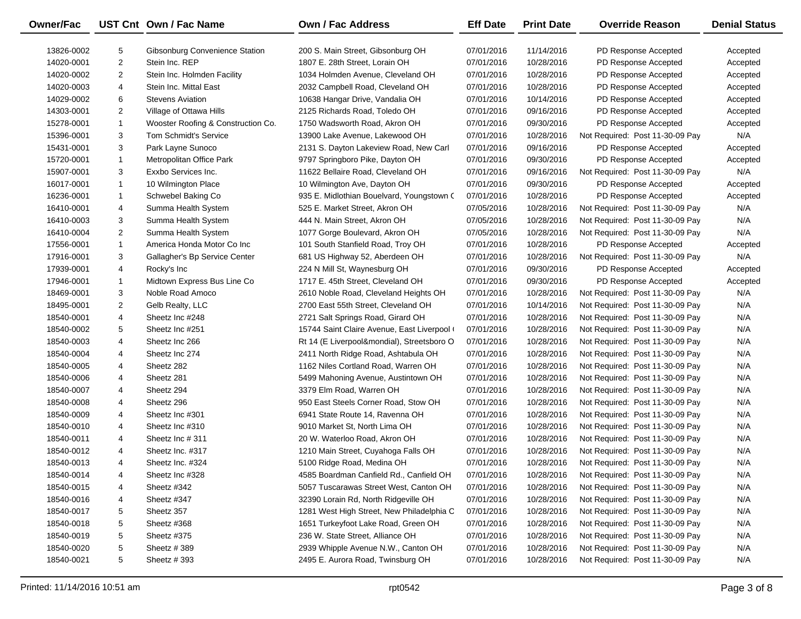| Owner/Fac  |                | UST Cnt Own / Fac Name             | Own / Fac Address                           | <b>Eff Date</b> | <b>Print Date</b> | <b>Override Reason</b>          | <b>Denial Status</b> |
|------------|----------------|------------------------------------|---------------------------------------------|-----------------|-------------------|---------------------------------|----------------------|
| 13826-0002 | 5              | Gibsonburg Convenience Station     | 200 S. Main Street, Gibsonburg OH           | 07/01/2016      | 11/14/2016        | PD Response Accepted            | Accepted             |
| 14020-0001 | $\overline{c}$ | Stein Inc. REP                     | 1807 E. 28th Street, Lorain OH              | 07/01/2016      | 10/28/2016        | PD Response Accepted            | Accepted             |
| 14020-0002 | $\overline{2}$ | Stein Inc. Holmden Facility        | 1034 Holmden Avenue, Cleveland OH           | 07/01/2016      | 10/28/2016        | PD Response Accepted            | Accepted             |
| 14020-0003 | 4              | Stein Inc. Mittal East             | 2032 Campbell Road, Cleveland OH            | 07/01/2016      | 10/28/2016        | PD Response Accepted            | Accepted             |
| 14029-0002 | 6              | <b>Stevens Aviation</b>            | 10638 Hangar Drive, Vandalia OH             | 07/01/2016      | 10/14/2016        | PD Response Accepted            | Accepted             |
| 14303-0001 | $\overline{2}$ | Village of Ottawa Hills            | 2125 Richards Road, Toledo OH               | 07/01/2016      | 09/16/2016        | PD Response Accepted            | Accepted             |
| 15278-0001 | $\mathbf{1}$   | Wooster Roofing & Construction Co. | 1750 Wadsworth Road, Akron OH               | 07/01/2016      | 09/30/2016        | PD Response Accepted            | Accepted             |
| 15396-0001 | 3              | <b>Tom Schmidt's Service</b>       | 13900 Lake Avenue, Lakewood OH              | 07/01/2016      | 10/28/2016        | Not Required: Post 11-30-09 Pay | N/A                  |
| 15431-0001 | 3              | Park Layne Sunoco                  | 2131 S. Dayton Lakeview Road, New Carl      | 07/01/2016      | 09/16/2016        | PD Response Accepted            | Accepted             |
| 15720-0001 | $\mathbf{1}$   | Metropolitan Office Park           | 9797 Springboro Pike, Dayton OH             | 07/01/2016      | 09/30/2016        | PD Response Accepted            | Accepted             |
| 15907-0001 | 3              | Exxbo Services Inc.                | 11622 Bellaire Road, Cleveland OH           | 07/01/2016      | 09/16/2016        | Not Required: Post 11-30-09 Pay | N/A                  |
| 16017-0001 | $\mathbf{1}$   | 10 Wilmington Place                | 10 Wilmington Ave, Dayton OH                | 07/01/2016      | 09/30/2016        | PD Response Accepted            | Accepted             |
| 16236-0001 | $\mathbf{1}$   | Schwebel Baking Co                 | 935 E. Midlothian Bouelvard, Youngstown (   | 07/01/2016      | 10/28/2016        | PD Response Accepted            | Accepted             |
| 16410-0001 | 4              | Summa Health System                | 525 E. Market Street, Akron OH              | 07/05/2016      | 10/28/2016        | Not Required: Post 11-30-09 Pay | N/A                  |
| 16410-0003 | 3              | Summa Health System                | 444 N. Main Street, Akron OH                | 07/05/2016      | 10/28/2016        | Not Required: Post 11-30-09 Pay | N/A                  |
| 16410-0004 | $\overline{2}$ | Summa Health System                | 1077 Gorge Boulevard, Akron OH              | 07/05/2016      | 10/28/2016        | Not Required: Post 11-30-09 Pay | N/A                  |
| 17556-0001 | $\mathbf{1}$   | America Honda Motor Co Inc         | 101 South Stanfield Road, Troy OH           | 07/01/2016      | 10/28/2016        | PD Response Accepted            | Accepted             |
| 17916-0001 | 3              | Gallagher's Bp Service Center      | 681 US Highway 52, Aberdeen OH              | 07/01/2016      | 10/28/2016        | Not Required: Post 11-30-09 Pay | N/A                  |
| 17939-0001 | 4              | Rocky's Inc                        | 224 N Mill St, Waynesburg OH                | 07/01/2016      | 09/30/2016        | PD Response Accepted            | Accepted             |
| 17946-0001 | 1              | Midtown Express Bus Line Co        | 1717 E. 45th Street, Cleveland OH           | 07/01/2016      | 09/30/2016        | PD Response Accepted            | Accepted             |
| 18469-0001 | 3              | Noble Road Amoco                   | 2610 Noble Road, Cleveland Heights OH       | 07/01/2016      | 10/28/2016        | Not Required: Post 11-30-09 Pay | N/A                  |
| 18495-0001 | $\overline{2}$ | Gelb Realty, LLC                   | 2700 East 55th Street, Cleveland OH         | 07/01/2016      | 10/14/2016        | Not Required: Post 11-30-09 Pay | N/A                  |
| 18540-0001 | 4              | Sheetz Inc #248                    | 2721 Salt Springs Road, Girard OH           | 07/01/2016      | 10/28/2016        | Not Required: Post 11-30-09 Pay | N/A                  |
| 18540-0002 | 5              | Sheetz Inc #251                    | 15744 Saint Claire Avenue, East Liverpool ( | 07/01/2016      | 10/28/2016        | Not Required: Post 11-30-09 Pay | N/A                  |
| 18540-0003 | 4              | Sheetz Inc 266                     | Rt 14 (E Liverpool&mondial), Streetsboro O  | 07/01/2016      | 10/28/2016        | Not Required: Post 11-30-09 Pay | N/A                  |
| 18540-0004 | 4              | Sheetz Inc 274                     | 2411 North Ridge Road, Ashtabula OH         | 07/01/2016      | 10/28/2016        | Not Required: Post 11-30-09 Pay | N/A                  |
| 18540-0005 | 4              | Sheetz 282                         | 1162 Niles Cortland Road, Warren OH         | 07/01/2016      | 10/28/2016        | Not Required: Post 11-30-09 Pay | N/A                  |
| 18540-0006 | 4              | Sheetz 281                         | 5499 Mahoning Avenue, Austintown OH         | 07/01/2016      | 10/28/2016        | Not Required: Post 11-30-09 Pay | N/A                  |
| 18540-0007 | 4              | Sheetz 294                         | 3379 Elm Road, Warren OH                    | 07/01/2016      | 10/28/2016        | Not Required: Post 11-30-09 Pay | N/A                  |
| 18540-0008 | 4              | Sheetz 296                         | 950 East Steels Corner Road, Stow OH        | 07/01/2016      | 10/28/2016        | Not Required: Post 11-30-09 Pay | N/A                  |
| 18540-0009 | 4              | Sheetz Inc #301                    | 6941 State Route 14, Ravenna OH             | 07/01/2016      | 10/28/2016        | Not Required: Post 11-30-09 Pay | N/A                  |
| 18540-0010 | 4              | Sheetz Inc #310                    | 9010 Market St, North Lima OH               | 07/01/2016      | 10/28/2016        | Not Required: Post 11-30-09 Pay | N/A                  |
| 18540-0011 | 4              | Sheetz Inc # 311                   | 20 W. Waterloo Road, Akron OH               | 07/01/2016      | 10/28/2016        | Not Required: Post 11-30-09 Pay | N/A                  |
| 18540-0012 | 4              | Sheetz Inc. #317                   | 1210 Main Street, Cuyahoga Falls OH         | 07/01/2016      | 10/28/2016        | Not Required: Post 11-30-09 Pay | N/A                  |
| 18540-0013 | 4              | Sheetz Inc. #324                   | 5100 Ridge Road, Medina OH                  | 07/01/2016      | 10/28/2016        | Not Required: Post 11-30-09 Pay | N/A                  |
| 18540-0014 | 4              | Sheetz Inc #328                    | 4585 Boardman Canfield Rd., Canfield OH     | 07/01/2016      | 10/28/2016        | Not Required: Post 11-30-09 Pay | N/A                  |
| 18540-0015 | 4              | Sheetz #342                        | 5057 Tuscarawas Street West, Canton OH      | 07/01/2016      | 10/28/2016        | Not Required: Post 11-30-09 Pay | N/A                  |
| 18540-0016 | 4              | Sheetz #347                        | 32390 Lorain Rd, North Ridgeville OH        | 07/01/2016      | 10/28/2016        | Not Required: Post 11-30-09 Pay | N/A                  |
| 18540-0017 | 5              | Sheetz 357                         | 1281 West High Street, New Philadelphia C   | 07/01/2016      | 10/28/2016        | Not Required: Post 11-30-09 Pay | N/A                  |
| 18540-0018 | 5              | Sheetz #368                        | 1651 Turkeyfoot Lake Road, Green OH         | 07/01/2016      | 10/28/2016        | Not Required: Post 11-30-09 Pay | N/A                  |
| 18540-0019 | 5              | Sheetz #375                        | 236 W. State Street, Alliance OH            | 07/01/2016      | 10/28/2016        | Not Required: Post 11-30-09 Pay | N/A                  |
| 18540-0020 | 5              | Sheetz #389                        | 2939 Whipple Avenue N.W., Canton OH         | 07/01/2016      | 10/28/2016        | Not Required: Post 11-30-09 Pay | N/A                  |
| 18540-0021 | 5              | Sheetz #393                        | 2495 E. Aurora Road, Twinsburg OH           | 07/01/2016      | 10/28/2016        | Not Required: Post 11-30-09 Pay | N/A                  |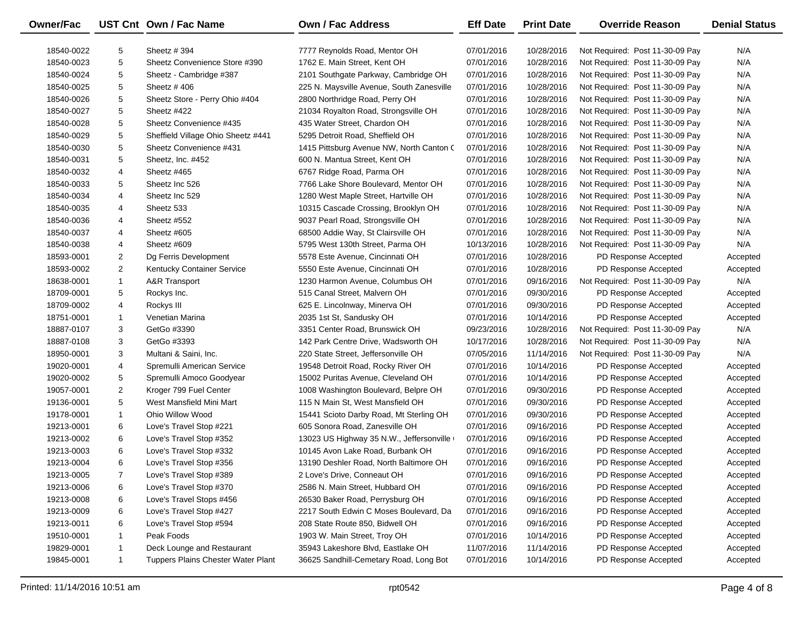| <b>Owner/Fac</b> |                | UST Cnt Own / Fac Name             | <b>Own / Fac Address</b>                  | <b>Eff Date</b> | <b>Print Date</b> | <b>Override Reason</b>          | <b>Denial Status</b> |
|------------------|----------------|------------------------------------|-------------------------------------------|-----------------|-------------------|---------------------------------|----------------------|
| 18540-0022       | 5              | Sheetz # 394                       | 7777 Reynolds Road, Mentor OH             | 07/01/2016      | 10/28/2016        | Not Required: Post 11-30-09 Pay | N/A                  |
| 18540-0023       | 5              | Sheetz Convenience Store #390      | 1762 E. Main Street, Kent OH              | 07/01/2016      | 10/28/2016        | Not Required: Post 11-30-09 Pay | N/A                  |
| 18540-0024       | 5              | Sheetz - Cambridge #387            | 2101 Southgate Parkway, Cambridge OH      | 07/01/2016      | 10/28/2016        | Not Required: Post 11-30-09 Pay | N/A                  |
| 18540-0025       | 5              | Sheetz #406                        | 225 N. Maysville Avenue, South Zanesville | 07/01/2016      | 10/28/2016        | Not Required: Post 11-30-09 Pay | N/A                  |
| 18540-0026       | 5              | Sheetz Store - Perry Ohio #404     | 2800 Northridge Road, Perry OH            | 07/01/2016      | 10/28/2016        | Not Required: Post 11-30-09 Pay | N/A                  |
| 18540-0027       | 5              | Sheetz #422                        | 21034 Royalton Road, Strongsville OH      | 07/01/2016      | 10/28/2016        | Not Required: Post 11-30-09 Pay | N/A                  |
| 18540-0028       | 5              | Sheetz Convenience #435            | 435 Water Street, Chardon OH              | 07/01/2016      | 10/28/2016        | Not Required: Post 11-30-09 Pay | N/A                  |
| 18540-0029       | 5              | Sheffield Village Ohio Sheetz #441 | 5295 Detroit Road, Sheffield OH           | 07/01/2016      | 10/28/2016        | Not Required: Post 11-30-09 Pay | N/A                  |
| 18540-0030       | 5              | Sheetz Convenience #431            | 1415 Pittsburg Avenue NW, North Canton C  | 07/01/2016      | 10/28/2016        | Not Required: Post 11-30-09 Pay | N/A                  |
| 18540-0031       | 5              | Sheetz, Inc. #452                  | 600 N. Mantua Street, Kent OH             | 07/01/2016      | 10/28/2016        | Not Required: Post 11-30-09 Pay | N/A                  |
| 18540-0032       | 4              | Sheetz #465                        | 6767 Ridge Road, Parma OH                 | 07/01/2016      | 10/28/2016        | Not Required: Post 11-30-09 Pay | N/A                  |
| 18540-0033       | 5              | Sheetz Inc 526                     | 7766 Lake Shore Boulevard, Mentor OH      | 07/01/2016      | 10/28/2016        | Not Required: Post 11-30-09 Pay | N/A                  |
| 18540-0034       | 4              | Sheetz Inc 529                     | 1280 West Maple Street, Hartville OH      | 07/01/2016      | 10/28/2016        | Not Required: Post 11-30-09 Pay | N/A                  |
| 18540-0035       | 4              | Sheetz 533                         | 10315 Cascade Crossing, Brooklyn OH       | 07/01/2016      | 10/28/2016        | Not Required: Post 11-30-09 Pay | N/A                  |
| 18540-0036       | 4              | Sheetz #552                        | 9037 Pearl Road, Strongsville OH          | 07/01/2016      | 10/28/2016        | Not Required: Post 11-30-09 Pay | N/A                  |
| 18540-0037       | 4              | Sheetz #605                        | 68500 Addie Way, St Clairsville OH        | 07/01/2016      | 10/28/2016        | Not Required: Post 11-30-09 Pay | N/A                  |
| 18540-0038       | 4              | Sheetz #609                        | 5795 West 130th Street, Parma OH          | 10/13/2016      | 10/28/2016        | Not Required: Post 11-30-09 Pay | N/A                  |
| 18593-0001       | 2              | Dg Ferris Development              | 5578 Este Avenue, Cincinnati OH           | 07/01/2016      | 10/28/2016        | PD Response Accepted            | Accepted             |
| 18593-0002       | $\overline{2}$ | Kentucky Container Service         | 5550 Este Avenue, Cincinnati OH           | 07/01/2016      | 10/28/2016        | PD Response Accepted            | Accepted             |
| 18638-0001       | $\mathbf{1}$   | A&R Transport                      | 1230 Harmon Avenue, Columbus OH           | 07/01/2016      | 09/16/2016        | Not Required: Post 11-30-09 Pay | N/A                  |
| 18709-0001       | 5              | Rockys Inc.                        | 515 Canal Street, Malvern OH              | 07/01/2016      | 09/30/2016        | PD Response Accepted            | Accepted             |
| 18709-0002       | 4              | Rockys III                         | 625 E. Lincolnway, Minerva OH             | 07/01/2016      | 09/30/2016        | PD Response Accepted            | Accepted             |
| 18751-0001       | $\mathbf 1$    | Venetian Marina                    | 2035 1st St, Sandusky OH                  | 07/01/2016      | 10/14/2016        | PD Response Accepted            | Accepted             |
| 18887-0107       | 3              | GetGo #3390                        | 3351 Center Road, Brunswick OH            | 09/23/2016      | 10/28/2016        | Not Required: Post 11-30-09 Pay | N/A                  |
| 18887-0108       | 3              | GetGo #3393                        | 142 Park Centre Drive, Wadsworth OH       | 10/17/2016      | 10/28/2016        | Not Required: Post 11-30-09 Pay | N/A                  |
| 18950-0001       | 3              | Multani & Saini, Inc.              | 220 State Street, Jeffersonville OH       | 07/05/2016      | 11/14/2016        | Not Required: Post 11-30-09 Pay | N/A                  |
| 19020-0001       | 4              | Spremulli American Service         | 19548 Detroit Road, Rocky River OH        | 07/01/2016      | 10/14/2016        | PD Response Accepted            | Accepted             |
| 19020-0002       | 5              | Spremulli Amoco Goodyear           | 15002 Puritas Avenue, Cleveland OH        | 07/01/2016      | 10/14/2016        | PD Response Accepted            | Accepted             |
| 19057-0001       | 2              | Kroger 799 Fuel Center             | 1008 Washington Boulevard, Belpre OH      | 07/01/2016      | 09/30/2016        | PD Response Accepted            | Accepted             |
| 19136-0001       | 5              | West Mansfield Mini Mart           | 115 N Main St, West Mansfield OH          | 07/01/2016      | 09/30/2016        | PD Response Accepted            | Accepted             |
| 19178-0001       | $\mathbf{1}$   | Ohio Willow Wood                   | 15441 Scioto Darby Road, Mt Sterling OH   | 07/01/2016      | 09/30/2016        | PD Response Accepted            | Accepted             |
| 19213-0001       | 6              | Love's Travel Stop #221            | 605 Sonora Road, Zanesville OH            | 07/01/2016      | 09/16/2016        | PD Response Accepted            | Accepted             |
| 19213-0002       | 6              | Love's Travel Stop #352            | 13023 US Highway 35 N.W., Jeffersonville  | 07/01/2016      | 09/16/2016        | PD Response Accepted            | Accepted             |
| 19213-0003       | 6              | Love's Travel Stop #332            | 10145 Avon Lake Road, Burbank OH          | 07/01/2016      | 09/16/2016        | PD Response Accepted            | Accepted             |
| 19213-0004       | 6              | Love's Travel Stop #356            | 13190 Deshler Road, North Baltimore OH    | 07/01/2016      | 09/16/2016        | PD Response Accepted            | Accepted             |
| 19213-0005       | 7              | Love's Travel Stop #389            | 2 Love's Drive, Conneaut OH               | 07/01/2016      | 09/16/2016        | PD Response Accepted            | Accepted             |
| 19213-0006       | 6              | Love's Travel Stop #370            | 2586 N. Main Street, Hubbard OH           | 07/01/2016      | 09/16/2016        | PD Response Accepted            | Accepted             |
| 19213-0008       | 6              | Love's Travel Stops #456           | 26530 Baker Road, Perrysburg OH           | 07/01/2016      | 09/16/2016        | PD Response Accepted            | Accepted             |
| 19213-0009       | 6              | Love's Travel Stop #427            | 2217 South Edwin C Moses Boulevard, Da    | 07/01/2016      | 09/16/2016        | PD Response Accepted            | Accepted             |
| 19213-0011       | 6              | Love's Travel Stop #594            | 208 State Route 850, Bidwell OH           | 07/01/2016      | 09/16/2016        | PD Response Accepted            | Accepted             |
| 19510-0001       | 1              | Peak Foods                         | 1903 W. Main Street, Troy OH              | 07/01/2016      | 10/14/2016        | PD Response Accepted            | Accepted             |
| 19829-0001       | $\mathbf{1}$   | Deck Lounge and Restaurant         | 35943 Lakeshore Blvd, Eastlake OH         | 11/07/2016      | 11/14/2016        | PD Response Accepted            | Accepted             |
| 19845-0001       | $\mathbf{1}$   | Tuppers Plains Chester Water Plant | 36625 Sandhill-Cemetary Road, Long Bot    | 07/01/2016      | 10/14/2016        | PD Response Accepted            | Accepted             |

—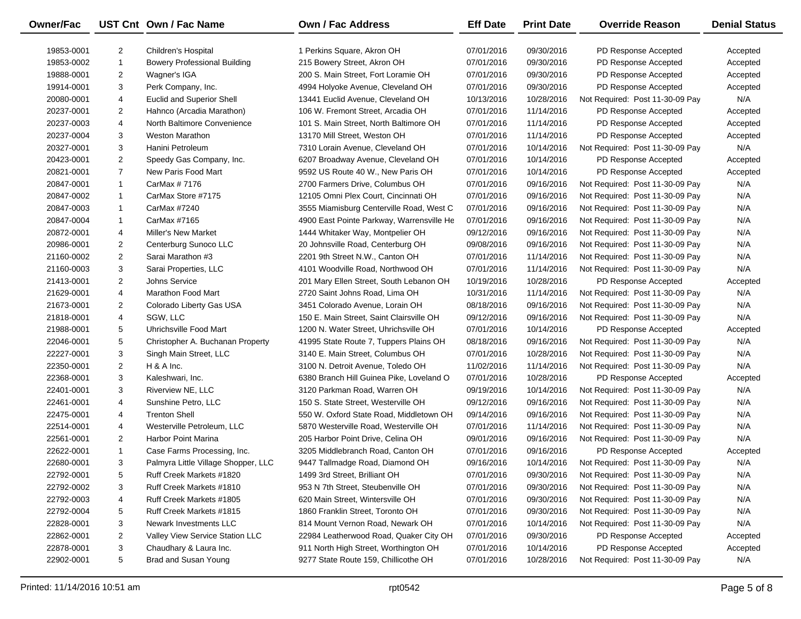| 19853-0001<br>2<br>Children's Hospital<br>1 Perkins Square, Akron OH<br>07/01/2016<br>09/30/2016<br>PD Response Accepted<br>Accepted<br>$\mathbf{1}$<br>215 Bowery Street, Akron OH<br>07/01/2016<br>09/30/2016<br>19853-0002<br><b>Bowery Professional Building</b><br>PD Response Accepted<br>Accepted<br>$\overline{2}$<br>200 S. Main Street, Fort Loramie OH<br>19888-0001<br>Wagner's IGA<br>07/01/2016<br>09/30/2016<br>PD Response Accepted<br>Accepted<br>3<br>19914-0001<br>Perk Company, Inc.<br>4994 Holyoke Avenue, Cleveland OH<br>07/01/2016<br>09/30/2016<br>PD Response Accepted<br>Accepted<br>4<br><b>Euclid and Superior Shell</b><br>13441 Euclid Avenue, Cleveland OH<br>10/13/2016<br>10/28/2016<br>Not Required: Post 11-30-09 Pay<br>N/A<br>20080-0001<br>$\overline{2}$<br>106 W. Fremont Street, Arcadia OH<br>07/01/2016<br>11/14/2016<br>20237-0001<br>Hahnco (Arcadia Marathon)<br>PD Response Accepted<br>Accepted<br>4<br>20237-0003<br>North Baltimore Convenience<br>101 S. Main Street, North Baltimore OH<br>07/01/2016<br>11/14/2016<br>PD Response Accepted<br>Accepted<br>3<br>13170 Mill Street, Weston OH<br>20237-0004<br><b>Weston Marathon</b><br>07/01/2016<br>11/14/2016<br>PD Response Accepted<br>Accepted<br>3<br>Hanini Petroleum<br>07/01/2016<br>Not Required: Post 11-30-09 Pay<br>N/A<br>20327-0001<br>7310 Lorain Avenue, Cleveland OH<br>10/14/2016<br>$\overline{2}$<br>20423-0001<br>Speedy Gas Company, Inc.<br>6207 Broadway Avenue, Cleveland OH<br>07/01/2016<br>10/14/2016<br>PD Response Accepted<br>Accepted | <b>Denial Status</b> |
|-------------------------------------------------------------------------------------------------------------------------------------------------------------------------------------------------------------------------------------------------------------------------------------------------------------------------------------------------------------------------------------------------------------------------------------------------------------------------------------------------------------------------------------------------------------------------------------------------------------------------------------------------------------------------------------------------------------------------------------------------------------------------------------------------------------------------------------------------------------------------------------------------------------------------------------------------------------------------------------------------------------------------------------------------------------------------------------------------------------------------------------------------------------------------------------------------------------------------------------------------------------------------------------------------------------------------------------------------------------------------------------------------------------------------------------------------------------------------------------------------------------------------------------------------------------------------------|----------------------|
|                                                                                                                                                                                                                                                                                                                                                                                                                                                                                                                                                                                                                                                                                                                                                                                                                                                                                                                                                                                                                                                                                                                                                                                                                                                                                                                                                                                                                                                                                                                                                                               |                      |
|                                                                                                                                                                                                                                                                                                                                                                                                                                                                                                                                                                                                                                                                                                                                                                                                                                                                                                                                                                                                                                                                                                                                                                                                                                                                                                                                                                                                                                                                                                                                                                               |                      |
|                                                                                                                                                                                                                                                                                                                                                                                                                                                                                                                                                                                                                                                                                                                                                                                                                                                                                                                                                                                                                                                                                                                                                                                                                                                                                                                                                                                                                                                                                                                                                                               |                      |
|                                                                                                                                                                                                                                                                                                                                                                                                                                                                                                                                                                                                                                                                                                                                                                                                                                                                                                                                                                                                                                                                                                                                                                                                                                                                                                                                                                                                                                                                                                                                                                               |                      |
|                                                                                                                                                                                                                                                                                                                                                                                                                                                                                                                                                                                                                                                                                                                                                                                                                                                                                                                                                                                                                                                                                                                                                                                                                                                                                                                                                                                                                                                                                                                                                                               |                      |
|                                                                                                                                                                                                                                                                                                                                                                                                                                                                                                                                                                                                                                                                                                                                                                                                                                                                                                                                                                                                                                                                                                                                                                                                                                                                                                                                                                                                                                                                                                                                                                               |                      |
|                                                                                                                                                                                                                                                                                                                                                                                                                                                                                                                                                                                                                                                                                                                                                                                                                                                                                                                                                                                                                                                                                                                                                                                                                                                                                                                                                                                                                                                                                                                                                                               |                      |
|                                                                                                                                                                                                                                                                                                                                                                                                                                                                                                                                                                                                                                                                                                                                                                                                                                                                                                                                                                                                                                                                                                                                                                                                                                                                                                                                                                                                                                                                                                                                                                               |                      |
|                                                                                                                                                                                                                                                                                                                                                                                                                                                                                                                                                                                                                                                                                                                                                                                                                                                                                                                                                                                                                                                                                                                                                                                                                                                                                                                                                                                                                                                                                                                                                                               |                      |
|                                                                                                                                                                                                                                                                                                                                                                                                                                                                                                                                                                                                                                                                                                                                                                                                                                                                                                                                                                                                                                                                                                                                                                                                                                                                                                                                                                                                                                                                                                                                                                               |                      |
| $\overline{7}$<br>New Paris Food Mart<br>9592 US Route 40 W., New Paris OH<br>20821-0001<br>07/01/2016<br>10/14/2016<br>PD Response Accepted<br>Accepted                                                                                                                                                                                                                                                                                                                                                                                                                                                                                                                                                                                                                                                                                                                                                                                                                                                                                                                                                                                                                                                                                                                                                                                                                                                                                                                                                                                                                      |                      |
| 2700 Farmers Drive, Columbus OH<br>07/01/2016<br>N/A<br>20847-0001<br>$\mathbf{1}$<br>CarMax # 7176<br>09/16/2016<br>Not Required: Post 11-30-09 Pay                                                                                                                                                                                                                                                                                                                                                                                                                                                                                                                                                                                                                                                                                                                                                                                                                                                                                                                                                                                                                                                                                                                                                                                                                                                                                                                                                                                                                          |                      |
| 12105 Omni Plex Court, Cincinnati OH<br>07/01/2016<br>N/A<br>20847-0002<br>$\mathbf{1}$<br>CarMax Store #7175<br>09/16/2016<br>Not Required: Post 11-30-09 Pay                                                                                                                                                                                                                                                                                                                                                                                                                                                                                                                                                                                                                                                                                                                                                                                                                                                                                                                                                                                                                                                                                                                                                                                                                                                                                                                                                                                                                |                      |
| $\mathbf{1}$<br>Not Required: Post 11-30-09 Pay<br>N/A<br>20847-0003<br>CarMax #7240<br>3555 Miamisburg Centerville Road, West C<br>07/01/2016<br>09/16/2016                                                                                                                                                                                                                                                                                                                                                                                                                                                                                                                                                                                                                                                                                                                                                                                                                                                                                                                                                                                                                                                                                                                                                                                                                                                                                                                                                                                                                  |                      |
| N/A<br>20847-0004<br>$\mathbf{1}$<br>CarMax #7165<br>4900 East Pointe Parkway, Warrensville He<br>07/01/2016<br>09/16/2016<br>Not Required: Post 11-30-09 Pay                                                                                                                                                                                                                                                                                                                                                                                                                                                                                                                                                                                                                                                                                                                                                                                                                                                                                                                                                                                                                                                                                                                                                                                                                                                                                                                                                                                                                 |                      |
| 4<br>1444 Whitaker Way, Montpelier OH<br>09/12/2016<br>Not Required: Post 11-30-09 Pay<br>N/A<br>20872-0001<br><b>Miller's New Market</b><br>09/16/2016                                                                                                                                                                                                                                                                                                                                                                                                                                                                                                                                                                                                                                                                                                                                                                                                                                                                                                                                                                                                                                                                                                                                                                                                                                                                                                                                                                                                                       |                      |
| $\overline{2}$<br>20 Johnsville Road, Centerburg OH<br>09/08/2016<br>09/16/2016<br>N/A<br>20986-0001<br>Centerburg Sunoco LLC<br>Not Required: Post 11-30-09 Pay                                                                                                                                                                                                                                                                                                                                                                                                                                                                                                                                                                                                                                                                                                                                                                                                                                                                                                                                                                                                                                                                                                                                                                                                                                                                                                                                                                                                              |                      |
| $\overline{2}$<br>2201 9th Street N.W., Canton OH<br>07/01/2016<br>11/14/2016<br>N/A<br>21160-0002<br>Sarai Marathon #3<br>Not Required: Post 11-30-09 Pay                                                                                                                                                                                                                                                                                                                                                                                                                                                                                                                                                                                                                                                                                                                                                                                                                                                                                                                                                                                                                                                                                                                                                                                                                                                                                                                                                                                                                    |                      |
| 3<br>4101 Woodville Road, Northwood OH<br>07/01/2016<br>Not Required: Post 11-30-09 Pay<br>N/A<br>21160-0003<br>Sarai Properties, LLC<br>11/14/2016                                                                                                                                                                                                                                                                                                                                                                                                                                                                                                                                                                                                                                                                                                                                                                                                                                                                                                                                                                                                                                                                                                                                                                                                                                                                                                                                                                                                                           |                      |
| $\overline{2}$<br>201 Mary Ellen Street, South Lebanon OH<br>10/28/2016<br>21413-0001<br>Johns Service<br>10/19/2016<br>PD Response Accepted<br>Accepted                                                                                                                                                                                                                                                                                                                                                                                                                                                                                                                                                                                                                                                                                                                                                                                                                                                                                                                                                                                                                                                                                                                                                                                                                                                                                                                                                                                                                      |                      |
| 4<br>2720 Saint Johns Road, Lima OH<br>Not Required: Post 11-30-09 Pay<br>N/A<br>21629-0001<br>Marathon Food Mart<br>10/31/2016<br>11/14/2016                                                                                                                                                                                                                                                                                                                                                                                                                                                                                                                                                                                                                                                                                                                                                                                                                                                                                                                                                                                                                                                                                                                                                                                                                                                                                                                                                                                                                                 |                      |
| $\overline{2}$<br>3451 Colorado Avenue, Lorain OH<br>08/18/2016<br>09/16/2016<br>N/A<br>21673-0001<br>Colorado Liberty Gas USA<br>Not Required: Post 11-30-09 Pay                                                                                                                                                                                                                                                                                                                                                                                                                                                                                                                                                                                                                                                                                                                                                                                                                                                                                                                                                                                                                                                                                                                                                                                                                                                                                                                                                                                                             |                      |
| 4<br>SGW, LLC<br>150 E. Main Street, Saint Clairsville OH<br>09/12/2016<br>09/16/2016<br>Not Required: Post 11-30-09 Pay<br>N/A<br>21818-0001                                                                                                                                                                                                                                                                                                                                                                                                                                                                                                                                                                                                                                                                                                                                                                                                                                                                                                                                                                                                                                                                                                                                                                                                                                                                                                                                                                                                                                 |                      |
| 5<br>1200 N. Water Street, Uhrichsville OH<br>21988-0001<br>Uhrichsville Food Mart<br>07/01/2016<br>10/14/2016<br>PD Response Accepted<br>Accepted                                                                                                                                                                                                                                                                                                                                                                                                                                                                                                                                                                                                                                                                                                                                                                                                                                                                                                                                                                                                                                                                                                                                                                                                                                                                                                                                                                                                                            |                      |
| 5<br>41995 State Route 7, Tuppers Plains OH<br>Not Required: Post 11-30-09 Pay<br>N/A<br>22046-0001<br>Christopher A. Buchanan Property<br>08/18/2016<br>09/16/2016                                                                                                                                                                                                                                                                                                                                                                                                                                                                                                                                                                                                                                                                                                                                                                                                                                                                                                                                                                                                                                                                                                                                                                                                                                                                                                                                                                                                           |                      |
| 3<br>Singh Main Street, LLC<br>3140 E. Main Street, Columbus OH<br>07/01/2016<br>N/A<br>22227-0001<br>10/28/2016<br>Not Required: Post 11-30-09 Pay                                                                                                                                                                                                                                                                                                                                                                                                                                                                                                                                                                                                                                                                                                                                                                                                                                                                                                                                                                                                                                                                                                                                                                                                                                                                                                                                                                                                                           |                      |
| $\overline{2}$<br>11/14/2016<br>Not Required: Post 11-30-09 Pay<br>N/A<br>22350-0001<br>$H$ & A Inc.<br>3100 N. Detroit Avenue, Toledo OH<br>11/02/2016                                                                                                                                                                                                                                                                                                                                                                                                                                                                                                                                                                                                                                                                                                                                                                                                                                                                                                                                                                                                                                                                                                                                                                                                                                                                                                                                                                                                                       |                      |
| 3<br>07/01/2016<br>22368-0001<br>Kaleshwari, Inc.<br>6380 Branch Hill Guinea Pike, Loveland O<br>10/28/2016<br>PD Response Accepted<br>Accepted                                                                                                                                                                                                                                                                                                                                                                                                                                                                                                                                                                                                                                                                                                                                                                                                                                                                                                                                                                                                                                                                                                                                                                                                                                                                                                                                                                                                                               |                      |
| 3<br>3120 Parkman Road, Warren OH<br>09/19/2016<br>Not Required: Post 11-30-09 Pay<br>N/A<br>22401-0001<br>Riverview NE, LLC<br>10/14/2016                                                                                                                                                                                                                                                                                                                                                                                                                                                                                                                                                                                                                                                                                                                                                                                                                                                                                                                                                                                                                                                                                                                                                                                                                                                                                                                                                                                                                                    |                      |
| 4<br>150 S. State Street, Westerville OH<br>09/12/2016<br>N/A<br>22461-0001<br>Sunshine Petro, LLC<br>09/16/2016<br>Not Required: Post 11-30-09 Pay                                                                                                                                                                                                                                                                                                                                                                                                                                                                                                                                                                                                                                                                                                                                                                                                                                                                                                                                                                                                                                                                                                                                                                                                                                                                                                                                                                                                                           |                      |
| <b>Trenton Shell</b><br>Not Required: Post 11-30-09 Pay<br>N/A<br>22475-0001<br>4<br>550 W. Oxford State Road, Middletown OH<br>09/14/2016<br>09/16/2016                                                                                                                                                                                                                                                                                                                                                                                                                                                                                                                                                                                                                                                                                                                                                                                                                                                                                                                                                                                                                                                                                                                                                                                                                                                                                                                                                                                                                      |                      |
| 4<br>5870 Westerville Road, Westerville OH<br>Not Required: Post 11-30-09 Pay<br>N/A<br>22514-0001<br>Westerville Petroleum, LLC<br>07/01/2016<br>11/14/2016                                                                                                                                                                                                                                                                                                                                                                                                                                                                                                                                                                                                                                                                                                                                                                                                                                                                                                                                                                                                                                                                                                                                                                                                                                                                                                                                                                                                                  |                      |
| $\overline{2}$<br><b>Harbor Point Marina</b><br>09/16/2016<br>Not Required: Post 11-30-09 Pay<br>N/A<br>22561-0001<br>205 Harbor Point Drive, Celina OH<br>09/01/2016                                                                                                                                                                                                                                                                                                                                                                                                                                                                                                                                                                                                                                                                                                                                                                                                                                                                                                                                                                                                                                                                                                                                                                                                                                                                                                                                                                                                         |                      |
| $\mathbf{1}$<br>3205 Middlebranch Road, Canton OH<br>22622-0001<br>Case Farms Processing, Inc.<br>07/01/2016<br>09/16/2016<br>PD Response Accepted<br>Accepted                                                                                                                                                                                                                                                                                                                                                                                                                                                                                                                                                                                                                                                                                                                                                                                                                                                                                                                                                                                                                                                                                                                                                                                                                                                                                                                                                                                                                |                      |
| 3<br>9447 Tallmadge Road, Diamond OH<br>Not Required: Post 11-30-09 Pay<br>N/A<br>22680-0001<br>Palmyra Little Village Shopper, LLC<br>09/16/2016<br>10/14/2016                                                                                                                                                                                                                                                                                                                                                                                                                                                                                                                                                                                                                                                                                                                                                                                                                                                                                                                                                                                                                                                                                                                                                                                                                                                                                                                                                                                                               |                      |
| 22792-0001<br>5<br>Ruff Creek Markets #1820<br>1499 3rd Street, Brilliant OH<br>07/01/2016<br>09/30/2016<br>Not Required: Post 11-30-09 Pay<br>N/A                                                                                                                                                                                                                                                                                                                                                                                                                                                                                                                                                                                                                                                                                                                                                                                                                                                                                                                                                                                                                                                                                                                                                                                                                                                                                                                                                                                                                            |                      |
| 3<br>09/30/2016<br>N/A<br>22792-0002<br>Ruff Creek Markets #1810<br>953 N 7th Street, Steubenville OH<br>07/01/2016<br>Not Required: Post 11-30-09 Pay                                                                                                                                                                                                                                                                                                                                                                                                                                                                                                                                                                                                                                                                                                                                                                                                                                                                                                                                                                                                                                                                                                                                                                                                                                                                                                                                                                                                                        |                      |
| 22792-0003<br>620 Main Street, Wintersville OH<br>09/30/2016<br>Not Required: Post 11-30-09 Pay<br>N/A<br>4<br>Ruff Creek Markets #1805<br>07/01/2016                                                                                                                                                                                                                                                                                                                                                                                                                                                                                                                                                                                                                                                                                                                                                                                                                                                                                                                                                                                                                                                                                                                                                                                                                                                                                                                                                                                                                         |                      |
| 22792-0004<br>5<br>1860 Franklin Street, Toronto OH<br>09/30/2016<br>Not Required: Post 11-30-09 Pay<br>N/A<br>Ruff Creek Markets #1815<br>07/01/2016                                                                                                                                                                                                                                                                                                                                                                                                                                                                                                                                                                                                                                                                                                                                                                                                                                                                                                                                                                                                                                                                                                                                                                                                                                                                                                                                                                                                                         |                      |
| 3<br>Newark Investments LLC<br>814 Mount Vernon Road, Newark OH<br>10/14/2016<br>Not Required: Post 11-30-09 Pay<br>N/A<br>22828-0001<br>07/01/2016                                                                                                                                                                                                                                                                                                                                                                                                                                                                                                                                                                                                                                                                                                                                                                                                                                                                                                                                                                                                                                                                                                                                                                                                                                                                                                                                                                                                                           |                      |
| 22862-0001<br>$\overline{2}$<br>Valley View Service Station LLC<br>22984 Leatherwood Road, Quaker City OH<br>09/30/2016<br>PD Response Accepted<br>07/01/2016<br>Accepted                                                                                                                                                                                                                                                                                                                                                                                                                                                                                                                                                                                                                                                                                                                                                                                                                                                                                                                                                                                                                                                                                                                                                                                                                                                                                                                                                                                                     |                      |
| 22878-0001<br>3<br>Chaudhary & Laura Inc.<br>911 North High Street, Worthington OH<br>10/14/2016<br>PD Response Accepted<br>07/01/2016<br>Accepted                                                                                                                                                                                                                                                                                                                                                                                                                                                                                                                                                                                                                                                                                                                                                                                                                                                                                                                                                                                                                                                                                                                                                                                                                                                                                                                                                                                                                            |                      |
| 22902-0001<br>5<br>Brad and Susan Young<br>9277 State Route 159, Chillicothe OH<br>07/01/2016<br>Not Required: Post 11-30-09 Pay<br>10/28/2016<br>N/A                                                                                                                                                                                                                                                                                                                                                                                                                                                                                                                                                                                                                                                                                                                                                                                                                                                                                                                                                                                                                                                                                                                                                                                                                                                                                                                                                                                                                         |                      |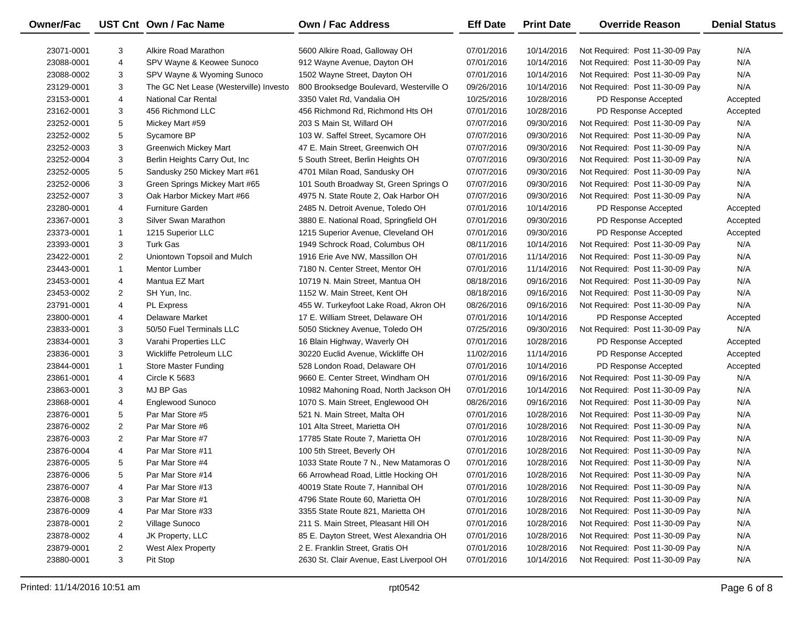| Owner/Fac  |                | UST Cnt Own / Fac Name                 | <b>Own / Fac Address</b>                 | <b>Eff Date</b> | <b>Print Date</b> | <b>Override Reason</b>          | <b>Denial Status</b> |
|------------|----------------|----------------------------------------|------------------------------------------|-----------------|-------------------|---------------------------------|----------------------|
| 23071-0001 | 3              | Alkire Road Marathon                   | 5600 Alkire Road, Galloway OH            | 07/01/2016      | 10/14/2016        | Not Required: Post 11-30-09 Pay | N/A                  |
| 23088-0001 | 4              | SPV Wayne & Keowee Sunoco              | 912 Wayne Avenue, Dayton OH              | 07/01/2016      | 10/14/2016        | Not Required: Post 11-30-09 Pay | N/A                  |
| 23088-0002 | 3              | SPV Wayne & Wyoming Sunoco             | 1502 Wayne Street, Dayton OH             | 07/01/2016      | 10/14/2016        | Not Required: Post 11-30-09 Pay | N/A                  |
| 23129-0001 | 3              | The GC Net Lease (Westerville) Investo | 800 Brooksedge Boulevard, Westerville O  | 09/26/2016      | 10/14/2016        | Not Required: Post 11-30-09 Pay | N/A                  |
| 23153-0001 | 4              | <b>National Car Rental</b>             | 3350 Valet Rd, Vandalia OH               | 10/25/2016      | 10/28/2016        | PD Response Accepted            | Accepted             |
| 23162-0001 | 3              | 456 Richmond LLC                       | 456 Richmond Rd, Richmond Hts OH         | 07/01/2016      | 10/28/2016        | PD Response Accepted            | Accepted             |
| 23252-0001 | 5              | Mickey Mart #59                        | 203 S Main St, Willard OH                | 07/07/2016      | 09/30/2016        | Not Required: Post 11-30-09 Pay | N/A                  |
| 23252-0002 | 5              | Sycamore BP                            | 103 W. Saffel Street, Sycamore OH        | 07/07/2016      | 09/30/2016        | Not Required: Post 11-30-09 Pay | N/A                  |
| 23252-0003 | 3              | <b>Greenwich Mickey Mart</b>           | 47 E. Main Street, Greenwich OH          | 07/07/2016      | 09/30/2016        | Not Required: Post 11-30-09 Pay | N/A                  |
| 23252-0004 | 3              | Berlin Heights Carry Out, Inc.         | 5 South Street, Berlin Heights OH        | 07/07/2016      | 09/30/2016        | Not Required: Post 11-30-09 Pay | N/A                  |
| 23252-0005 | 5              | Sandusky 250 Mickey Mart #61           | 4701 Milan Road, Sandusky OH             | 07/07/2016      | 09/30/2016        | Not Required: Post 11-30-09 Pay | N/A                  |
| 23252-0006 | 3              | Green Springs Mickey Mart #65          | 101 South Broadway St, Green Springs O   | 07/07/2016      | 09/30/2016        | Not Required: Post 11-30-09 Pay | N/A                  |
| 23252-0007 | 3              | Oak Harbor Mickey Mart #66             | 4975 N. State Route 2, Oak Harbor OH     | 07/07/2016      | 09/30/2016        | Not Required: Post 11-30-09 Pay | N/A                  |
| 23280-0001 | 4              | <b>Furniture Garden</b>                | 2485 N. Detroit Avenue, Toledo OH        | 07/01/2016      | 10/14/2016        | PD Response Accepted            | Accepted             |
| 23367-0001 | 3              | Silver Swan Marathon                   | 3880 E. National Road, Springfield OH    | 07/01/2016      | 09/30/2016        | PD Response Accepted            | Accepted             |
| 23373-0001 | 1              | 1215 Superior LLC                      | 1215 Superior Avenue, Cleveland OH       | 07/01/2016      | 09/30/2016        | PD Response Accepted            | Accepted             |
| 23393-0001 | 3              | <b>Turk Gas</b>                        | 1949 Schrock Road, Columbus OH           | 08/11/2016      | 10/14/2016        | Not Required: Post 11-30-09 Pay | N/A                  |
| 23422-0001 | $\overline{2}$ | Uniontown Topsoil and Mulch            | 1916 Erie Ave NW, Massillon OH           | 07/01/2016      | 11/14/2016        | Not Required: Post 11-30-09 Pay | N/A                  |
| 23443-0001 | $\mathbf{1}$   | <b>Mentor Lumber</b>                   | 7180 N. Center Street, Mentor OH         | 07/01/2016      | 11/14/2016        | Not Required: Post 11-30-09 Pay | N/A                  |
| 23453-0001 | 4              | Mantua EZ Mart                         | 10719 N. Main Street, Mantua OH          | 08/18/2016      | 09/16/2016        | Not Required: Post 11-30-09 Pay | N/A                  |
| 23453-0002 | $\overline{2}$ | SH Yun, Inc.                           | 1152 W. Main Street, Kent OH             | 08/18/2016      | 09/16/2016        | Not Required: Post 11-30-09 Pay | N/A                  |
| 23791-0001 | 4              | <b>PL Express</b>                      | 455 W. Turkeyfoot Lake Road, Akron OH    | 08/26/2016      | 09/16/2016        | Not Required: Post 11-30-09 Pay | N/A                  |
| 23800-0001 | 4              | <b>Delaware Market</b>                 | 17 E. William Street, Delaware OH        | 07/01/2016      | 10/14/2016        | PD Response Accepted            | Accepted             |
| 23833-0001 | 3              | 50/50 Fuel Terminals LLC               | 5050 Stickney Avenue, Toledo OH          | 07/25/2016      | 09/30/2016        | Not Required: Post 11-30-09 Pay | N/A                  |
| 23834-0001 | 3              | Varahi Properties LLC                  | 16 Blain Highway, Waverly OH             | 07/01/2016      | 10/28/2016        | PD Response Accepted            | Accepted             |
| 23836-0001 | 3              | Wickliffe Petroleum LLC                | 30220 Euclid Avenue, Wickliffe OH        | 11/02/2016      | 11/14/2016        | PD Response Accepted            | Accepted             |
| 23844-0001 | $\mathbf{1}$   | <b>Store Master Funding</b>            | 528 London Road, Delaware OH             | 07/01/2016      | 10/14/2016        | PD Response Accepted            | Accepted             |
| 23861-0001 | 4              | Circle K 5683                          | 9660 E. Center Street, Windham OH        | 07/01/2016      | 09/16/2016        | Not Required: Post 11-30-09 Pay | N/A                  |
| 23863-0001 | 3              | MJ BP Gas                              | 10982 Mahoning Road, North Jackson OH    | 07/01/2016      | 10/14/2016        | Not Required: Post 11-30-09 Pay | N/A                  |
| 23868-0001 | 4              | Englewood Sunoco                       | 1070 S. Main Street, Englewood OH        | 08/26/2016      | 09/16/2016        | Not Required: Post 11-30-09 Pay | N/A                  |
| 23876-0001 | 5              | Par Mar Store #5                       | 521 N. Main Street, Malta OH             | 07/01/2016      | 10/28/2016        | Not Required: Post 11-30-09 Pay | N/A                  |
| 23876-0002 | $\overline{2}$ | Par Mar Store #6                       | 101 Alta Street, Marietta OH             | 07/01/2016      | 10/28/2016        | Not Required: Post 11-30-09 Pay | N/A                  |
| 23876-0003 | $\overline{2}$ | Par Mar Store #7                       | 17785 State Route 7, Marietta OH         | 07/01/2016      | 10/28/2016        | Not Required: Post 11-30-09 Pay | N/A                  |
| 23876-0004 | 4              | Par Mar Store #11                      | 100 5th Street, Beverly OH               | 07/01/2016      | 10/28/2016        | Not Required: Post 11-30-09 Pay | N/A                  |
| 23876-0005 | 5              | Par Mar Store #4                       | 1033 State Route 7 N., New Matamoras O   | 07/01/2016      | 10/28/2016        | Not Required: Post 11-30-09 Pay | N/A                  |
| 23876-0006 | 5              | Par Mar Store #14                      | 66 Arrowhead Road, Little Hocking OH     | 07/01/2016      | 10/28/2016        | Not Required: Post 11-30-09 Pay | N/A                  |
| 23876-0007 | 4              | Par Mar Store #13                      | 40019 State Route 7, Hannibal OH         | 07/01/2016      | 10/28/2016        | Not Required: Post 11-30-09 Pay | N/A                  |
| 23876-0008 | 3              | Par Mar Store #1                       | 4796 State Route 60, Marietta OH         | 07/01/2016      | 10/28/2016        | Not Required: Post 11-30-09 Pay | N/A                  |
| 23876-0009 | 4              | Par Mar Store #33                      | 3355 State Route 821, Marietta OH        | 07/01/2016      | 10/28/2016        | Not Required: Post 11-30-09 Pay | N/A                  |
| 23878-0001 | 2              | Village Sunoco                         | 211 S. Main Street, Pleasant Hill OH     | 07/01/2016      | 10/28/2016        | Not Required: Post 11-30-09 Pay | N/A                  |
| 23878-0002 | 4              | JK Property, LLC                       | 85 E. Dayton Street, West Alexandria OH  | 07/01/2016      | 10/28/2016        | Not Required: Post 11-30-09 Pay | N/A                  |
| 23879-0001 | $\overline{2}$ | West Alex Property                     | 2 E. Franklin Street, Gratis OH          | 07/01/2016      | 10/28/2016        | Not Required: Post 11-30-09 Pay | N/A                  |
| 23880-0001 | 3              | Pit Stop                               | 2630 St. Clair Avenue, East Liverpool OH | 07/01/2016      | 10/14/2016        | Not Required: Post 11-30-09 Pay | N/A                  |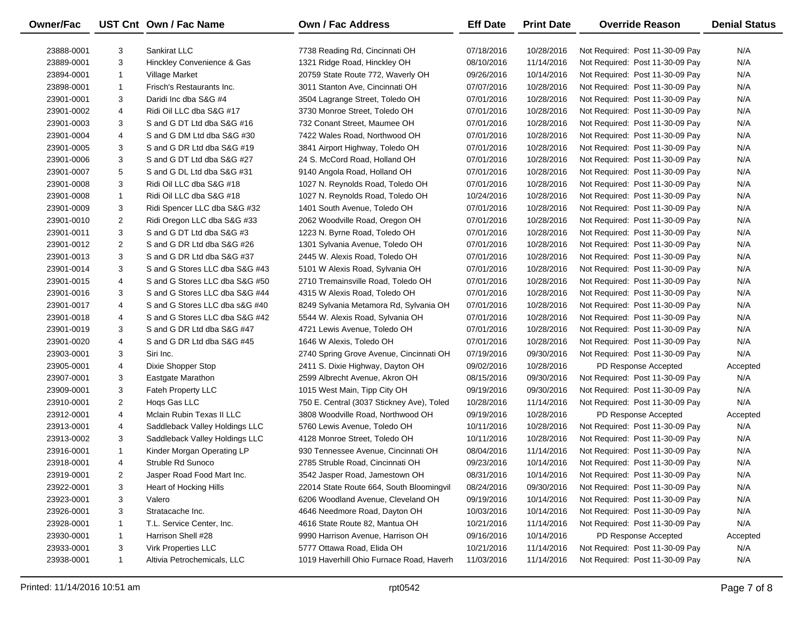| Owner/Fac  |              | UST Cnt Own / Fac Name         | <b>Own / Fac Address</b>                  | <b>Eff Date</b> | <b>Print Date</b> | <b>Override Reason</b>          | <b>Denial Status</b> |
|------------|--------------|--------------------------------|-------------------------------------------|-----------------|-------------------|---------------------------------|----------------------|
| 23888-0001 | 3            | Sankirat LLC                   | 7738 Reading Rd, Cincinnati OH            | 07/18/2016      | 10/28/2016        | Not Required: Post 11-30-09 Pay | N/A                  |
| 23889-0001 | 3            | Hinckley Convenience & Gas     | 1321 Ridge Road, Hinckley OH              | 08/10/2016      | 11/14/2016        | Not Required: Post 11-30-09 Pay | N/A                  |
| 23894-0001 | $\mathbf{1}$ | Village Market                 | 20759 State Route 772, Waverly OH         | 09/26/2016      | 10/14/2016        | Not Required: Post 11-30-09 Pay | N/A                  |
| 23898-0001 | $\mathbf{1}$ | Frisch's Restaurants Inc.      | 3011 Stanton Ave, Cincinnati OH           | 07/07/2016      | 10/28/2016        | Not Required: Post 11-30-09 Pay | N/A                  |
| 23901-0001 | 3            | Daridi Inc dba S&G #4          | 3504 Lagrange Street, Toledo OH           | 07/01/2016      | 10/28/2016        | Not Required: Post 11-30-09 Pay | N/A                  |
| 23901-0002 | 4            | Ridi Oil LLC dba S&G #17       | 3730 Monroe Street, Toledo OH             | 07/01/2016      | 10/28/2016        | Not Required: Post 11-30-09 Pay | N/A                  |
| 23901-0003 | 3            | S and G DT Ltd dba S&G #16     | 732 Conant Street, Maumee OH              | 07/01/2016      | 10/28/2016        | Not Required: Post 11-30-09 Pay | N/A                  |
| 23901-0004 | 4            | S and G DM Ltd dba S&G #30     | 7422 Wales Road, Northwood OH             | 07/01/2016      | 10/28/2016        | Not Required: Post 11-30-09 Pay | N/A                  |
| 23901-0005 | 3            | S and G DR Ltd dba S&G #19     | 3841 Airport Highway, Toledo OH           | 07/01/2016      | 10/28/2016        | Not Required: Post 11-30-09 Pay | N/A                  |
| 23901-0006 | 3            | S and G DT Ltd dba S&G #27     | 24 S. McCord Road, Holland OH             | 07/01/2016      | 10/28/2016        | Not Required: Post 11-30-09 Pay | N/A                  |
| 23901-0007 | 5            | S and G DL Ltd dba S&G #31     | 9140 Angola Road, Holland OH              | 07/01/2016      | 10/28/2016        | Not Required: Post 11-30-09 Pay | N/A                  |
| 23901-0008 | 3            | Ridi Oil LLC dba S&G #18       | 1027 N. Reynolds Road, Toledo OH          | 07/01/2016      | 10/28/2016        | Not Required: Post 11-30-09 Pay | N/A                  |
| 23901-0008 | $\mathbf{1}$ | Ridi Oil LLC dba S&G #18       | 1027 N. Reynolds Road, Toledo OH          | 10/24/2016      | 10/28/2016        | Not Required: Post 11-30-09 Pay | N/A                  |
| 23901-0009 | 3            | Ridi Spencer LLC dba S&G #32   | 1401 South Avenue, Toledo OH              | 07/01/2016      | 10/28/2016        | Not Required: Post 11-30-09 Pay | N/A                  |
| 23901-0010 | 2            | Ridi Oregon LLC dba S&G #33    | 2062 Woodville Road, Oregon OH            | 07/01/2016      | 10/28/2016        | Not Required: Post 11-30-09 Pay | N/A                  |
| 23901-0011 | 3            | S and G DT Ltd dba S&G #3      | 1223 N. Byrne Road, Toledo OH             | 07/01/2016      | 10/28/2016        | Not Required: Post 11-30-09 Pay | N/A                  |
| 23901-0012 | 2            | S and G DR Ltd dba S&G #26     | 1301 Sylvania Avenue, Toledo OH           | 07/01/2016      | 10/28/2016        | Not Required: Post 11-30-09 Pay | N/A                  |
| 23901-0013 | 3            | S and G DR Ltd dba S&G #37     | 2445 W. Alexis Road, Toledo OH            | 07/01/2016      | 10/28/2016        | Not Required: Post 11-30-09 Pay | N/A                  |
| 23901-0014 | 3            | S and G Stores LLC dba S&G #43 | 5101 W Alexis Road, Sylvania OH           | 07/01/2016      | 10/28/2016        | Not Required: Post 11-30-09 Pay | N/A                  |
| 23901-0015 | 4            | S and G Stores LLC dba S&G #50 | 2710 Tremainsville Road, Toledo OH        | 07/01/2016      | 10/28/2016        | Not Required: Post 11-30-09 Pay | N/A                  |
| 23901-0016 | 3            | S and G Stores LLC dba S&G #44 | 4315 W Alexis Road, Toledo OH             | 07/01/2016      | 10/28/2016        | Not Required: Post 11-30-09 Pay | N/A                  |
| 23901-0017 | 4            | S and G Stores LLC dba s&G #40 | 8249 Sylvania Metamora Rd, Sylvania OH    | 07/01/2016      | 10/28/2016        | Not Required: Post 11-30-09 Pay | N/A                  |
| 23901-0018 | 4            | S and G Stores LLC dba S&G #42 | 5544 W. Alexis Road, Sylvania OH          | 07/01/2016      | 10/28/2016        | Not Required: Post 11-30-09 Pay | N/A                  |
| 23901-0019 | 3            | S and G DR Ltd dba S&G #47     | 4721 Lewis Avenue, Toledo OH              | 07/01/2016      | 10/28/2016        | Not Required: Post 11-30-09 Pay | N/A                  |
| 23901-0020 | 4            | S and G DR Ltd dba S&G #45     | 1646 W Alexis, Toledo OH                  | 07/01/2016      | 10/28/2016        | Not Required: Post 11-30-09 Pay | N/A                  |
| 23903-0001 | 3            | Siri Inc.                      | 2740 Spring Grove Avenue, Cincinnati OH   | 07/19/2016      | 09/30/2016        | Not Required: Post 11-30-09 Pay | N/A                  |
| 23905-0001 | 4            | Dixie Shopper Stop             | 2411 S. Dixie Highway, Dayton OH          | 09/02/2016      | 10/28/2016        | PD Response Accepted            | Accepted             |
| 23907-0001 | 3            | Eastgate Marathon              | 2599 Albrecht Avenue, Akron OH            | 08/15/2016      | 09/30/2016        | Not Required: Post 11-30-09 Pay | N/A                  |
| 23909-0001 | 3            | Fateh Property LLC             | 1015 West Main, Tipp City OH              | 09/19/2016      | 09/30/2016        | Not Required: Post 11-30-09 Pay | N/A                  |
| 23910-0001 | 2            | Hogs Gas LLC                   | 750 E. Central (3037 Stickney Ave), Toled | 10/28/2016      | 11/14/2016        | Not Required: Post 11-30-09 Pay | N/A                  |
| 23912-0001 | 4            | Mclain Rubin Texas II LLC      | 3808 Woodville Road, Northwood OH         | 09/19/2016      | 10/28/2016        | PD Response Accepted            | Accepted             |
| 23913-0001 | 4            | Saddleback Valley Holdings LLC | 5760 Lewis Avenue, Toledo OH              | 10/11/2016      | 10/28/2016        | Not Required: Post 11-30-09 Pay | N/A                  |
| 23913-0002 | 3            | Saddleback Valley Holdings LLC | 4128 Monroe Street, Toledo OH             | 10/11/2016      | 10/28/2016        | Not Required: Post 11-30-09 Pay | N/A                  |
| 23916-0001 | $\mathbf{1}$ | Kinder Morgan Operating LP     | 930 Tennessee Avenue, Cincinnati OH       | 08/04/2016      | 11/14/2016        | Not Required: Post 11-30-09 Pay | N/A                  |
| 23918-0001 | 4            | Struble Rd Sunoco              | 2785 Struble Road, Cincinnati OH          | 09/23/2016      | 10/14/2016        | Not Required: Post 11-30-09 Pay | N/A                  |
| 23919-0001 | 2            | Jasper Road Food Mart Inc.     | 3542 Jasper Road, Jamestown OH            | 08/31/2016      | 10/14/2016        | Not Required: Post 11-30-09 Pay | N/A                  |
| 23922-0001 | 3            | Heart of Hocking Hills         | 22014 State Route 664, South Bloomingvil  | 08/24/2016      | 09/30/2016        | Not Required: Post 11-30-09 Pay | N/A                  |
| 23923-0001 | 3            | Valero                         | 6206 Woodland Avenue, Cleveland OH        | 09/19/2016      | 10/14/2016        | Not Required: Post 11-30-09 Pay | N/A                  |
| 23926-0001 | 3            | Stratacache Inc.               | 4646 Needmore Road, Dayton OH             | 10/03/2016      | 10/14/2016        | Not Required: Post 11-30-09 Pay | N/A                  |
| 23928-0001 | 1            | T.L. Service Center, Inc.      | 4616 State Route 82, Mantua OH            | 10/21/2016      | 11/14/2016        | Not Required: Post 11-30-09 Pay | N/A                  |
| 23930-0001 | 1            | Harrison Shell #28             | 9990 Harrison Avenue, Harrison OH         | 09/16/2016      | 10/14/2016        | PD Response Accepted            | Accepted             |
| 23933-0001 | 3            | <b>Virk Properties LLC</b>     | 5777 Ottawa Road, Elida OH                | 10/21/2016      | 11/14/2016        | Not Required: Post 11-30-09 Pay | N/A                  |
| 23938-0001 | $\mathbf{1}$ | Altivia Petrochemicals, LLC    | 1019 Haverhill Ohio Furnace Road, Haverh  | 11/03/2016      | 11/14/2016        | Not Required: Post 11-30-09 Pay | N/A                  |

—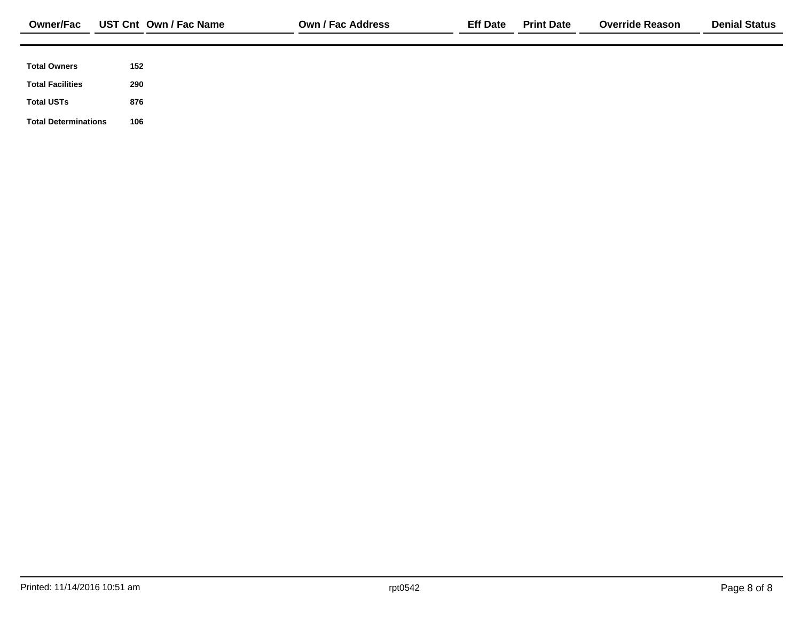| <b>Total Owners</b><br>152     |  |
|--------------------------------|--|
|                                |  |
| <b>Total Facilities</b><br>290 |  |
| <b>Total USTs</b><br>876       |  |
|                                |  |